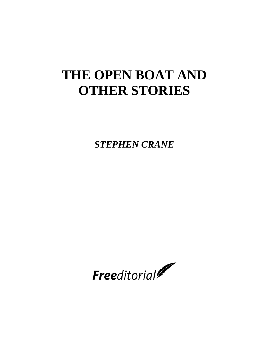# **THE OPEN BOAT AND OTHER STORIES**

*STEPHEN CRANE*

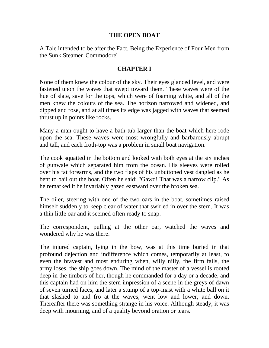### **THE OPEN BOAT**

A Tale intended to be after the Fact. Being the Experience of Four Men from the Sunk Steamer 'Commodore'

# **CHAPTER I**

None of them knew the colour of the sky. Their eyes glanced level, and were fastened upon the waves that swept toward them. These waves were of the hue of slate, save for the tops, which were of foaming white, and all of the men knew the colours of the sea. The horizon narrowed and widened, and dipped and rose, and at all times its edge was jagged with waves that seemed thrust up in points like rocks.

Many a man ought to have a bath-tub larger than the boat which here rode upon the sea. These waves were most wrongfully and barbarously abrupt and tall, and each froth-top was a problem in small boat navigation.

The cook squatted in the bottom and looked with both eyes at the six inches of gunwale which separated him from the ocean. His sleeves were rolled over his fat forearms, and the two flaps of his unbuttoned vest dangled as he bent to bail out the boat. Often he said: "Gawd! That was a narrow clip." As he remarked it he invariably gazed eastward over the broken sea.

The oiler, steering with one of the two oars in the boat, sometimes raised himself suddenly to keep clear of water that swirled in over the stern. It was a thin little oar and it seemed often ready to snap.

The correspondent, pulling at the other oar, watched the waves and wondered why he was there.

The injured captain, lying in the bow, was at this time buried in that profound dejection and indifference which comes, temporarily at least, to even the bravest and most enduring when, willy nilly, the firm fails, the army loses, the ship goes down. The mind of the master of a vessel is rooted deep in the timbers of her, though he commanded for a day or a decade, and this captain had on him the stern impression of a scene in the greys of dawn of seven turned faces, and later a stump of a top-mast with a white ball on it that slashed to and fro at the waves, went low and lower, and down. Thereafter there was something strange in his voice. Although steady, it was deep with mourning, and of a quality beyond oration or tears.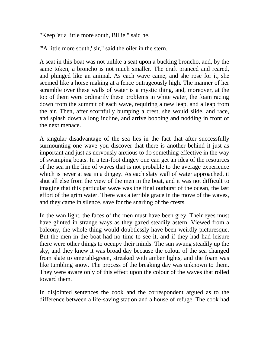"Keep 'er a little more south, Billie," said he.

"'A little more south,' sir," said the oiler in the stern.

A seat in this boat was not unlike a seat upon a bucking broncho, and, by the same token, a broncho is not much smaller. The craft pranced and reared, and plunged like an animal. As each wave came, and she rose for it, she seemed like a horse making at a fence outrageously high. The manner of her scramble over these walls of water is a mystic thing, and, moreover, at the top of them were ordinarily these problems in white water, the foam racing down from the summit of each wave, requiring a new leap, and a leap from the air. Then, after scornfully bumping a crest, she would slide, and race, and splash down a long incline, and arrive bobbing and nodding in front of the next menace.

A singular disadvantage of the sea lies in the fact that after successfully surmounting one wave you discover that there is another behind it just as important and just as nervously anxious to do something effective in the way of swamping boats. In a ten-foot dingey one can get an idea of the resources of the sea in the line of waves that is not probable to the average experience which is never at sea in a dingey. As each slaty wall of water approached, it shut all else from the view of the men in the boat, and it was not difficult to imagine that this particular wave was the final outburst of the ocean, the last effort of the grim water. There was a terrible grace in the move of the waves, and they came in silence, save for the snarling of the crests.

In the wan light, the faces of the men must have been grey. Their eyes must have glinted in strange ways as they gazed steadily astern. Viewed from a balcony, the whole thing would doubtlessly have been weirdly picturesque. But the men in the boat had no time to see it, and if they had had leisure there were other things to occupy their minds. The sun swung steadily up the sky, and they knew it was broad day because the colour of the sea changed from slate to emerald-green, streaked with amber lights, and the foam was like tumbling snow. The process of the breaking day was unknown to them. They were aware only of this effect upon the colour of the waves that rolled toward them.

In disjointed sentences the cook and the correspondent argued as to the difference between a life-saving station and a house of refuge. The cook had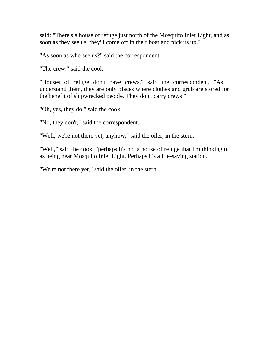said: "There's a house of refuge just north of the Mosquito Inlet Light, and as soon as they see us, they'll come off in their boat and pick us up."

"As soon as who see us?" said the correspondent.

"The crew," said the cook.

"Houses of refuge don't have crews," said the correspondent. "As I understand them, they are only places where clothes and grub are stored for the benefit of shipwrecked people. They don't carry crews."

"Oh, yes, they do," said the cook.

"No, they don't," said the correspondent.

"Well, we're not there yet, anyhow," said the oiler, in the stern.

"Well," said the cook, "perhaps it's not a house of refuge that I'm thinking of as being near Mosquito Inlet Light. Perhaps it's a life-saving station."

"We're not there yet," said the oiler, in the stern.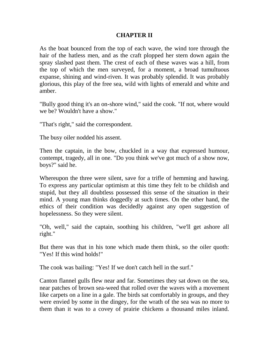#### **CHAPTER II**

As the boat bounced from the top of each wave, the wind tore through the hair of the hatless men, and as the craft plopped her stern down again the spray slashed past them. The crest of each of these waves was a hill, from the top of which the men surveyed, for a moment, a broad tumultuous expanse, shining and wind-riven. It was probably splendid. It was probably glorious, this play of the free sea, wild with lights of emerald and white and amber.

"Bully good thing it's an on-shore wind," said the cook. "If not, where would we be? Wouldn't have a show."

"That's right," said the correspondent.

The busy oiler nodded his assent.

Then the captain, in the bow, chuckled in a way that expressed humour, contempt, tragedy, all in one. "Do you think we've got much of a show now, boys?" said he.

Whereupon the three were silent, save for a trifle of hemming and hawing. To express any particular optimism at this time they felt to be childish and stupid, but they all doubtless possessed this sense of the situation in their mind. A young man thinks doggedly at such times. On the other hand, the ethics of their condition was decidedly against any open suggestion of hopelessness. So they were silent.

"Oh, well," said the captain, soothing his children, "we'll get ashore all right."

But there was that in his tone which made them think, so the oiler quoth: "Yes! If this wind holds!"

The cook was bailing: "Yes! If we don't catch hell in the surf."

Canton flannel gulls flew near and far. Sometimes they sat down on the sea, near patches of brown sea-weed that rolled over the waves with a movement like carpets on a line in a gale. The birds sat comfortably in groups, and they were envied by some in the dingey, for the wrath of the sea was no more to them than it was to a covey of prairie chickens a thousand miles inland.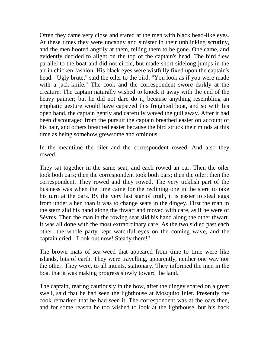Often they came very close and stared at the men with black bead-like eyes. At these times they were uncanny and sinister in their unblinking scrutiny, and the men hooted angrily at them, telling them to be gone. One came, and evidently decided to alight on the top of the captain's head. The bird flew parallel to the boat and did not circle, but made short sidelong jumps in the air in chicken-fashion. His black eyes were wistfully fixed upon the captain's head. "Ugly brute," said the oiler to the bird. "You look as if you were made with a jack-knife." The cook and the correspondent swore darkly at the creature. The captain naturally wished to knock it away with the end of the heavy painter; but he did not dare do it, because anything resembling an emphatic gesture would have capsized this freighted boat, and so with his open hand, the captain gently and carefully waved the gull away. After it had been discouraged from the pursuit the captain breathed easier on account of his hair, and others breathed easier because the bird struck their minds at this time as being somehow grewsome and ominous.

In the meantime the oiler and the correspondent rowed. And also they rowed.

They sat together in the same seat, and each rowed an oar. Then the oiler took both oars; then the correspondent took both oars; then the oiler; then the correspondent. They rowed and they rowed. The very ticklish part of the business was when the time came for the reclining one in the stern to take his turn at the oars. By the very last star of truth, it is easier to steal eggs from under a hen than it was to change seats in the dingey. First the man in the stern slid his hand along the thwart and moved with care, as if he were of Sèvres. Then the man in the rowing seat slid his hand along the other thwart. It was all done with the most extraordinary care. As the two sidled past each other, the whole party kept watchful eyes on the coming wave, and the captain cried: "Look out now! Steady there!"

The brown mats of sea-weed that appeared from time to time were like islands, bits of earth. They were travelling, apparently, neither one way nor the other. They were, to all intents, stationary. They informed the men in the boat that it was making progress slowly toward the land.

The captain, rearing cautiously in the bow, after the dingey soared on a great swell, said that he had seen the lighthouse at Mosquito Inlet. Presently the cook remarked that he had seen it. The correspondent was at the oars then, and for some reason he too wished to look at the lighthouse, but his back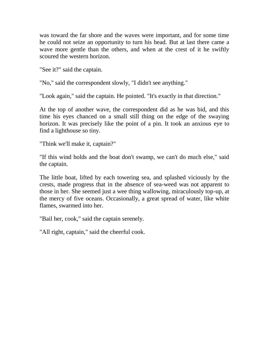was toward the far shore and the waves were important, and for some time he could not seize an opportunity to turn his head. But at last there came a wave more gentle than the others, and when at the crest of it he swiftly scoured the western horizon.

"See it?" said the captain.

"No," said the correspondent slowly, "I didn't see anything."

"Look again," said the captain. He pointed. "It's exactly in that direction."

At the top of another wave, the correspondent did as he was bid, and this time his eyes chanced on a small still thing on the edge of the swaying horizon. It was precisely like the point of a pin. It took an anxious eye to find a lighthouse so tiny.

"Think we'll make it, captain?"

"If this wind holds and the boat don't swamp, we can't do much else," said the captain.

The little boat, lifted by each towering sea, and splashed viciously by the crests, made progress that in the absence of sea-weed was not apparent to those in her. She seemed just a wee thing wallowing, miraculously top-up, at the mercy of five oceans. Occasionally, a great spread of water, like white flames, swarmed into her.

"Bail her, cook," said the captain serenely.

"All right, captain," said the cheerful cook.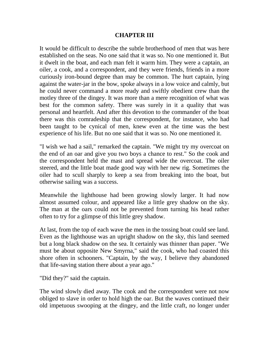### **CHAPTER III**

It would be difficult to describe the subtle brotherhood of men that was here established on the seas. No one said that it was so. No one mentioned it. But it dwelt in the boat, and each man felt it warm him. They were a captain, an oiler, a cook, and a correspondent, and they were friends, friends in a more curiously iron-bound degree than may be common. The hurt captain, lying against the water-jar in the bow, spoke always in a low voice and calmly, but he could never command a more ready and swiftly obedient crew than the motley three of the dingey. It was more than a mere recognition of what was best for the common safety. There was surely in it a quality that was personal and heartfelt. And after this devotion to the commander of the boat there was this comradeship that the correspondent, for instance, who had been taught to be cynical of men, knew even at the time was the best experience of his life. But no one said that it was so. No one mentioned it.

"I wish we had a sail," remarked the captain. "We might try my overcoat on the end of an oar and give you two boys a chance to rest." So the cook and the correspondent held the mast and spread wide the overcoat. The oiler steered, and the little boat made good way with her new rig. Sometimes the oiler had to scull sharply to keep a sea from breaking into the boat, but otherwise sailing was a success.

Meanwhile the lighthouse had been growing slowly larger. It had now almost assumed colour, and appeared like a little grey shadow on the sky. The man at the oars could not be prevented from turning his head rather often to try for a glimpse of this little grey shadow.

At last, from the top of each wave the men in the tossing boat could see land. Even as the lighthouse was an upright shadow on the sky, this land seemed but a long black shadow on the sea. It certainly was thinner than paper. "We must be about opposite New Smyrna," said the cook, who had coasted this shore often in schooners. "Captain, by the way, I believe they abandoned that life-saving station there about a year ago."

"Did they?" said the captain.

The wind slowly died away. The cook and the correspondent were not now obliged to slave in order to hold high the oar. But the waves continued their old impetuous swooping at the dingey, and the little craft, no longer under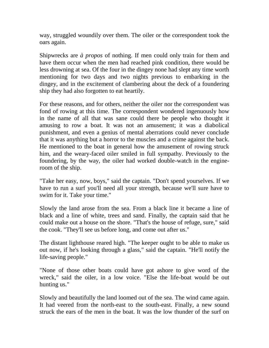way, struggled woundily over them. The oiler or the correspondent took the oars again.

Shipwrecks are *à propos* of nothing. If men could only train for them and have them occur when the men had reached pink condition, there would be less drowning at sea. Of the four in the dingey none had slept any time worth mentioning for two days and two nights previous to embarking in the dingey, and in the excitement of clambering about the deck of a foundering ship they had also forgotten to eat heartily.

For these reasons, and for others, neither the oiler nor the correspondent was fond of rowing at this time. The correspondent wondered ingenuously how in the name of all that was sane could there be people who thought it amusing to row a boat. It was not an amusement; it was a diabolical punishment, and even a genius of mental aberrations could never conclude that it was anything but a horror to the muscles and a crime against the back. He mentioned to the boat in general how the amusement of rowing struck him, and the weary-faced oiler smiled in full sympathy. Previously to the foundering, by the way, the oiler had worked double-watch in the engineroom of the ship.

"Take her easy, now, boys," said the captain. "Don't spend yourselves. If we have to run a surf you'll need all your strength, because we'll sure have to swim for it. Take your time."

Slowly the land arose from the sea. From a black line it became a line of black and a line of white, trees and sand. Finally, the captain said that he could make out a house on the shore. "That's the house of refuge, sure," said the cook. "They'll see us before long, and come out after us."

The distant lighthouse reared high. "The keeper ought to be able to make us out now, if he's looking through a glass," said the captain. "He'll notify the life-saving people."

"None of those other boats could have got ashore to give word of the wreck," said the oiler, in a low voice. "Else the life-boat would be out hunting us."

Slowly and beautifully the land loomed out of the sea. The wind came again. It had veered from the north-east to the south-east. Finally, a new sound struck the ears of the men in the boat. It was the low thunder of the surf on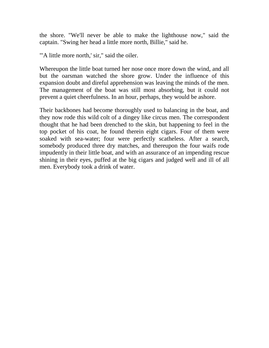the shore. "We'll never be able to make the lighthouse now," said the captain. "Swing her head a little more north, Billie," said he.

"'A little more north,' sir," said the oiler.

Whereupon the little boat turned her nose once more down the wind, and all but the oarsman watched the shore grow. Under the influence of this expansion doubt and direful apprehension was leaving the minds of the men. The management of the boat was still most absorbing, but it could not prevent a quiet cheerfulness. In an hour, perhaps, they would be ashore.

Their backbones had become thoroughly used to balancing in the boat, and they now rode this wild colt of a dingey like circus men. The correspondent thought that he had been drenched to the skin, but happening to feel in the top pocket of his coat, he found therein eight cigars. Four of them were soaked with sea-water; four were perfectly scatheless. After a search, somebody produced three dry matches, and thereupon the four waifs rode impudently in their little boat, and with an assurance of an impending rescue shining in their eyes, puffed at the big cigars and judged well and ill of all men. Everybody took a drink of water.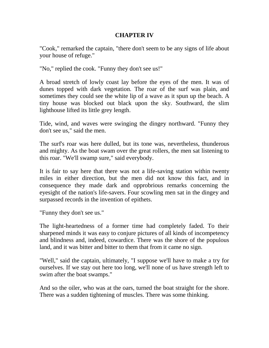# **CHAPTER IV**

"Cook," remarked the captain, "there don't seem to be any signs of life about your house of refuge."

"No," replied the cook. "Funny they don't see us!"

A broad stretch of lowly coast lay before the eyes of the men. It was of dunes topped with dark vegetation. The roar of the surf was plain, and sometimes they could see the white lip of a wave as it spun up the beach. A tiny house was blocked out black upon the sky. Southward, the slim lighthouse lifted its little grey length.

Tide, wind, and waves were swinging the dingey northward. "Funny they don't see us," said the men.

The surf's roar was here dulled, but its tone was, nevertheless, thunderous and mighty. As the boat swam over the great rollers, the men sat listening to this roar. "We'll swamp sure," said everybody.

It is fair to say here that there was not a life-saving station within twenty miles in either direction, but the men did not know this fact, and in consequence they made dark and opprobrious remarks concerning the eyesight of the nation's life-savers. Four scowling men sat in the dingey and surpassed records in the invention of epithets.

"Funny they don't see us."

The light-heartedness of a former time had completely faded. To their sharpened minds it was easy to conjure pictures of all kinds of incompetency and blindness and, indeed, cowardice. There was the shore of the populous land, and it was bitter and bitter to them that from it came no sign.

"Well," said the captain, ultimately, "I suppose we'll have to make a try for ourselves. If we stay out here too long, we'll none of us have strength left to swim after the boat swamps."

And so the oiler, who was at the oars, turned the boat straight for the shore. There was a sudden tightening of muscles. There was some thinking.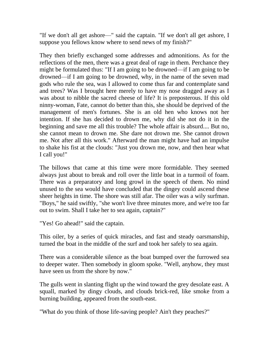"If we don't all get ashore—" said the captain. "If we don't all get ashore, I suppose you fellows know where to send news of my finish?"

They then briefly exchanged some addresses and admonitions. As for the reflections of the men, there was a great deal of rage in them. Perchance they might be formulated thus: "If I am going to be drowned—if I am going to be drowned—if I am going to be drowned, why, in the name of the seven mad gods who rule the sea, was I allowed to come thus far and contemplate sand and trees? Was I brought here merely to have my nose dragged away as I was about to nibble the sacred cheese of life? It is preposterous. If this old ninny-woman, Fate, cannot do better than this, she should be deprived of the management of men's fortunes. She is an old hen who knows not her intention. If she has decided to drown me, why did she not do it in the beginning and save me all this trouble? The whole affair is absurd.... But no, she cannot mean to drown me. She dare not drown me. She cannot drown me. Not after all this work." Afterward the man might have had an impulse to shake his fist at the clouds: "Just you drown me, now, and then hear what I call you!"

The billows that came at this time were more formidable. They seemed always just about to break and roll over the little boat in a turmoil of foam. There was a preparatory and long growl in the speech of them. No mind unused to the sea would have concluded that the dingey could ascend these sheer heights in time. The shore was still afar. The oiler was a wily surfman. "Boys," he said swiftly, "she won't live three minutes more, and we're too far out to swim. Shall I take her to sea again, captain?"

"Yes! Go ahead!" said the captain.

This oiler, by a series of quick miracles, and fast and steady oarsmanship, turned the boat in the middle of the surf and took her safely to sea again.

There was a considerable silence as the boat bumped over the furrowed sea to deeper water. Then somebody in gloom spoke. "Well, anyhow, they must have seen us from the shore by now."

The gulls went in slanting flight up the wind toward the grey desolate east. A squall, marked by dingy clouds, and clouds brick-red, like smoke from a burning building, appeared from the south-east.

"What do you think of those life-saving people? Ain't they peaches?"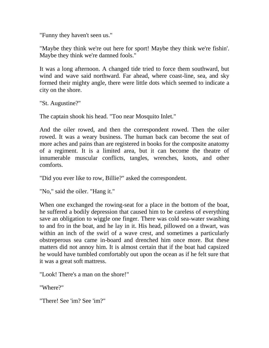"Funny they haven't seen us."

"Maybe they think we're out here for sport! Maybe they think we're fishin'. Maybe they think we're damned fools."

It was a long afternoon. A changed tide tried to force them southward, but wind and wave said northward. Far ahead, where coast-line, sea, and sky formed their mighty angle, there were little dots which seemed to indicate a city on the shore.

"St. Augustine?"

The captain shook his head. "Too near Mosquito Inlet."

And the oiler rowed, and then the correspondent rowed. Then the oiler rowed. It was a weary business. The human back can become the seat of more aches and pains than are registered in books for the composite anatomy of a regiment. It is a limited area, but it can become the theatre of innumerable muscular conflicts, tangles, wrenches, knots, and other comforts.

"Did you ever like to row, Billie?" asked the correspondent.

"No," said the oiler. "Hang it."

When one exchanged the rowing-seat for a place in the bottom of the boat, he suffered a bodily depression that caused him to be careless of everything save an obligation to wiggle one finger. There was cold sea-water swashing to and fro in the boat, and he lay in it. His head, pillowed on a thwart, was within an inch of the swirl of a wave crest, and sometimes a particularly obstreperous sea came in-board and drenched him once more. But these matters did not annoy him. It is almost certain that if the boat had capsized he would have tumbled comfortably out upon the ocean as if he felt sure that it was a great soft mattress.

"Look! There's a man on the shore!"

"Where?"

"There! See 'im? See 'im?"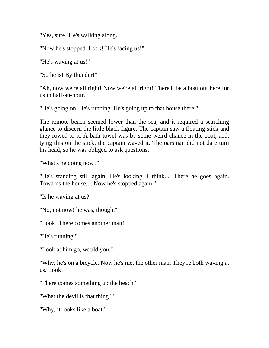"Yes, sure! He's walking along."

"Now he's stopped. Look! He's facing us!"

"He's waving at us!"

"So he is! By thunder!"

"Ah, now we're all right! Now we're all right! There'll be a boat out here for us in half-an-hour."

"He's going on. He's running. He's going up to that house there."

The remote beach seemed lower than the sea, and it required a searching glance to discern the little black figure. The captain saw a floating stick and they rowed to it. A bath-towel was by some weird chance in the boat, and, tying this on the stick, the captain waved it. The oarsman did not dare turn his head, so he was obliged to ask questions.

"What's he doing now?"

"He's standing still again. He's looking, I think.... There he goes again. Towards the house.... Now he's stopped again."

"Is he waving at us?"

"No, not now! he was, though."

"Look! There comes another man!"

"He's running."

"Look at him go, would you."

"Why, he's on a bicycle. Now he's met the other man. They're both waving at us. Look!"

"There comes something up the beach."

"What the devil is that thing?"

"Why, it looks like a boat."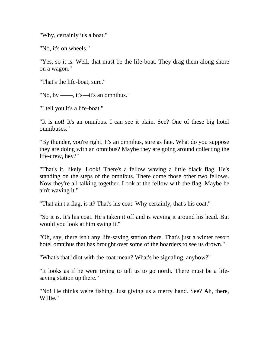"Why, certainly it's a boat."

"No, it's on wheels."

"Yes, so it is. Well, that must be the life-boat. They drag them along shore on a wagon."

"That's the life-boat, sure."

"No, by ——, it's—it's an omnibus."

"I tell you it's a life-boat."

"It is not! It's an omnibus. I can see it plain. See? One of these big hotel omnibuses."

"By thunder, you're right. It's an omnibus, sure as fate. What do you suppose they are doing with an omnibus? Maybe they are going around collecting the life-crew, hey?"

"That's it, likely. Look! There's a fellow waving a little black flag. He's standing on the steps of the omnibus. There come those other two fellows. Now they're all talking together. Look at the fellow with the flag. Maybe he ain't waving it."

"That ain't a flag, is it? That's his coat. Why certainly, that's his coat."

"So it is. It's his coat. He's taken it off and is waving it around his head. But would you look at him swing it."

"Oh, say, there isn't any life-saving station there. That's just a winter resort hotel omnibus that has brought over some of the boarders to see us drown."

"What's that idiot with the coat mean? What's he signaling, anyhow?"

"It looks as if he were trying to tell us to go north. There must be a lifesaving station up there."

"No! He thinks we're fishing. Just giving us a merry hand. See? Ah, there, Willie."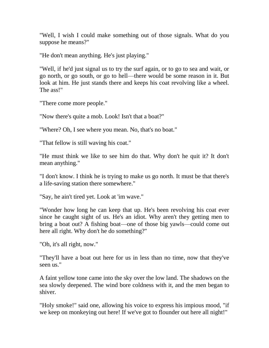"Well, I wish I could make something out of those signals. What do you suppose he means?"

"He don't mean anything. He's just playing."

"Well, if he'd just signal us to try the surf again, or to go to sea and wait, or go north, or go south, or go to hell—there would be some reason in it. But look at him. He just stands there and keeps his coat revolving like a wheel. The ass!"

"There come more people."

"Now there's quite a mob. Look! Isn't that a boat?"

"Where? Oh, I see where you mean. No, that's no boat."

"That fellow is still waving his coat."

"He must think we like to see him do that. Why don't he quit it? It don't mean anything."

"I don't know. I think he is trying to make us go north. It must be that there's a life-saving station there somewhere."

"Say, he ain't tired yet. Look at 'im wave."

"Wonder how long he can keep that up. He's been revolving his coat ever since he caught sight of us. He's an idiot. Why aren't they getting men to bring a boat out? A fishing boat—one of those big yawls—could come out here all right. Why don't he do something?"

"Oh, it's all right, now."

"They'll have a boat out here for us in less than no time, now that they've seen us."

A faint yellow tone came into the sky over the low land. The shadows on the sea slowly deepened. The wind bore coldness with it, and the men began to shiver.

"Holy smoke!" said one, allowing his voice to express his impious mood, "if we keep on monkeying out here! If we've got to flounder out here all night!"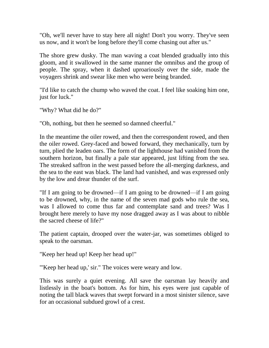"Oh, we'll never have to stay here all night! Don't you worry. They've seen us now, and it won't be long before they'll come chasing out after us."

The shore grew dusky. The man waving a coat blended gradually into this gloom, and it swallowed in the same manner the omnibus and the group of people. The spray, when it dashed uproariously over the side, made the voyagers shrink and swear like men who were being branded.

"I'd like to catch the chump who waved the coat. I feel like soaking him one, just for luck."

"Why? What did he do?"

"Oh, nothing, but then he seemed so damned cheerful."

In the meantime the oiler rowed, and then the correspondent rowed, and then the oiler rowed. Grey-faced and bowed forward, they mechanically, turn by turn, plied the leaden oars. The form of the lighthouse had vanished from the southern horizon, but finally a pale star appeared, just lifting from the sea. The streaked saffron in the west passed before the all-merging darkness, and the sea to the east was black. The land had vanished, and was expressed only by the low and drear thunder of the surf.

"If I am going to be drowned—if I am going to be drowned—if I am going to be drowned, why, in the name of the seven mad gods who rule the sea, was I allowed to come thus far and contemplate sand and trees? Was I brought here merely to have my nose dragged away as I was about to nibble the sacred cheese of life?"

The patient captain, drooped over the water-jar, was sometimes obliged to speak to the oarsman.

"Keep her head up! Keep her head up!"

"'Keep her head up,' sir." The voices were weary and low.

This was surely a quiet evening. All save the oarsman lay heavily and listlessly in the boat's bottom. As for him, his eyes were just capable of noting the tall black waves that swept forward in a most sinister silence, save for an occasional subdued growl of a crest.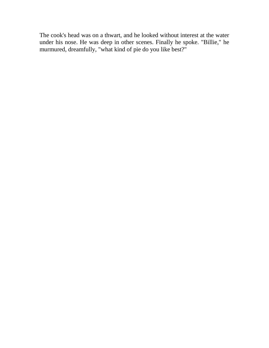The cook's head was on a thwart, and he looked without interest at the water under his nose. He was deep in other scenes. Finally he spoke. "Billie," he murmured, dreamfully, "what kind of pie do you like best?"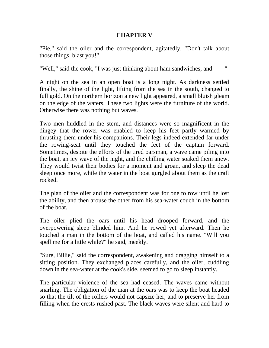# **CHAPTER V**

"Pie," said the oiler and the correspondent, agitatedly. "Don't talk about those things, blast you!"

"Well," said the cook, "I was just thinking about ham sandwiches, and——"

A night on the sea in an open boat is a long night. As darkness settled finally, the shine of the light, lifting from the sea in the south, changed to full gold. On the northern horizon a new light appeared, a small bluish gleam on the edge of the waters. These two lights were the furniture of the world. Otherwise there was nothing but waves.

Two men huddled in the stern, and distances were so magnificent in the dingey that the rower was enabled to keep his feet partly warmed by thrusting them under his companions. Their legs indeed extended far under the rowing-seat until they touched the feet of the captain forward. Sometimes, despite the efforts of the tired oarsman, a wave came piling into the boat, an icy wave of the night, and the chilling water soaked them anew. They would twist their bodies for a moment and groan, and sleep the dead sleep once more, while the water in the boat gurgled about them as the craft rocked.

The plan of the oiler and the correspondent was for one to row until he lost the ability, and then arouse the other from his sea-water couch in the bottom of the boat.

The oiler plied the oars until his head drooped forward, and the overpowering sleep blinded him. And he rowed yet afterward. Then he touched a man in the bottom of the boat, and called his name. "Will you spell me for a little while?" he said, meekly.

"Sure, Billie," said the correspondent, awakening and dragging himself to a sitting position. They exchanged places carefully, and the oiler, cuddling down in the sea-water at the cook's side, seemed to go to sleep instantly.

The particular violence of the sea had ceased. The waves came without snarling. The obligation of the man at the oars was to keep the boat headed so that the tilt of the rollers would not capsize her, and to preserve her from filling when the crests rushed past. The black waves were silent and hard to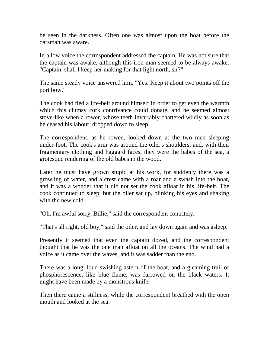be seen in the darkness. Often one was almost upon the boat before the oarsman was aware.

In a low voice the correspondent addressed the captain. He was not sure that the captain was awake, although this iron man seemed to be always awake. "Captain, shall I keep her making for that light north, sir?"

The same steady voice answered him. "Yes. Keep it about two points off the port bow."

The cook had tied a life-belt around himself in order to get even the warmth which this clumsy cork contrivance could donate, and he seemed almost stove-like when a rower, whose teeth invariably chattered wildly as soon as he ceased his labour, dropped down to sleep.

The correspondent, as he rowed, looked down at the two men sleeping under-foot. The cook's arm was around the oiler's shoulders, and, with their fragmentary clothing and haggard faces, they were the babes of the sea, a grotesque rendering of the old babes in the wood.

Later he must have grown stupid at his work, for suddenly there was a growling of water, and a crest came with a roar and a swash into the boat, and it was a wonder that it did not set the cook afloat in his life-belt. The cook continued to sleep, but the oiler sat up, blinking his eyes and shaking with the new cold.

"Oh, I'm awful sorry, Billie," said the correspondent contritely.

"That's all right, old boy," said the oiler, and lay down again and was asleep.

Presently it seemed that even the captain dozed, and the correspondent thought that he was the one man afloat on all the oceans. The wind had a voice as it came over the waves, and it was sadder than the end.

There was a long, loud swishing astern of the boat, and a gleaming trail of phosphorescence, like blue flame, was furrowed on the black waters. It might have been made by a monstrous knife.

Then there came a stillness, while the correspondent breathed with the open mouth and looked at the sea.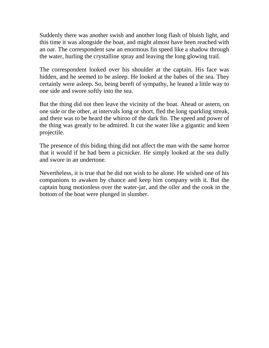Suddenly there was another swish and another long flash of bluish light, and this time it was alongside the boat, and might almost have been reached with an oar. The correspondent saw an enormous fin speed like a shadow through the water, hurling the crystalline spray and leaving the long glowing trail.

The correspondent looked over his shoulder at the captain. His face was hidden, and he seemed to be asleep. He looked at the babes of the sea. They certainly were asleep. So, being bereft of sympathy, he leaned a little way to one side and swore softly into the sea.

But the thing did not then leave the vicinity of the boat. Ahead or astern, on one side or the other, at intervals long or short, fled the long sparkling streak, and there was to be heard the whiroo of the dark fin. The speed and power of the thing was greatly to be admired. It cut the water like a gigantic and keen projectile.

The presence of this biding thing did not affect the man with the same horror that it would if he had been a picnicker. He simply looked at the sea dully and swore in an undertone.

Nevertheless, it is true that he did not wish to be alone. He wished one of his companions to awaken by chance and keep him company with it. But the captain hung motionless over the water-jar, and the oiler and the cook in the bottom of the boat were plunged in slumber.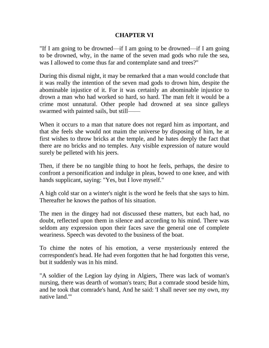### **CHAPTER VI**

"If I am going to be drowned—if I am going to be drowned—if I am going to be drowned, why, in the name of the seven mad gods who rule the sea, was I allowed to come thus far and contemplate sand and trees?"

During this dismal night, it may be remarked that a man would conclude that it was really the intention of the seven mad gods to drown him, despite the abominable injustice of it. For it was certainly an abominable injustice to drown a man who had worked so hard, so hard. The man felt it would be a crime most unnatural. Other people had drowned at sea since galleys swarmed with painted sails, but still——

When it occurs to a man that nature does not regard him as important, and that she feels she would not maim the universe by disposing of him, he at first wishes to throw bricks at the temple, and he hates deeply the fact that there are no bricks and no temples. Any visible expression of nature would surely be pelleted with his jeers.

Then, if there be no tangible thing to hoot he feels, perhaps, the desire to confront a personification and indulge in pleas, bowed to one knee, and with hands supplicant, saying: "Yes, but I love myself."

A high cold star on a winter's night is the word he feels that she says to him. Thereafter he knows the pathos of his situation.

The men in the dingey had not discussed these matters, but each had, no doubt, reflected upon them in silence and according to his mind. There was seldom any expression upon their faces save the general one of complete weariness. Speech was devoted to the business of the boat.

To chime the notes of his emotion, a verse mysteriously entered the correspondent's head. He had even forgotten that he had forgotten this verse, but it suddenly was in his mind.

"A soldier of the Legion lay dying in Algiers, There was lack of woman's nursing, there was dearth of woman's tears; But a comrade stood beside him, and he took that comrade's hand, And he said: 'I shall never see my own, my native land.'"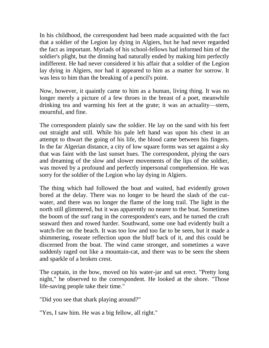In his childhood, the correspondent had been made acquainted with the fact that a soldier of the Legion lay dying in Algiers, but he had never regarded the fact as important. Myriads of his school-fellows had informed him of the soldier's plight, but the dinning had naturally ended by making him perfectly indifferent. He had never considered it his affair that a soldier of the Legion lay dying in Algiers, nor had it appeared to him as a matter for sorrow. It was less to him than the breaking of a pencil's point.

Now, however, it quaintly came to him as a human, living thing. It was no longer merely a picture of a few throes in the breast of a poet, meanwhile drinking tea and warming his feet at the grate; it was an actuality—stern, mournful, and fine.

The correspondent plainly saw the soldier. He lay on the sand with his feet out straight and still. While his pale left hand was upon his chest in an attempt to thwart the going of his life, the blood came between his fingers. In the far Algerian distance, a city of low square forms was set against a sky that was faint with the last sunset hues. The correspondent, plying the oars and dreaming of the slow and slower movements of the lips of the soldier, was moved by a profound and perfectly impersonal comprehension. He was sorry for the soldier of the Legion who lay dying in Algiers.

The thing which had followed the boat and waited, had evidently grown bored at the delay. There was no longer to be heard the slash of the cutwater, and there was no longer the flame of the long trail. The light in the north still glimmered, but it was apparently no nearer to the boat. Sometimes the boom of the surf rang in the correspondent's ears, and he turned the craft seaward then and rowed harder. Southward, some one had evidently built a watch-fire on the beach. It was too low and too far to be seen, but it made a shimmering, roseate reflection upon the bluff back of it, and this could be discerned from the boat. The wind came stronger, and sometimes a wave suddenly raged out like a mountain-cat, and there was to be seen the sheen and sparkle of a broken crest.

The captain, in the bow, moved on his water-jar and sat erect. "Pretty long night," he observed to the correspondent. He looked at the shore. "Those life-saving people take their time."

"Did you see that shark playing around?"

"Yes, I saw him. He was a big fellow, all right."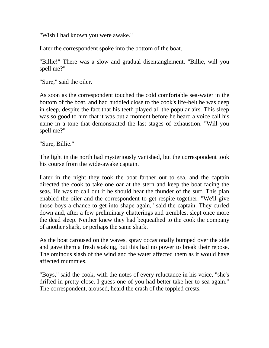"Wish I had known you were awake."

Later the correspondent spoke into the bottom of the boat.

"Billie!" There was a slow and gradual disentanglement. "Billie, will you spell me?"

"Sure," said the oiler.

As soon as the correspondent touched the cold comfortable sea-water in the bottom of the boat, and had huddled close to the cook's life-belt he was deep in sleep, despite the fact that his teeth played all the popular airs. This sleep was so good to him that it was but a moment before he heard a voice call his name in a tone that demonstrated the last stages of exhaustion. "Will you spell me?"

"Sure, Billie."

The light in the north had mysteriously vanished, but the correspondent took his course from the wide-awake captain.

Later in the night they took the boat farther out to sea, and the captain directed the cook to take one oar at the stern and keep the boat facing the seas. He was to call out if he should hear the thunder of the surf. This plan enabled the oiler and the correspondent to get respite together. "We'll give those boys a chance to get into shape again," said the captain. They curled down and, after a few preliminary chatterings and trembles, slept once more the dead sleep. Neither knew they had bequeathed to the cook the company of another shark, or perhaps the same shark.

As the boat caroused on the waves, spray occasionally bumped over the side and gave them a fresh soaking, but this had no power to break their repose. The ominous slash of the wind and the water affected them as it would have affected mummies.

"Boys," said the cook, with the notes of every reluctance in his voice, "she's drifted in pretty close. I guess one of you had better take her to sea again." The correspondent, aroused, heard the crash of the toppled crests.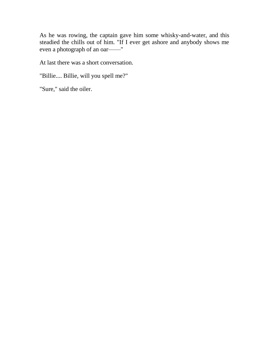As he was rowing, the captain gave him some whisky-and-water, and this steadied the chills out of him. "If I ever get ashore and anybody shows me even a photograph of an oar——"

At last there was a short conversation.

"Billie.... Billie, will you spell me?"

"Sure," said the oiler.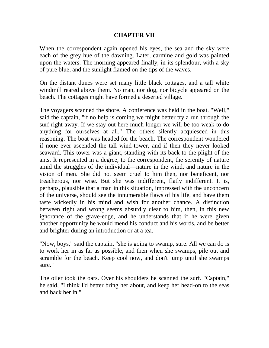### **CHAPTER VII**

When the correspondent again opened his eyes, the sea and the sky were each of the grey hue of the dawning. Later, carmine and gold was painted upon the waters. The morning appeared finally, in its splendour, with a sky of pure blue, and the sunlight flamed on the tips of the waves.

On the distant dunes were set many little black cottages, and a tall white windmill reared above them. No man, nor dog, nor bicycle appeared on the beach. The cottages might have formed a deserted village.

The voyagers scanned the shore. A conference was held in the boat. "Well," said the captain, "if no help is coming we might better try a run through the surf right away. If we stay out here much longer we will be too weak to do anything for ourselves at all." The others silently acquiesced in this reasoning. The boat was headed for the beach. The correspondent wondered if none ever ascended the tall wind-tower, and if then they never looked seaward. This tower was a giant, standing with its back to the plight of the ants. It represented in a degree, to the correspondent, the serenity of nature amid the struggles of the individual—nature in the wind, and nature in the vision of men. She did not seem cruel to him then, nor beneficent, nor treacherous, nor wise. But she was indifferent, flatly indifferent. It is, perhaps, plausible that a man in this situation, impressed with the unconcern of the universe, should see the innumerable flaws of his life, and have them taste wickedly in his mind and wish for another chance. A distinction between right and wrong seems absurdly clear to him, then, in this new ignorance of the grave-edge, and he understands that if he were given another opportunity he would mend his conduct and his words, and be better and brighter during an introduction or at a tea.

"Now, boys," said the captain, "she is going to swamp, sure. All we can do is to work her in as far as possible, and then when she swamps, pile out and scramble for the beach. Keep cool now, and don't jump until she swamps sure."

The oiler took the oars. Over his shoulders he scanned the surf. "Captain," he said, "I think I'd better bring her about, and keep her head-on to the seas and back her in."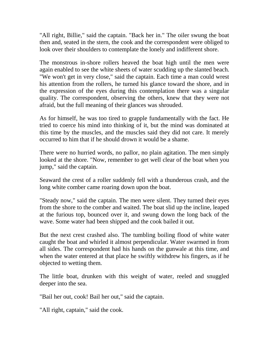"All right, Billie," said the captain. "Back her in." The oiler swung the boat then and, seated in the stern, the cook and the correspondent were obliged to look over their shoulders to contemplate the lonely and indifferent shore.

The monstrous in-shore rollers heaved the boat high until the men were again enabled to see the white sheets of water scudding up the slanted beach. "We won't get in very close," said the captain. Each time a man could wrest his attention from the rollers, he turned his glance toward the shore, and in the expression of the eyes during this contemplation there was a singular quality. The correspondent, observing the others, knew that they were not afraid, but the full meaning of their glances was shrouded.

As for himself, he was too tired to grapple fundamentally with the fact. He tried to coerce his mind into thinking of it, but the mind was dominated at this time by the muscles, and the muscles said they did not care. It merely occurred to him that if he should drown it would be a shame.

There were no hurried words, no pallor, no plain agitation. The men simply looked at the shore. "Now, remember to get well clear of the boat when you jump," said the captain.

Seaward the crest of a roller suddenly fell with a thunderous crash, and the long white comber came roaring down upon the boat.

"Steady now," said the captain. The men were silent. They turned their eyes from the shore to the comber and waited. The boat slid up the incline, leaped at the furious top, bounced over it, and swung down the long back of the wave. Some water had been shipped and the cook bailed it out.

But the next crest crashed also. The tumbling boiling flood of white water caught the boat and whirled it almost perpendicular. Water swarmed in from all sides. The correspondent had his hands on the gunwale at this time, and when the water entered at that place he swiftly withdrew his fingers, as if he objected to wetting them.

The little boat, drunken with this weight of water, reeled and snuggled deeper into the sea.

"Bail her out, cook! Bail her out," said the captain.

"All right, captain," said the cook.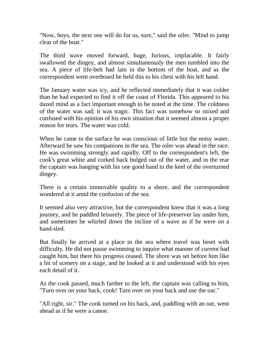"Now, boys, the next one will do for us, sure," said the oiler. "Mind to jump clear of the boat."

The third wave moved forward, huge, furious, implacable. It fairly swallowed the dingey, and almost simultaneously the men tumbled into the sea. A piece of life-belt had lain in the bottom of the boat, and as the correspondent went overboard he held this to his chest with his left hand.

The January water was icy, and he reflected immediately that it was colder than he had expected to find it off the coast of Florida. This appeared to his dazed mind as a fact important enough to be noted at the time. The coldness of the water was sad; it was tragic. This fact was somehow so mixed and confused with his opinion of his own situation that it seemed almost a proper reason for tears. The water was cold.

When he came to the surface he was conscious of little but the noisy water. Afterward he saw his companions in the sea. The oiler was ahead in the race. He was swimming strongly and rapidly. Off to the correspondent's left, the cook's great white and corked back bulged out of the water, and in the rear the captain was hanging with his one good hand to the keel of the overturned dingey.

There is a certain immovable quality to a shore, and the correspondent wondered at it amid the confusion of the sea.

It seemed also very attractive, but the correspondent knew that it was a long journey, and he paddled leisurely. The piece of life-preserver lay under him, and sometimes he whirled down the incline of a wave as if he were on a hand-sled.

But finally he arrived at a place in the sea where travel was beset with difficulty. He did not pause swimming to inquire what manner of current had caught him, but there his progress ceased. The shore was set before him like a bit of scenery on a stage, and he looked at it and understood with his eyes each detail of it.

As the cook passed, much farther to the left, the captain was calling to him, "Turn over on your back, cook! Turn over on your back and use the oar."

"All right, sir." The cook turned on his back, and, paddling with an oar, went ahead as if he were a canoe.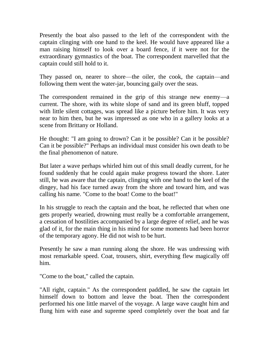Presently the boat also passed to the left of the correspondent with the captain clinging with one hand to the keel. He would have appeared like a man raising himself to look over a board fence, if it were not for the extraordinary gymnastics of the boat. The correspondent marvelled that the captain could still hold to it.

They passed on, nearer to shore—the oiler, the cook, the captain—and following them went the water-jar, bouncing gaily over the seas.

The correspondent remained in the grip of this strange new enemy—a current. The shore, with its white slope of sand and its green bluff, topped with little silent cottages, was spread like a picture before him. It was very near to him then, but he was impressed as one who in a gallery looks at a scene from Brittany or Holland.

He thought: "I am going to drown? Can it be possible? Can it be possible? Can it be possible?" Perhaps an individual must consider his own death to be the final phenomenon of nature.

But later a wave perhaps whirled him out of this small deadly current, for he found suddenly that he could again make progress toward the shore. Later still, he was aware that the captain, clinging with one hand to the keel of the dingey, had his face turned away from the shore and toward him, and was calling his name. "Come to the boat! Come to the boat!"

In his struggle to reach the captain and the boat, he reflected that when one gets properly wearied, drowning must really be a comfortable arrangement, a cessation of hostilities accompanied by a large degree of relief, and he was glad of it, for the main thing in his mind for some moments had been horror of the temporary agony. He did not wish to be hurt.

Presently he saw a man running along the shore. He was undressing with most remarkable speed. Coat, trousers, shirt, everything flew magically off him.

"Come to the boat," called the captain.

"All right, captain." As the correspondent paddled, he saw the captain let himself down to bottom and leave the boat. Then the correspondent performed his one little marvel of the voyage. A large wave caught him and flung him with ease and supreme speed completely over the boat and far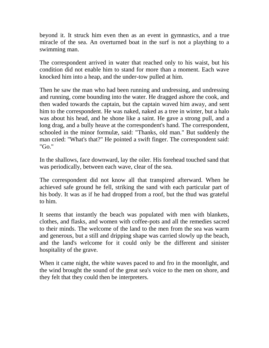beyond it. It struck him even then as an event in gymnastics, and a true miracle of the sea. An overturned boat in the surf is not a plaything to a swimming man.

The correspondent arrived in water that reached only to his waist, but his condition did not enable him to stand for more than a moment. Each wave knocked him into a heap, and the under-tow pulled at him.

Then he saw the man who had been running and undressing, and undressing and running, come bounding into the water. He dragged ashore the cook, and then waded towards the captain, but the captain waved him away, and sent him to the correspondent. He was naked, naked as a tree in winter, but a halo was about his head, and he shone like a saint. He gave a strong pull, and a long drag, and a bully heave at the correspondent's hand. The correspondent, schooled in the minor formulæ, said: "Thanks, old man." But suddenly the man cried: "What's that?" He pointed a swift finger. The correspondent said: "Go."

In the shallows, face downward, lay the oiler. His forehead touched sand that was periodically, between each wave, clear of the sea.

The correspondent did not know all that transpired afterward. When he achieved safe ground he fell, striking the sand with each particular part of his body. It was as if he had dropped from a roof, but the thud was grateful to him.

It seems that instantly the beach was populated with men with blankets, clothes, and flasks, and women with coffee-pots and all the remedies sacred to their minds. The welcome of the land to the men from the sea was warm and generous, but a still and dripping shape was carried slowly up the beach, and the land's welcome for it could only be the different and sinister hospitality of the grave.

When it came night, the white waves paced to and fro in the moonlight, and the wind brought the sound of the great sea's voice to the men on shore, and they felt that they could then be interpreters.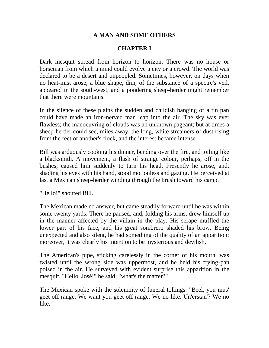# **A MAN AND SOME OTHERS**

# **CHAPTER I**

Dark mesquit spread from horizon to horizon. There was no house or horseman from which a mind could evolve a city or a crowd. The world was declared to be a desert and unpeopled. Sometimes, however, on days when no heat-mist arose, a blue shape, dim, of the substance of a spectre's veil, appeared in the south-west, and a pondering sheep-herder might remember that there were mountains.

In the silence of these plains the sudden and childish banging of a tin pan could have made an iron-nerved man leap into the air. The sky was ever flawless; the manoeuvring of clouds was an unknown pageant; but at times a sheep-herder could see, miles away, the long, white streamers of dust rising from the feet of another's flock, and the interest became intense.

Bill was arduously cooking his dinner, bending over the fire, and toiling like a blacksmith. A movement, a flash of strange colour, perhaps, off in the bushes, caused him suddenly to turn his head. Presently he arose, and, shading his eyes with his hand, stood motionless and gazing. He perceived at last a Mexican sheep-herder winding through the brush toward his camp.

"Hello!" shouted Bill.

The Mexican made no answer, but came steadily forward until he was within some twenty yards. There he paused, and, folding his arms, drew himself up in the manner affected by the villain in the play. His serape muffled the lower part of his face, and his great sombrero shaded his brow. Being unexpected and also silent, he had something of the quality of an apparition; moreover, it was clearly his intention to be mysterious and devilish.

The American's pipe, sticking carelessly in the corner of his mouth, was twisted until the wrong side was uppermost, and he held his frying-pan poised in the air. He surveyed with evident surprise this apparition in the mesquit. "Hello, José!" he said; "what's the matter?"

The Mexican spoke with the solemnity of funeral tollings: "Beel, you mus' geet off range. We want you geet off range. We no like. Un'erstan'? We no like."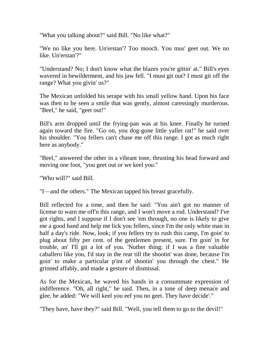"What you talking about?" said Bill. "No like what?"

"We no like you here. Un'erstan'? Too mooch. You mus' geet out. We no like. Un'erstan'?"

"Understand? No; I don't know what the blazes you're gittin' at." Bill's eyes wavered in bewilderment, and his jaw fell. "I must git out? I must git off the range? What you givin' us?"

The Mexican unfolded his serape with his small yellow hand. Upon his face was then to be seen a smile that was gently, almost caressingly murderous. "Beel," he said, "geet out!"

Bill's arm dropped until the frying-pan was at his knee. Finally he turned again toward the fire. "Go on, you dog-gone little yaller rat!" he said over his shoulder. "You fellers can't chase me off this range. I got as much right here as anybody."

"Beel," answered the other in a vibrant tone, thrusting his head forward and moving one foot, "you geet out or we keel you."

"Who will?" said Bill.

"I—and the others." The Mexican tapped his breast gracefully.

Bill reflected for a time, and then he said: "You ain't got no manner of license to warn me off'n this range, and I won't move a rod. Understand? I've got rights, and I suppose if I don't see 'em through, no one is likely to give me a good hand and help me lick you fellers, since I'm the only white man in half a day's ride. Now, look; if you fellers try to rush this camp, I'm goin' to plug about fifty per cent. of the gentlemen present, sure. I'm goin' in for trouble, an' I'll git a lot of you. 'Nuther thing: if I was a fine valuable caballero like you, I'd stay in the rear till the shootin' was done, because I'm goin' to make a particular p'int of shootin' you through the chest." He grinned affably, and made a gesture of dismissal.

As for the Mexican, he waved his hands in a consummate expression of indifference. "Oh, all right," he said. Then, in a tone of deep menace and glee, he added: "We will keel you eef you no geet. They have decide'."

"They have, have they?" said Bill. "Well, you tell them to go to the devil!"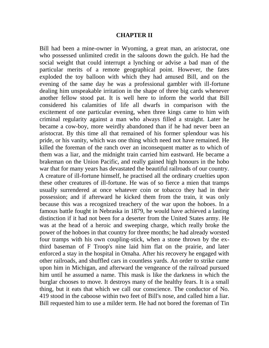#### **CHAPTER II**

Bill had been a mine-owner in Wyoming, a great man, an aristocrat, one who possessed unlimited credit in the saloons down the gulch. He had the social weight that could interrupt a lynching or advise a bad man of the particular merits of a remote geographical point. However, the fates exploded the toy balloon with which they had amused Bill, and on the evening of the same day he was a professional gambler with ill-fortune dealing him unspeakable irritation in the shape of three big cards whenever another fellow stood pat. It is well here to inform the world that Bill considered his calamities of life all dwarfs in comparison with the excitement of one particular evening, when three kings came to him with criminal regularity against a man who always filled a straight. Later he became a cow-boy, more weirdly abandoned than if he had never been an aristocrat. By this time all that remained of his former splendour was his pride, or his vanity, which was one thing which need not have remained. He killed the foreman of the ranch over an inconsequent matter as to which of them was a liar, and the midnight train carried him eastward. He became a brakeman on the Union Pacific, and really gained high honours in the hobo war that for many years has devastated the beautiful railroads of our country. A creature of ill-fortune himself, he practised all the ordinary cruelties upon these other creatures of ill-fortune. He was of so fierce a mien that tramps usually surrendered at once whatever coin or tobacco they had in their possession; and if afterward he kicked them from the train, it was only because this was a recognized treachery of the war upon the hoboes. In a famous battle fought in Nebraska in 1879, he would have achieved a lasting distinction if it had not been for a deserter from the United States army. He was at the head of a heroic and sweeping charge, which really broke the power of the hoboes in that country for three months; he had already worsted four tramps with his own coupling-stick, when a stone thrown by the exthird baseman of F Troop's nine laid him flat on the prairie, and later enforced a stay in the hospital in Omaha. After his recovery he engaged with other railroads, and shuffled cars in countless yards. An order to strike came upon him in Michigan, and afterward the vengeance of the railroad pursued him until he assumed a name. This mask is like the darkness in which the burglar chooses to move. It destroys many of the healthy fears. It is a small thing, but it eats that which we call our conscience. The conductor of No. 419 stood in the caboose within two feet of Bill's nose, and called him a liar. Bill requested him to use a milder term. He had not bored the foreman of Tin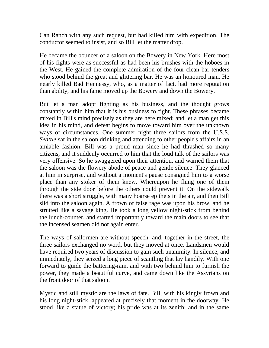Can Ranch with any such request, but had killed him with expedition. The conductor seemed to insist, and so Bill let the matter drop.

He became the bouncer of a saloon on the Bowery in New York. Here most of his fights were as successful as had been his brushes with the hoboes in the West. He gained the complete admiration of the four clean bar-tenders who stood behind the great and glittering bar. He was an honoured man. He nearly killed Bad Hennessy, who, as a matter of fact, had more reputation than ability, and his fame moved up the Bowery and down the Bowery.

But let a man adopt fighting as his business, and the thought grows constantly within him that it is his business to fight. These phrases became mixed in Bill's mind precisely as they are here mixed; and let a man get this idea in his mind, and defeat begins to move toward him over the unknown ways of circumstances. One summer night three sailors from the U.S.S. *Seattle* sat in the saloon drinking and attending to other people's affairs in an amiable fashion. Bill was a proud man since he had thrashed so many citizens, and it suddenly occurred to him that the loud talk of the sailors was very offensive. So he swaggered upon their attention, and warned them that the saloon was the flowery abode of peace and gentle silence. They glanced at him in surprise, and without a moment's pause consigned him to a worse place than any stoker of them knew. Whereupon he flung one of them through the side door before the others could prevent it. On the sidewalk there was a short struggle, with many hoarse epithets in the air, and then Bill slid into the saloon again. A frown of false rage was upon his brow, and he strutted like a savage king. He took a long yellow night-stick from behind the lunch-counter, and started importantly toward the main doors to see that the incensed seamen did not again enter.

The ways of sailormen are without speech, and, together in the street, the three sailors exchanged no word, but they moved at once. Landsmen would have required two years of discussion to gain such unanimity. In silence, and immediately, they seized a long piece of scantling that lay handily. With one forward to guide the battering-ram, and with two behind him to furnish the power, they made a beautiful curve, and came down like the Assyrians on the front door of that saloon.

Mystic and still mystic are the laws of fate. Bill, with his kingly frown and his long night-stick, appeared at precisely that moment in the doorway. He stood like a statue of victory; his pride was at its zenith; and in the same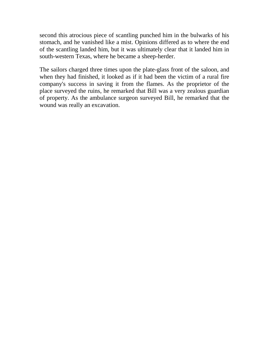second this atrocious piece of scantling punched him in the bulwarks of his stomach, and he vanished like a mist. Opinions differed as to where the end of the scantling landed him, but it was ultimately clear that it landed him in south-western Texas, where he became a sheep-herder.

The sailors charged three times upon the plate-glass front of the saloon, and when they had finished, it looked as if it had been the victim of a rural fire company's success in saving it from the flames. As the proprietor of the place surveyed the ruins, he remarked that Bill was a very zealous guardian of property. As the ambulance surgeon surveyed Bill, he remarked that the wound was really an excavation.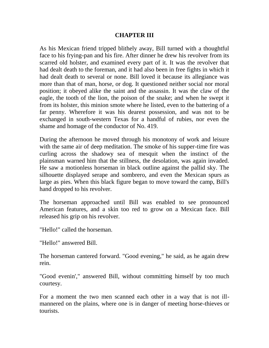#### **CHAPTER III**

As his Mexican friend tripped blithely away, Bill turned with a thoughtful face to his frying-pan and his fire. After dinner he drew his revolver from its scarred old holster, and examined every part of it. It was the revolver that had dealt death to the foreman, and it had also been in free fights in which it had dealt death to several or none. Bill loved it because its allegiance was more than that of man, horse, or dog. It questioned neither social nor moral position; it obeyed alike the saint and the assassin. It was the claw of the eagle, the tooth of the lion, the poison of the snake; and when he swept it from its holster, this minion smote where he listed, even to the battering of a far penny. Wherefore it was his dearest possession, and was not to be exchanged in south-western Texas for a handful of rubies, nor even the shame and homage of the conductor of No. 419.

During the afternoon he moved through his monotony of work and leisure with the same air of deep meditation. The smoke of his supper-time fire was curling across the shadowy sea of mesquit when the instinct of the plainsman warned him that the stillness, the desolation, was again invaded. He saw a motionless horseman in black outline against the pallid sky. The silhouette displayed serape and sombrero, and even the Mexican spurs as large as pies. When this black figure began to move toward the camp, Bill's hand dropped to his revolver.

The horseman approached until Bill was enabled to see pronounced American features, and a skin too red to grow on a Mexican face. Bill released his grip on his revolver.

"Hello!" called the horseman.

"Hello!" answered Bill.

The horseman cantered forward. "Good evening," he said, as he again drew rein.

"Good evenin'," answered Bill, without committing himself by too much courtesy.

For a moment the two men scanned each other in a way that is not illmannered on the plains, where one is in danger of meeting horse-thieves or tourists.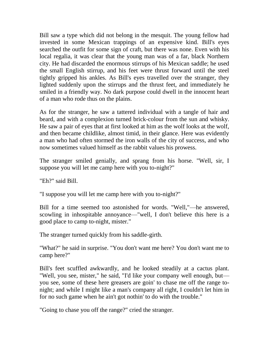Bill saw a type which did not belong in the mesquit. The young fellow had invested in some Mexican trappings of an expensive kind. Bill's eyes searched the outfit for some sign of craft, but there was none. Even with his local regalia, it was clear that the young man was of a far, black Northern city. He had discarded the enormous stirrups of his Mexican saddle; he used the small English stirrup, and his feet were thrust forward until the steel tightly gripped his ankles. As Bill's eyes travelled over the stranger, they lighted suddenly upon the stirrups and the thrust feet, and immediately he smiled in a friendly way. No dark purpose could dwell in the innocent heart of a man who rode thus on the plains.

As for the stranger, he saw a tattered individual with a tangle of hair and beard, and with a complexion turned brick-colour from the sun and whisky. He saw a pair of eyes that at first looked at him as the wolf looks at the wolf, and then became childlike, almost timid, in their glance. Here was evidently a man who had often stormed the iron walls of the city of success, and who now sometimes valued himself as the rabbit values his prowess.

The stranger smiled genially, and sprang from his horse. "Well, sir, I suppose you will let me camp here with you to-night?"

"Eh?" said Bill.

"I suppose you will let me camp here with you to-night?"

Bill for a time seemed too astonished for words. "Well,"—he answered, scowling in inhospitable annoyance—"well, I don't believe this here is a good place to camp to-night, mister."

The stranger turned quickly from his saddle-girth.

"What?" he said in surprise. "You don't want me here? You don't want me to camp here?"

Bill's feet scuffled awkwardly, and he looked steadily at a cactus plant. "Well, you see, mister," he said, "I'd like your company well enough, but you see, some of these here greasers are goin' to chase me off the range tonight; and while I might like a man's company all right, I couldn't let him in for no such game when he ain't got nothin' to do with the trouble."

"Going to chase you off the range?" cried the stranger.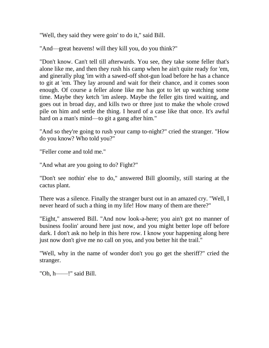"Well, they said they were goin' to do it," said Bill.

"And—great heavens! will they kill you, do you think?"

"Don't know. Can't tell till afterwards. You see, they take some feller that's alone like me, and then they rush his camp when he ain't quite ready for 'em, and ginerally plug 'im with a sawed-off shot-gun load before he has a chance to git at 'em. They lay around and wait for their chance, and it comes soon enough. Of course a feller alone like me has got to let up watching some time. Maybe they ketch 'im asleep. Maybe the feller gits tired waiting, and goes out in broad day, and kills two or three just to make the whole crowd pile on him and settle the thing. I heard of a case like that once. It's awful hard on a man's mind—to git a gang after him."

"And so they're going to rush your camp to-night?" cried the stranger. "How do you know? Who told you?"

"Feller come and told me."

"And what are you going to do? Fight?"

"Don't see nothin' else to do," answered Bill gloomily, still staring at the cactus plant.

There was a silence. Finally the stranger burst out in an amazed cry. "Well, I never heard of such a thing in my life! How many of them are there?"

"Eight," answered Bill. "And now look-a-here; you ain't got no manner of business foolin' around here just now, and you might better lope off before dark. I don't ask no help in this here row. I know your happening along here just now don't give me no call on you, and you better hit the trail."

"Well, why in the name of wonder don't you go get the sheriff?" cried the stranger.

"Oh, h——!" said Bill.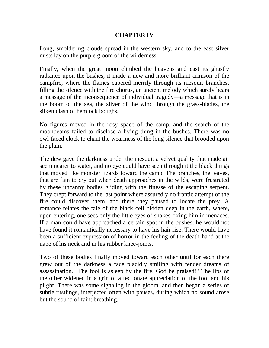## **CHAPTER IV**

Long, smoldering clouds spread in the western sky, and to the east silver mists lay on the purple gloom of the wilderness.

Finally, when the great moon climbed the heavens and cast its ghastly radiance upon the bushes, it made a new and more brilliant crimson of the campfire, where the flames capered merrily through its mesquit branches, filling the silence with the fire chorus, an ancient melody which surely bears a message of the inconsequence of individual tragedy—a message that is in the boom of the sea, the sliver of the wind through the grass-blades, the silken clash of hemlock boughs.

No figures moved in the rosy space of the camp, and the search of the moonbeams failed to disclose a living thing in the bushes. There was no owl-faced clock to chant the weariness of the long silence that brooded upon the plain.

The dew gave the darkness under the mesquit a velvet quality that made air seem nearer to water, and no eye could have seen through it the black things that moved like monster lizards toward the camp. The branches, the leaves, that are fain to cry out when death approaches in the wilds, were frustrated by these uncanny bodies gliding with the finesse of the escaping serpent. They crept forward to the last point where assuredly no frantic attempt of the fire could discover them, and there they paused to locate the prey. A romance relates the tale of the black cell hidden deep in the earth, where, upon entering, one sees only the little eyes of snakes fixing him in menaces. If a man could have approached a certain spot in the bushes, he would not have found it romantically necessary to have his hair rise. There would have been a sufficient expression of horror in the feeling of the death-hand at the nape of his neck and in his rubber knee-joints.

Two of these bodies finally moved toward each other until for each there grew out of the darkness a face placidly smiling with tender dreams of assassination. "The fool is asleep by the fire, God be praised!" The lips of the other widened in a grin of affectionate appreciation of the fool and his plight. There was some signaling in the gloom, and then began a series of subtle rustlings, interjected often with pauses, during which no sound arose but the sound of faint breathing.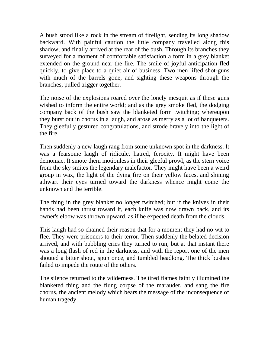A bush stood like a rock in the stream of firelight, sending its long shadow backward. With painful caution the little company travelled along this shadow, and finally arrived at the rear of the bush. Through its branches they surveyed for a moment of comfortable satisfaction a form in a grey blanket extended on the ground near the fire. The smile of joyful anticipation fled quickly, to give place to a quiet air of business. Two men lifted shot-guns with much of the barrels gone, and sighting these weapons through the branches, pulled trigger together.

The noise of the explosions roared over the lonely mesquit as if these guns wished to inform the entire world; and as the grey smoke fled, the dodging company back of the bush saw the blanketed form twitching; whereupon they burst out in chorus in a laugh, and arose as merry as a lot of banqueters. They gleefully gestured congratulations, and strode bravely into the light of the fire.

Then suddenly a new laugh rang from some unknown spot in the darkness. It was a fearsome laugh of ridicule, hatred, ferocity. It might have been demoniac. It smote them motionless in their gleeful prowl, as the stern voice from the sky smites the legendary malefactor. They might have been a weird group in wax, the light of the dying fire on their yellow faces, and shining athwart their eyes turned toward the darkness whence might come the unknown and the terrible.

The thing in the grey blanket no longer twitched; but if the knives in their hands had been thrust toward it, each knife was now drawn back, and its owner's elbow was thrown upward, as if he expected death from the clouds.

This laugh had so chained their reason that for a moment they had no wit to flee. They were prisoners to their terror. Then suddenly the belated decision arrived, and with bubbling cries they turned to run; but at that instant there was a long flash of red in the darkness, and with the report one of the men shouted a bitter shout, spun once, and tumbled headlong. The thick bushes failed to impede the route of the others.

The silence returned to the wilderness. The tired flames faintly illumined the blanketed thing and the flung corpse of the marauder, and sang the fire chorus, the ancient melody which bears the message of the inconsequence of human tragedy.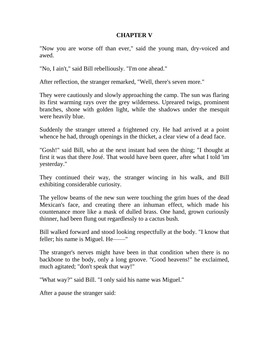### **CHAPTER V**

"Now you are worse off than ever," said the young man, dry-voiced and awed.

"No, I ain't," said Bill rebelliously. "I'm one ahead."

After reflection, the stranger remarked, "Well, there's seven more."

They were cautiously and slowly approaching the camp. The sun was flaring its first warming rays over the grey wilderness. Upreared twigs, prominent branches, shone with golden light, while the shadows under the mesquit were heavily blue.

Suddenly the stranger uttered a frightened cry. He had arrived at a point whence he had, through openings in the thicket, a clear view of a dead face.

"Gosh!" said Bill, who at the next instant had seen the thing; "I thought at first it was that there José. That would have been queer, after what I told 'im yesterday."

They continued their way, the stranger wincing in his walk, and Bill exhibiting considerable curiosity.

The yellow beams of the new sun were touching the grim hues of the dead Mexican's face, and creating there an inhuman effect, which made his countenance more like a mask of dulled brass. One hand, grown curiously thinner, had been flung out regardlessly to a cactus bush.

Bill walked forward and stood looking respectfully at the body. "I know that feller; his name is Miguel. He——"

The stranger's nerves might have been in that condition when there is no backbone to the body, only a long groove. "Good heavens!" he exclaimed, much agitated; "don't speak that way!"

"What way?" said Bill. "I only said his name was Miguel."

After a pause the stranger said: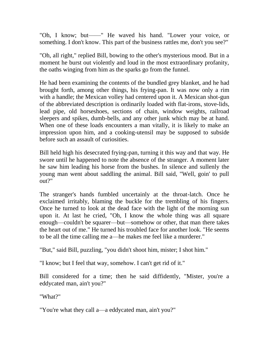"Oh, I know; but——" He waved his hand. "Lower your voice, or something. I don't know. This part of the business rattles me, don't you see?"

"Oh, all right," replied Bill, bowing to the other's mysterious mood. But in a moment he burst out violently and loud in the most extraordinary profanity, the oaths winging from him as the sparks go from the funnel.

He had been examining the contents of the bundled grey blanket, and he had brought forth, among other things, his frying-pan. It was now only a rim with a handle; the Mexican volley had centered upon it. A Mexican shot-gun of the abbreviated description is ordinarily loaded with flat-irons, stove-lids, lead pipe, old horseshoes, sections of chain, window weights, railroad sleepers and spikes, dumb-bells, and any other junk which may be at hand. When one of these loads encounters a man vitally, it is likely to make an impression upon him, and a cooking-utensil may be supposed to subside before such an assault of curiosities.

Bill held high his desecrated frying-pan, turning it this way and that way. He swore until he happened to note the absence of the stranger. A moment later he saw him leading his horse from the bushes. In silence and sullenly the young man went about saddling the animal. Bill said, "Well, goin' to pull out?"

The stranger's hands fumbled uncertainly at the throat-latch. Once he exclaimed irritably, blaming the buckle for the trembling of his fingers. Once he turned to look at the dead face with the light of the morning sun upon it. At last he cried, "Oh, I know the whole thing was all square enough—couldn't be squarer—but—somehow or other, that man there takes the heart out of me." He turned his troubled face for another look. "He seems to be all the time calling me a—he makes me feel like a murderer."

"But," said Bill, puzzling, "you didn't shoot him, mister; I shot him."

"I know; but I feel that way, somehow. I can't get rid of it."

Bill considered for a time; then he said diffidently, "Mister, you're a eddycated man, ain't you?"

"What?"

"You're what they call a—a eddycated man, ain't you?"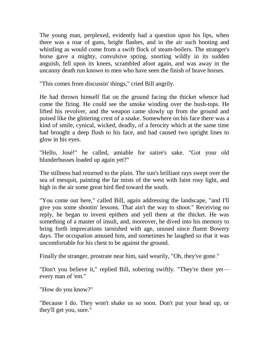The young man, perplexed, evidently had a question upon his lips, when there was a roar of guns, bright flashes, and in the air such hooting and whistling as would come from a swift flock of steam-boilers. The stranger's horse gave a mighty, convulsive spring, snorting wildly in its sudden anguish, fell upon its knees, scrambled afoot again, and was away in the uncanny death run known to men who have seen the finish of brave horses.

"This comes from discussin' things," cried Bill angrily.

He had thrown himself flat on the ground facing the thicket whence had come the firing. He could see the smoke winding over the bush-tops. He lifted his revolver, and the weapon came slowly up from the ground and poised like the glittering crest of a snake. Somewhere on his face there was a kind of smile, cynical, wicked, deadly, of a ferocity which at the same time had brought a deep flush to his face, and had caused two upright lines to glow in his eyes.

"Hello, José!" he called, amiable for satire's sake. "Got your old blunderbusses loaded up again yet?"

The stillness had returned to the plain. The sun's brilliant rays swept over the sea of mesquit, painting the far mists of the west with faint rosy light, and high in the air some great bird fled toward the south.

"You come out here," called Bill, again addressing the landscape, "and I'll give you some shootin' lessons. That ain't the way to shoot." Receiving no reply, he began to invent epithets and yell them at the thicket. He was something of a master of insult, and, moreover, he dived into his memory to bring forth imprecations tarnished with age, unused since fluent Bowery days. The occupation amused him, and sometimes he laughed so that it was uncomfortable for his chest to be against the ground.

Finally the stranger, prostrate near him, said wearily, "Oh, they've gone."

"Don't you believe it," replied Bill, sobering swiftly. "They're there yet every man of 'em."

"How do you know?"

"Because I do. They won't shake us so soon. Don't put your head up, or they'll get you, sure."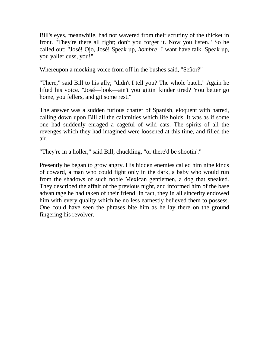Bill's eyes, meanwhile, had not wavered from their scrutiny of the thicket in front. "They're there all right; don't you forget it. Now you listen." So he called out: "José! Ojo, José! Speak up, *hombre*! I want have talk. Speak up, you yaller cuss, you!"

Whereupon a mocking voice from off in the bushes said, "Señor?"

"There," said Bill to his ally; "didn't I tell you? The whole batch." Again he lifted his voice. "José—look—ain't you gittin' kinder tired? You better go home, you fellers, and git some rest."

The answer was a sudden furious chatter of Spanish, eloquent with hatred, calling down upon Bill all the calamities which life holds. It was as if some one had suddenly enraged a cageful of wild cats. The spirits of all the revenges which they had imagined were loosened at this time, and filled the air.

"They're in a holler," said Bill, chuckling, "or there'd be shootin'."

Presently he began to grow angry. His hidden enemies called him nine kinds of coward, a man who could fight only in the dark, a baby who would run from the shadows of such noble Mexican gentlemen, a dog that sneaked. They described the affair of the previous night, and informed him of the base advan tage he had taken of their friend. In fact, they in all sincerity endowed him with every quality which he no less earnestly believed them to possess. One could have seen the phrases bite him as he lay there on the ground fingering his revolver.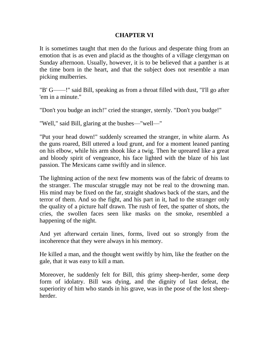## **CHAPTER VI**

It is sometimes taught that men do the furious and desperate thing from an emotion that is as even and placid as the thoughts of a village clergyman on Sunday afternoon. Usually, however, it is to be believed that a panther is at the time born in the heart, and that the subject does not resemble a man picking mulberries.

"B' G——!" said Bill, speaking as from a throat filled with dust, "I'll go after 'em in a minute."

"Don't you budge an inch!" cried the stranger, sternly. "Don't you budge!"

"Well," said Bill, glaring at the bushes—"well—"

"Put your head down!" suddenly screamed the stranger, in white alarm. As the guns roared, Bill uttered a loud grunt, and for a moment leaned panting on his elbow, while his arm shook like a twig. Then he upreared like a great and bloody spirit of vengeance, his face lighted with the blaze of his last passion. The Mexicans came swiftly and in silence.

The lightning action of the next few moments was of the fabric of dreams to the stranger. The muscular struggle may not be real to the drowning man. His mind may be fixed on the far, straight shadows back of the stars, and the terror of them. And so the fight, and his part in it, had to the stranger only the quality of a picture half drawn. The rush of feet, the spatter of shots, the cries, the swollen faces seen like masks on the smoke, resembled a happening of the night.

And yet afterward certain lines, forms, lived out so strongly from the incoherence that they were always in his memory.

He killed a man, and the thought went swiftly by him, like the feather on the gale, that it was easy to kill a man.

Moreover, he suddenly felt for Bill, this grimy sheep-herder, some deep form of idolatry. Bill was dying, and the dignity of last defeat, the superiority of him who stands in his grave, was in the pose of the lost sheepherder.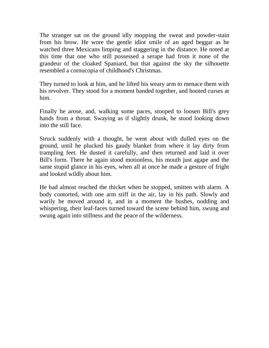The stranger sat on the ground idly mopping the sweat and powder-stain from his brow. He wore the gentle idiot smile of an aged beggar as he watched three Mexicans limping and staggering in the distance. He noted at this time that one who still possessed a serape had from it none of the grandeur of the cloaked Spaniard, but that against the sky the silhouette resembled a cornucopia of childhood's Christmas.

They turned to look at him, and he lifted his weary arm to menace them with his revolver. They stood for a moment banded together, and hooted curses at him.

Finally he arose, and, walking some paces, stooped to loosen Bill's grey hands from a throat. Swaying as if slightly drunk, he stood looking down into the still face.

Struck suddenly with a thought, he went about with dulled eyes on the ground, until he plucked his gaudy blanket from where it lay dirty from trampling feet. He dusted it carefully, and then returned and laid it over Bill's form. There he again stood motionless, his mouth just agape and the same stupid glance in his eyes, when all at once he made a gesture of fright and looked wildly about him.

He had almost reached the thicket when he stopped, smitten with alarm. A body contorted, with one arm stiff in the air, lay in his path. Slowly and warily he moved around it, and in a moment the bushes, nodding and whispering, their leaf-faces turned toward the scene behind him, swung and swung again into stillness and the peace of the wilderness.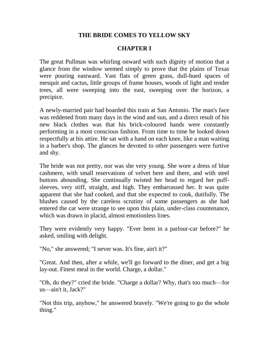# **THE BRIDE COMES TO YELLOW SKY**

# **CHAPTER I**

The great Pullman was whirling onward with such dignity of motion that a glance from the window seemed simply to prove that the plains of Texas were pouring eastward. Vast flats of green grass, dull-hued spaces of mesquit and cactus, little groups of frame houses, woods of light and tender trees, all were sweeping into the east, sweeping over the horizon, a precipice.

A newly-married pair had boarded this train at San Antonio. The man's face was reddened from many days in the wind and sun, and a direct result of his new black clothes was that his brick-coloured hands were constantly performing in a most conscious fashion. From time to time he looked down respectfully at his attire. He sat with a hand on each knee, like a man waiting in a barber's shop. The glances he devoted to other passengers were furtive and shy.

The bride was not pretty, nor was she very young. She wore a dress of blue cashmere, with small reservations of velvet here and there, and with steel buttons abounding. She continually twisted her head to regard her puffsleeves, very stiff, straight, and high. They embarrassed her. It was quite apparent that she had cooked, and that she expected to cook, dutifully. The blushes caused by the careless scrutiny of some passengers as she had entered the car were strange to see upon this plain, under-class countenance, which was drawn in placid, almost emotionless lines.

They were evidently very happy. "Ever been in a parlour-car before?" he asked, smiling with delight.

"No," she answered; "I never was. It's fine, ain't it?"

"Great. And then, after a while, we'll go forward to the diner, and get a big lay-out. Finest meal in the world. Charge, a dollar."

"Oh, do they?" cried the bride. "Charge a dollar? Why, that's too much—for us—ain't it, Jack?"

"Not this trip, anyhow," he answered bravely. "We're going to go the whole thing."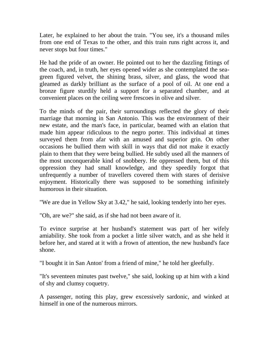Later, he explained to her about the train. "You see, it's a thousand miles from one end of Texas to the other, and this train runs right across it, and never stops but four times."

He had the pride of an owner. He pointed out to her the dazzling fittings of the coach, and, in truth, her eyes opened wider as she contemplated the seagreen figured velvet, the shining brass, silver, and glass, the wood that gleamed as darkly brilliant as the surface of a pool of oil. At one end a bronze figure sturdily held a support for a separated chamber, and at convenient places on the ceiling were frescoes in olive and silver.

To the minds of the pair, their surroundings reflected the glory of their marriage that morning in San Antonio. This was the environment of their new estate, and the man's face, in particular, beamed with an elation that made him appear ridiculous to the negro porter. This individual at times surveyed them from afar with an amused and superior grin. On other occasions he bullied them with skill in ways that did not make it exactly plain to them that they were being bullied. He subtly used all the manners of the most unconquerable kind of snobbery. He oppressed them, but of this oppression they had small knowledge, and they speedily forgot that unfrequently a number of travellers covered them with stares of derisive enjoyment. Historically there was supposed to be something infinitely humorous in their situation.

"We are due in Yellow Sky at 3.42," he said, looking tenderly into her eyes.

"Oh, are we?" she said, as if she had not been aware of it.

To evince surprise at her husband's statement was part of her wifely amiability. She took from a pocket a little silver watch, and as she held it before her, and stared at it with a frown of attention, the new husband's face shone.

"I bought it in San Anton' from a friend of mine," he told her gleefully.

"It's seventeen minutes past twelve," she said, looking up at him with a kind of shy and clumsy coquetry.

A passenger, noting this play, grew excessively sardonic, and winked at himself in one of the numerous mirrors.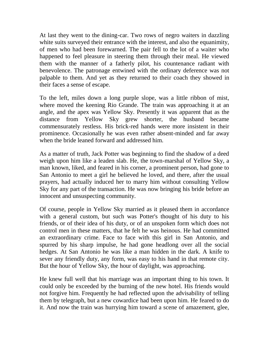At last they went to the dining-car. Two rows of negro waiters in dazzling white suits surveyed their entrance with the interest, and also the equanimity, of men who had been forewarned. The pair fell to the lot of a waiter who happened to feel pleasure in steering them through their meal. He viewed them with the manner of a fatherly pilot, his countenance radiant with benevolence. The patronage entwined with the ordinary deference was not palpable to them. And yet as they returned to their coach they showed in their faces a sense of escape.

To the left, miles down a long purple slope, was a little ribbon of mist, where moved the keening Rio Grande. The train was approaching it at an angle, and the apex was Yellow Sky. Presently it was apparent that as the distance from Yellow Sky grew shorter, the husband became commensurately restless. His brick-red hands were more insistent in their prominence. Occasionally he was even rather absent-minded and far away when the bride leaned forward and addressed him.

As a matter of truth, Jack Potter was beginning to find the shadow of a deed weigh upon him like a leaden slab. He, the town-marshal of Yellow Sky, a man known, liked, and feared in his corner, a prominent person, had gone to San Antonio to meet a girl he believed he loved, and there, after the usual prayers, had actually induced her to marry him without consulting Yellow Sky for any part of the transaction. He was now bringing his bride before an innocent and unsuspecting community.

Of course, people in Yellow Sky married as it pleased them in accordance with a general custom, but such was Potter's thought of his duty to his friends, or of their idea of his duty, or of an unspoken form which does not control men in these matters, that he felt he was heinous. He had committed an extraordinary crime. Face to face with this girl in San Antonio, and spurred by his sharp impulse, he had gone headlong over all the social hedges. At San Antonio he was like a man hidden in the dark. A knife to sever any friendly duty, any form, was easy to his hand in that remote city. But the hour of Yellow Sky, the hour of daylight, was approaching.

He knew full well that his marriage was an important thing to his town. It could only be exceeded by the burning of the new hotel. His friends would not forgive him. Frequently he had reflected upon the advisability of telling them by telegraph, but a new cowardice had been upon him. He feared to do it. And now the train was hurrying him toward a scene of amazement, glee,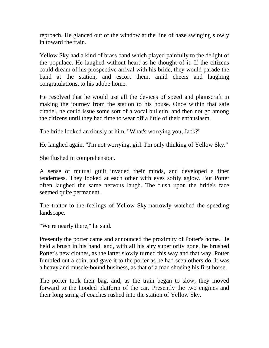reproach. He glanced out of the window at the line of haze swinging slowly in toward the train.

Yellow Sky had a kind of brass band which played painfully to the delight of the populace. He laughed without heart as he thought of it. If the citizens could dream of his prospective arrival with his bride, they would parade the band at the station, and escort them, amid cheers and laughing congratulations, to his adobe home.

He resolved that he would use all the devices of speed and plainscraft in making the journey from the station to his house. Once within that safe citadel, he could issue some sort of a vocal bulletin, and then not go among the citizens until they had time to wear off a little of their enthusiasm.

The bride looked anxiously at him. "What's worrying you, Jack?"

He laughed again. "I'm not worrying, girl. I'm only thinking of Yellow Sky."

She flushed in comprehension.

A sense of mutual guilt invaded their minds, and developed a finer tenderness. They looked at each other with eyes softly aglow. But Potter often laughed the same nervous laugh. The flush upon the bride's face seemed quite permanent.

The traitor to the feelings of Yellow Sky narrowly watched the speeding landscape.

"We're nearly there," he said.

Presently the porter came and announced the proximity of Potter's home. He held a brush in his hand, and, with all his airy superiority gone, he brushed Potter's new clothes, as the latter slowly turned this way and that way. Potter fumbled out a coin, and gave it to the porter as he had seen others do. It was a heavy and muscle-bound business, as that of a man shoeing his first horse.

The porter took their bag, and, as the train began to slow, they moved forward to the hooded platform of the car. Presently the two engines and their long string of coaches rushed into the station of Yellow Sky.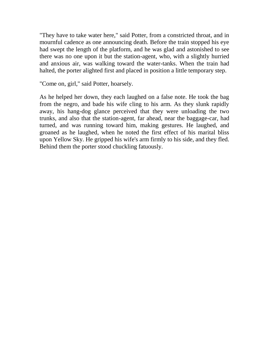"They have to take water here," said Potter, from a constricted throat, and in mournful cadence as one announcing death. Before the train stopped his eye had swept the length of the platform, and he was glad and astonished to see there was no one upon it but the station-agent, who, with a slightly hurried and anxious air, was walking toward the water-tanks. When the train had halted, the porter alighted first and placed in position a little temporary step.

"Come on, girl," said Potter, hoarsely.

As he helped her down, they each laughed on a false note. He took the bag from the negro, and bade his wife cling to his arm. As they slunk rapidly away, his hang-dog glance perceived that they were unloading the two trunks, and also that the station-agent, far ahead, near the baggage-car, had turned, and was running toward him, making gestures. He laughed, and groaned as he laughed, when he noted the first effect of his marital bliss upon Yellow Sky. He gripped his wife's arm firmly to his side, and they fled. Behind them the porter stood chuckling fatuously.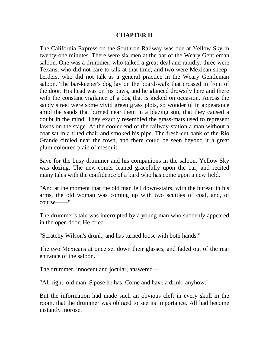#### **CHAPTER II**

The California Express on the Southron Railway was due at Yellow Sky in twenty-one minutes. There were six men at the bar of the Weary Gentleman saloon. One was a drummer, who talked a great deal and rapidly; three were Texans, who did not care to talk at that time; and two were Mexican sheepherders, who did not talk as a general practice in the Weary Gentleman saloon. The bar-keeper's dog lay on the board-walk that crossed in front of the door. His head was on his paws, and he glanced drowsily here and there with the constant vigilance of a dog that is kicked on occasion. Across the sandy street were some vivid green grass plots, so wonderful in appearance amid the sands that burned near them in a blazing sun, that they caused a doubt in the mind. They exactly resembled the grass-mats used to represent lawns on the stage. At the cooler end of the railway-station a man without a coat sat in a tilted chair and smoked his pipe. The fresh-cut bank of the Rio Grande circled near the town, and there could be seen beyond it a great plum-coloured plain of mesquit.

Save for the busy drummer and his companions in the saloon, Yellow Sky was dozing. The new-comer leaned gracefully upon the bar, and recited many tales with the confidence of a bard who has come upon a new field.

"And at the moment that the old man fell down-stairs, with the bureau in his arms, the old woman was coming up with two scuttles of coal, and, of course——"

The drummer's tale was interrupted by a young man who suddenly appeared in the open door. He cried—

"Scratchy Wilson's drunk, and has turned loose with both hands."

The two Mexicans at once set down their glasses, and faded out of the rear entrance of the saloon.

The drummer, innocent and jocular, answered—

"All right, old man. S'pose he has. Come and have a drink, anyhow."

But the information had made such an obvious cleft in every skull in the room, that the drummer was obliged to see its importance. All had become instantly morose.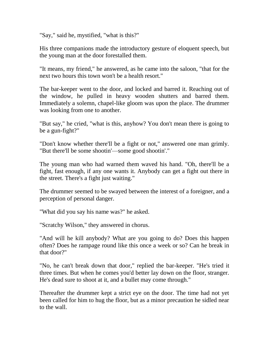"Say," said he, mystified, "what is this?"

His three companions made the introductory gesture of eloquent speech, but the young man at the door forestalled them.

"It means, my friend," he answered, as he came into the saloon, "that for the next two hours this town won't be a health resort."

The bar-keeper went to the door, and locked and barred it. Reaching out of the window, he pulled in heavy wooden shutters and barred them. Immediately a solemn, chapel-like gloom was upon the place. The drummer was looking from one to another.

"But say," he cried, "what is this, anyhow? You don't mean there is going to be a gun-fight?"

"Don't know whether there'll be a fight or not," answered one man grimly. "But there'll be some shootin'—some good shootin'."

The young man who had warned them waved his hand. "Oh, there'll be a fight, fast enough, if any one wants it. Anybody can get a fight out there in the street. There's a fight just waiting."

The drummer seemed to be swayed between the interest of a foreigner, and a perception of personal danger.

"What did you say his name was?" he asked.

"Scratchy Wilson," they answered in chorus.

"And will he kill anybody? What are you going to do? Does this happen often? Does he rampage round like this once a week or so? Can he break in that door?"

"No, he can't break down that door," replied the bar-keeper. "He's tried it three times. But when he comes you'd better lay down on the floor, stranger. He's dead sure to shoot at it, and a bullet may come through."

Thereafter the drummer kept a strict eye on the door. The time had not yet been called for him to hug the floor, but as a minor precaution he sidled near to the wall.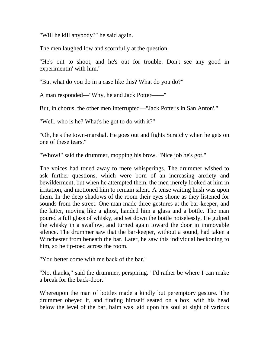"Will he kill anybody?" he said again.

The men laughed low and scornfully at the question.

"He's out to shoot, and he's out for trouble. Don't see any good in experimentin' with him."

"But what do you do in a case like this? What do you do?"

A man responded—"Why, he and Jack Potter——"

But, in chorus, the other men interrupted—"Jack Potter's in San Anton'."

"Well, who is he? What's he got to do with it?"

"Oh, he's the town-marshal. He goes out and fights Scratchy when he gets on one of these tears."

"Whow!" said the drummer, mopping his brow. "Nice job he's got."

The voices had toned away to mere whisperings. The drummer wished to ask further questions, which were born of an increasing anxiety and bewilderment, but when he attempted them, the men merely looked at him in irritation, and motioned him to remain silent. A tense waiting hush was upon them. In the deep shadows of the room their eyes shone as they listened for sounds from the street. One man made three gestures at the bar-keeper, and the latter, moving like a ghost, handed him a glass and a bottle. The man poured a full glass of whisky, and set down the bottle noiselessly. He gulped the whisky in a swallow, and turned again toward the door in immovable silence. The drummer saw that the bar-keeper, without a sound, had taken a Winchester from beneath the bar. Later, he saw this individual beckoning to him, so he tip-toed across the room.

"You better come with me back of the bar."

"No, thanks," said the drummer, perspiring. "I'd rather be where I can make a break for the back-door."

Whereupon the man of bottles made a kindly but peremptory gesture. The drummer obeyed it, and finding himself seated on a box, with his head below the level of the bar, balm was laid upon his soul at sight of various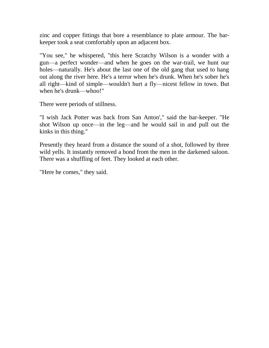zinc and copper fittings that bore a resemblance to plate armour. The barkeeper took a seat comfortably upon an adjacent box.

"You see," he whispered, "this here Scratchy Wilson is a wonder with a gun—a perfect wonder—and when he goes on the war-trail, we hunt our holes—naturally. He's about the last one of the old gang that used to hang out along the river here. He's a terror when he's drunk. When he's sober he's all right—kind of simple—wouldn't hurt a fly—nicest fellow in town. But when he's drunk—whoo!"

There were periods of stillness.

"I wish Jack Potter was back from San Anton'," said the bar-keeper. "He shot Wilson up once—in the leg—and he would sail in and pull out the kinks in this thing."

Presently they heard from a distance the sound of a shot, followed by three wild yells. It instantly removed a bond from the men in the darkened saloon. There was a shuffling of feet. They looked at each other.

"Here he comes," they said.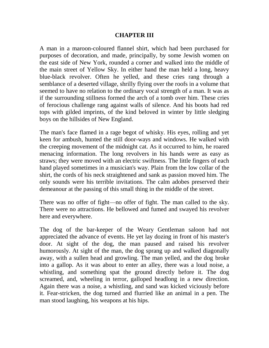### **CHAPTER III**

A man in a maroon-coloured flannel shirt, which had been purchased for purposes of decoration, and made, principally, by some Jewish women on the east side of New York, rounded a corner and walked into the middle of the main street of Yellow Sky. In either hand the man held a long, heavy blue-black revolver. Often he yelled, and these cries rang through a semblance of a deserted village, shrilly flying over the roofs in a volume that seemed to have no relation to the ordinary vocal strength of a man. It was as if the surrounding stillness formed the arch of a tomb over him. These cries of ferocious challenge rang against walls of silence. And his boots had red tops with gilded imprints, of the kind beloved in winter by little sledging boys on the hillsides of New England.

The man's face flamed in a rage begot of whisky. His eyes, rolling and yet keen for ambush, hunted the still door-ways and windows. He walked with the creeping movement of the midnight cat. As it occurred to him, he roared menacing information. The long revolvers in his hands were as easy as straws; they were moved with an electric swiftness. The little fingers of each hand played sometimes in a musician's way. Plain from the low collar of the shirt, the cords of his neck straightened and sank as passion moved him. The only sounds were his terrible invitations. The calm adobes preserved their demeanour at the passing of this small thing in the middle of the street.

There was no offer of fight—no offer of fight. The man called to the sky. There were no attractions. He bellowed and fumed and swayed his revolver here and everywhere.

The dog of the bar-keeper of the Weary Gentleman saloon had not appreciated the advance of events. He yet lay dozing in front of his master's door. At sight of the dog, the man paused and raised his revolver humorously. At sight of the man, the dog sprang up and walked diagonally away, with a sullen head and growling. The man yelled, and the dog broke into a gallop. As it was about to enter an alley, there was a loud noise, a whistling, and something spat the ground directly before it. The dog screamed, and, wheeling in terror, galloped headlong in a new direction. Again there was a noise, a whistling, and sand was kicked viciously before it. Fear-stricken, the dog turned and flurried like an animal in a pen. The man stood laughing, his weapons at his hips.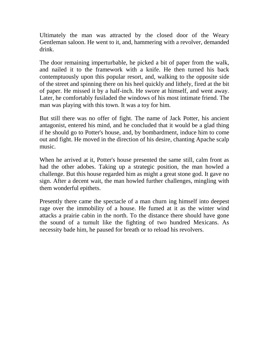Ultimately the man was attracted by the closed door of the Weary Gentleman saloon. He went to it, and, hammering with a revolver, demanded drink.

The door remaining imperturbable, he picked a bit of paper from the walk, and nailed it to the framework with a knife. He then turned his back contemptuously upon this popular resort, and, walking to the opposite side of the street and spinning there on his heel quickly and lithely, fired at the bit of paper. He missed it by a half-inch. He swore at himself, and went away. Later, he comfortably fusiladed the windows of his most intimate friend. The man was playing with this town. It was a toy for him.

But still there was no offer of fight. The name of Jack Potter, his ancient antagonist, entered his mind, and he concluded that it would be a glad thing if he should go to Potter's house, and, by bombardment, induce him to come out and fight. He moved in the direction of his desire, chanting Apache scalp music.

When he arrived at it, Potter's house presented the same still, calm front as had the other adobes. Taking up a strategic position, the man howled a challenge. But this house regarded him as might a great stone god. It gave no sign. After a decent wait, the man howled further challenges, mingling with them wonderful epithets.

Presently there came the spectacle of a man churn ing himself into deepest rage over the immobility of a house. He fumed at it as the winter wind attacks a prairie cabin in the north. To the distance there should have gone the sound of a tumult like the fighting of two hundred Mexicans. As necessity bade him, he paused for breath or to reload his revolvers.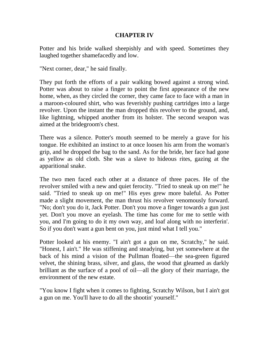## **CHAPTER IV**

Potter and his bride walked sheepishly and with speed. Sometimes they laughed together shamefacedly and low.

"Next corner, dear," he said finally.

They put forth the efforts of a pair walking bowed against a strong wind. Potter was about to raise a finger to point the first appearance of the new home, when, as they circled the corner, they came face to face with a man in a maroon-coloured shirt, who was feverishly pushing cartridges into a large revolver. Upon the instant the man dropped this revolver to the ground, and, like lightning, whipped another from its holster. The second weapon was aimed at the bridegroom's chest.

There was a silence. Potter's mouth seemed to be merely a grave for his tongue. He exhibited an instinct to at once loosen his arm from the woman's grip, and he dropped the bag to the sand. As for the bride, her face had gone as yellow as old cloth. She was a slave to hideous rites, gazing at the apparitional snake.

The two men faced each other at a distance of three paces. He of the revolver smiled with a new and quiet ferocity. "Tried to sneak up on me!" he said. "Tried to sneak up on me!" His eyes grew more baleful. As Potter made a slight movement, the man thrust his revolver venomously forward. "No; don't you do it, Jack Potter. Don't you move a finger towards a gun just yet. Don't you move an eyelash. The time has come for me to settle with you, and I'm going to do it my own way, and loaf along with no interferin'. So if you don't want a gun bent on you, just mind what I tell you."

Potter looked at his enemy. "I ain't got a gun on me, Scratchy," he said. "Honest, I ain't." He was stiffening and steadying, but yet somewhere at the back of his mind a vision of the Pullman floated—the sea-green figured velvet, the shining brass, silver, and glass, the wood that gleamed as darkly brilliant as the surface of a pool of oil—all the glory of their marriage, the environment of the new estate.

"You know I fight when it comes to fighting, Scratchy Wilson, but I ain't got a gun on me. You'll have to do all the shootin' yourself."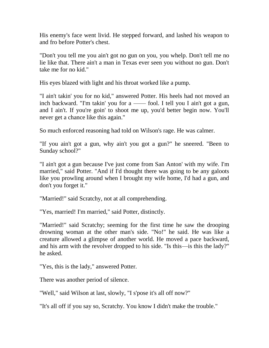His enemy's face went livid. He stepped forward, and lashed his weapon to and fro before Potter's chest.

"Don't you tell me you ain't got no gun on you, you whelp. Don't tell me no lie like that. There ain't a man in Texas ever seen you without no gun. Don't take me for no kid."

His eyes blazed with light and his throat worked like a pump.

"I ain't takin' you for no kid," answered Potter. His heels had not moved an inch backward. "I'm takin' you for a —— fool. I tell you I ain't got a gun, and I ain't. If you're goin' to shoot me up, you'd better begin now. You'll never get a chance like this again."

So much enforced reasoning had told on Wilson's rage. He was calmer.

"If you ain't got a gun, why ain't you got a gun?" he sneered. "Been to Sunday school?"

"I ain't got a gun because I've just come from San Anton' with my wife. I'm married," said Potter. "And if I'd thought there was going to be any galoots like you prowling around when I brought my wife home, I'd had a gun, and don't you forget it."

"Married!" said Scratchy, not at all comprehending.

"Yes, married! I'm married," said Potter, distinctly.

"Married!" said Scratchy; seeming for the first time he saw the drooping drowning woman at the other man's side. "No!" he said. He was like a creature allowed a glimpse of another world. He moved a pace backward, and his arm with the revolver dropped to his side. "Is this—is this the lady?" he asked.

"Yes, this is the lady," answered Potter.

There was another period of silence.

"Well," said Wilson at last, slowly, "I s'pose it's all off now?"

"It's all off if you say so, Scratchy. You know I didn't make the trouble."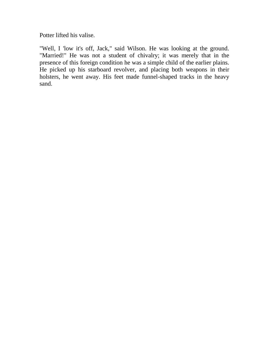Potter lifted his valise.

"Well, I 'low it's off, Jack," said Wilson. He was looking at the ground. "Married!" He was not a student of chivalry; it was merely that in the presence of this foreign condition he was a simple child of the earlier plains. He picked up his starboard revolver, and placing both weapons in their holsters, he went away. His feet made funnel-shaped tracks in the heavy sand.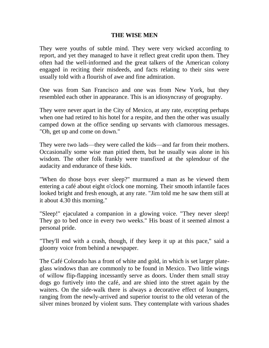#### **THE WISE MEN**

They were youths of subtle mind. They were very wicked according to report, and yet they managed to have it reflect great credit upon them. They often had the well-informed and the great talkers of the American colony engaged in reciting their misdeeds, and facts relating to their sins were usually told with a flourish of awe and fine admiration.

One was from San Francisco and one was from New York, but they resembled each other in appearance. This is an idiosyncrasy of geography.

They were never apart in the City of Mexico, at any rate, excepting perhaps when one had retired to his hotel for a respite, and then the other was usually camped down at the office sending up servants with clamorous messages. "Oh, get up and come on down."

They were two lads—they were called the kids—and far from their mothers. Occasionally some wise man pitied them, but he usually was alone in his wisdom. The other folk frankly were transfixed at the splendour of the audacity and endurance of these kids.

"When do those boys ever sleep?" murmured a man as he viewed them entering a café about eight o'clock one morning. Their smooth infantile faces looked bright and fresh enough, at any rate. "Jim told me he saw them still at it about 4.30 this morning."

"Sleep!" ejaculated a companion in a glowing voice. "They never sleep! They go to bed once in every two weeks." His boast of it seemed almost a personal pride.

"They'll end with a crash, though, if they keep it up at this pace," said a gloomy voice from behind a newspaper.

The Café Colorado has a front of white and gold, in which is set larger plateglass windows than are commonly to be found in Mexico. Two little wings of willow flip-flapping incessantly serve as doors. Under them small stray dogs go furtively into the café, and are shied into the street again by the waiters. On the side-walk there is always a decorative effect of loungers, ranging from the newly-arrived and superior tourist to the old veteran of the silver mines bronzed by violent suns. They contemplate with various shades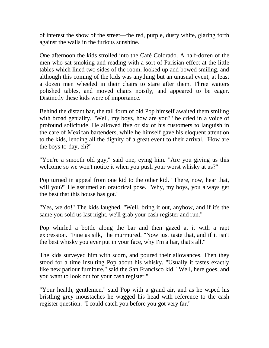of interest the show of the street—the red, purple, dusty white, glaring forth against the walls in the furious sunshine.

One afternoon the kids strolled into the Café Colorado. A half-dozen of the men who sat smoking and reading with a sort of Parisian effect at the little tables which lined two sides of the room, looked up and bowed smiling, and although this coming of the kids was anything but an unusual event, at least a dozen men wheeled in their chairs to stare after them. Three waiters polished tables, and moved chairs noisily, and appeared to be eager. Distinctly these kids were of importance.

Behind the distant bar, the tall form of old Pop himself awaited them smiling with broad geniality. "Well, my boys, how are you?" he cried in a voice of profound solicitude. He allowed five or six of his customers to languish in the care of Mexican bartenders, while he himself gave his eloquent attention to the kids, lending all the dignity of a great event to their arrival. "How are the boys to-day, eh?"

"You're a smooth old guy," said one, eying him. "Are you giving us this welcome so we won't notice it when you push your worst whisky at us?"

Pop turned in appeal from one kid to the other kid. "There, now, hear that, will you?" He assumed an oratorical pose. "Why, my boys, you always get the best that this house has got."

"Yes, we do!" The kids laughed. "Well, bring it out, anyhow, and if it's the same you sold us last night, we'll grab your cash register and run."

Pop whirled a bottle along the bar and then gazed at it with a rapt expression. "Fine as silk," he murmured. "Now just taste that, and if it isn't the best whisky you ever put in your face, why I'm a liar, that's all."

The kids surveyed him with scorn, and poured their allowances. Then they stood for a time insulting Pop about his whisky. "Usually it tastes exactly like new parlour furniture," said the San Francisco kid. "Well, here goes, and you want to look out for your cash register."

"Your health, gentlemen," said Pop with a grand air, and as he wiped his bristling grey moustaches he wagged his head with reference to the cash register question. "I could catch you before you got very far."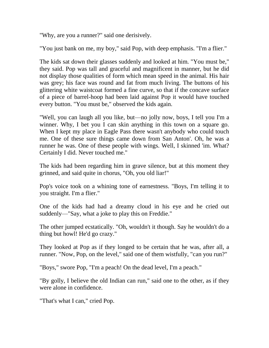"Why, are you a runner?" said one derisively.

"You just bank on me, my boy," said Pop, with deep emphasis. "I'm a flier."

The kids sat down their glasses suddenly and looked at him. "You must be," they said. Pop was tall and graceful and magnificent in manner, but he did not display those qualities of form which mean speed in the animal. His hair was grey; his face was round and fat from much living. The buttons of his glittering white waistcoat formed a fine curve, so that if the concave surface of a piece of barrel-hoop had been laid against Pop it would have touched every button. "You must be," observed the kids again.

"Well, you can laugh all you like, but—no jolly now, boys, I tell you I'm a winner. Why, I bet you I can skin anything in this town on a square go. When I kept my place in Eagle Pass there wasn't anybody who could touch me. One of these sure things came down from San Anton'. Oh, he was a runner he was. One of these people with wings. Well, I skinned 'im. What? Certainly I did. Never touched me."

The kids had been regarding him in grave silence, but at this moment they grinned, and said quite in chorus, "Oh, you old liar!"

Pop's voice took on a whining tone of earnestness. "Boys, I'm telling it to you straight. I'm a flier."

One of the kids had had a dreamy cloud in his eye and he cried out suddenly—"Say, what a joke to play this on Freddie."

The other jumped ecstatically. "Oh, wouldn't it though. Say he wouldn't do a thing but howl! He'd go crazy."

They looked at Pop as if they longed to be certain that he was, after all, a runner. "Now, Pop, on the level," said one of them wistfully, "can you run?"

"Boys," swore Pop, "I'm a peach! On the dead level, I'm a peach."

"By golly, I believe the old Indian can run," said one to the other, as if they were alone in confidence.

"That's what I can," cried Pop.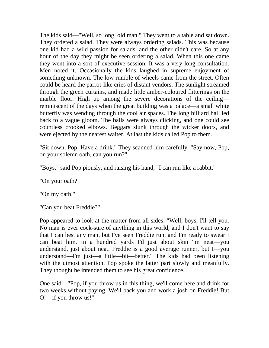The kids said—"Well, so long, old man." They went to a table and sat down. They ordered a salad. They were always ordering salads. This was because one kid had a wild passion for salads, and the other didn't care. So at any hour of the day they might be seen ordering a salad. When this one came they went into a sort of executive session. It was a very long consultation. Men noted it. Occasionally the kids laughed in supreme enjoyment of something unknown. The low rumble of wheels came from the street. Often could be heard the parrot-like cries of distant vendors. The sunlight streamed through the green curtains, and made little amber-coloured flitterings on the marble floor. High up among the severe decorations of the ceiling reminiscent of the days when the great building was a palace—a small white butterfly was wending through the cool air spaces. The long billiard hall led back to a vague gloom. The balls were always clicking, and one could see countless crooked elbows. Beggars slunk through the wicker doors, and were ejected by the nearest waiter. At last the kids called Pop to them.

"Sit down, Pop. Have a drink." They scanned him carefully. "Say now, Pop, on your solemn oath, can you run?"

"Boys," said Pop piously, and raising his hand, "I can run like a rabbit."

"On your oath?"

"On my oath."

"Can you beat Freddie?"

Pop appeared to look at the matter from all sides. "Well, boys, I'll tell you. No man is ever cock-sure of anything in this world, and I don't want to say that I can best any man, but I've seen Freddie run, and I'm ready to swear I can beat him. In a hundred yards I'd just about skin 'im neat—you understand, just about neat. Freddie is a good average runner, but I—you understand—I'm just—a little—bit—better." The kids had been listening with the utmost attention. Pop spoke the latter part slowly and meanfully. They thought he intended them to see his great confidence.

One said—"Pop, if you throw us in this thing, we'll come here and drink for two weeks without paying. We'll back you and work a josh on Freddie! But O!—if you throw us!"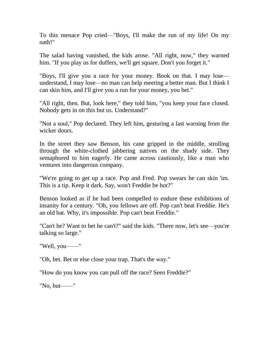To this menace Pop cried—"Boys, I'll make the run of my life! On my oath!"

The salad having vanished, the kids arose. "All right, now," they warned him. "If you play us for duffers, we'll get square. Don't you forget it."

"Boys, I'll give you a race for your money. Book on that. I may lose understand, I may lose—no man can help meeting a better man. But I think I can skin him, and I'll give you a run for your money, you bet."

"All right, then. But, look here," they told him, "you keep your face closed. Nobody gets in on this but us. Understand?"

"Not a soul," Pop declared. They left him, gesturing a last warning from the wicker doors.

In the street they saw Benson, his cane gripped in the middle, strolling through the white-clothed jabbering natives on the shady side. They semaphored to him eagerly. He came across cautiously, like a man who ventures into dangerous company.

"We're going to get up a race. Pop and Fred. Pop swears he can skin 'im. This is a tip. Keep it dark. Say, won't Freddie be hot?"

Benson looked as if he had been compelled to endure these exhibitions of insanity for a century. "Oh, you fellows are off. Pop can't beat Freddie. He's an old bat. Why, it's impossible. Pop can't beat Freddie."

"Can't he? Want to bet he can't?" said the kids. "There now, let's see—you're talking so large."

"Well, you——"

"Oh, bet. Bet or else close your trap. That's the way."

"How do you know you can pull off the race? Seen Freddie?"

"No, but——"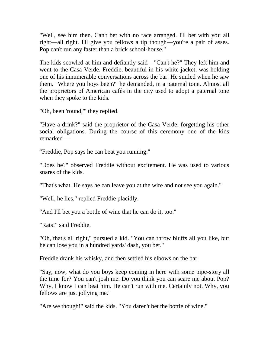"Well, see him then. Can't bet with no race arranged. I'll bet with you all right—all right. I'll give you fellows a tip though—you're a pair of asses. Pop can't run any faster than a brick school-house."

The kids scowled at him and defiantly said—"Can't he?" They left him and went to the Casa Verde. Freddie, beautiful in his white jacket, was holding one of his innumerable conversations across the bar. He smiled when he saw them. "Where you boys been?" he demanded, in a paternal tone. Almost all the proprietors of American cafés in the city used to adopt a paternal tone when they spoke to the kids.

"Oh, been 'round,'" they replied.

"Have a drink?" said the proprietor of the Casa Verde, forgetting his other social obligations. During the course of this ceremony one of the kids remarked—

"Freddie, Pop says he can beat you running."

"Does he?" observed Freddie without excitement. He was used to various snares of the kids.

"That's what. He says he can leave you at the wire and not see you again."

"Well, he lies," replied Freddie placidly.

"And I'll bet you a bottle of wine that he can do it, too."

"Rats!" said Freddie.

"Oh, that's all right," pursued a kid. "You can throw bluffs all you like, but he can lose you in a hundred yards' dash, you bet."

Freddie drank his whisky, and then settled his elbows on the bar.

"Say, now, what do you boys keep coming in here with some pipe-story all the time for? You can't josh me. Do you think you can scare me about Pop? Why, I know I can beat him. He can't run with me. Certainly not. Why, you fellows are just jollying me."

"Are we though!" said the kids. "You daren't bet the bottle of wine."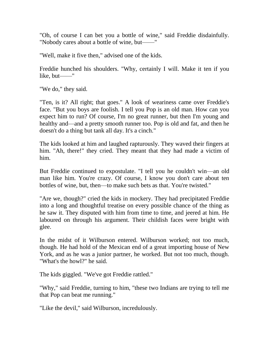"Oh, of course I can bet you a bottle of wine," said Freddie disdainfully. "Nobody cares about a bottle of wine, but——"

"Well, make it five then," advised one of the kids.

Freddie hunched his shoulders. "Why, certainly I will. Make it ten if you like, but——"

"We do," they said.

"Ten, is it? All right; that goes." A look of weariness came over Freddie's face. "But you boys are foolish. I tell you Pop is an old man. How can you expect him to run? Of course, I'm no great runner, but then I'm young and healthy and—and a pretty smooth runner too. Pop is old and fat, and then he doesn't do a thing but tank all day. It's a cinch."

The kids looked at him and laughed rapturously. They waved their fingers at him. "Ah, there!" they cried. They meant that they had made a victim of him.

But Freddie continued to expostulate. "I tell you he couldn't win—an old man like him. You're crazy. Of course, I know you don't care about ten bottles of wine, but, then—to make such bets as that. You're twisted."

"Are we, though?" cried the kids in mockery. They had precipitated Freddie into a long and thoughtful treatise on every possible chance of the thing as he saw it. They disputed with him from time to time, and jeered at him. He laboured on through his argument. Their childish faces were bright with glee.

In the midst of it Wilburson entered. Wilburson worked; not too much, though. He had hold of the Mexican end of a great importing house of New York, and as he was a junior partner, he worked. But not too much, though. "What's the howl?" he said.

The kids giggled. "We've got Freddie rattled."

"Why," said Freddie, turning to him, "these two Indians are trying to tell me that Pop can beat me running."

"Like the devil," said Wilburson, incredulously.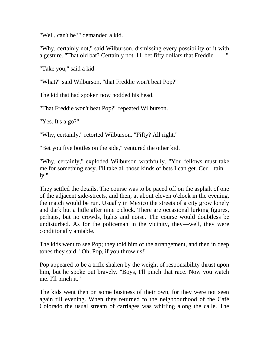"Well, can't he?" demanded a kid.

"Why, certainly not," said Wilburson, dismissing every possibility of it with a gesture. "That old bat? Certainly not. I'll bet fifty dollars that Freddie—

"Take you," said a kid.

"What?" said Wilburson, "that Freddie won't beat Pop?"

The kid that had spoken now nodded his head.

"That Freddie won't beat Pop?" repeated Wilburson.

"Yes. It's a go?"

"Why, certainly," retorted Wilburson. "Fifty? All right."

"Bet you five bottles on the side," ventured the other kid.

"Why, certainly," exploded Wilburson wrathfully. "You fellows must take me for something easy. I'll take all those kinds of bets I can get. Cer—tain  $ly.$ "

They settled the details. The course was to be paced off on the asphalt of one of the adjacent side-streets, and then, at about eleven o'clock in the evening, the match would be run. Usually in Mexico the streets of a city grow lonely and dark but a little after nine o'clock. There are occasional lurking figures, perhaps, but no crowds, lights and noise. The course would doubtless be undisturbed. As for the policeman in the vicinity, they—well, they were conditionally amiable.

The kids went to see Pop; they told him of the arrangement, and then in deep tones they said, "Oh, Pop, if you throw us!"

Pop appeared to be a trifle shaken by the weight of responsibility thrust upon him, but he spoke out bravely. "Boys, I'll pinch that race. Now you watch me. I'll pinch it."

The kids went then on some business of their own, for they were not seen again till evening. When they returned to the neighbourhood of the Café Colorado the usual stream of carriages was whirling along the calle. The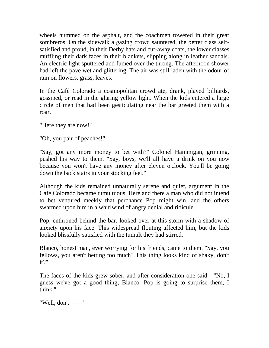wheels hummed on the asphalt, and the coachmen towered in their great sombreros. On the sidewalk a gazing crowd sauntered, the better class selfsatisfied and proud, in their Derby hats and cut-away coats, the lower classes muffling their dark faces in their blankets, slipping along in leather sandals. An electric light sputtered and fumed over the throng. The afternoon shower had left the pave wet and glittering. The air was still laden with the odour of rain on flowers, grass, leaves.

In the Café Colorado a cosmopolitan crowd ate, drank, played billiards, gossiped, or read in the glaring yellow light. When the kids entered a large circle of men that had been gesticulating near the bar greeted them with a roar.

"Here they are now!"

"Oh, you pair of peaches!"

"Say, got any more money to bet with?" Colonel Hammigan, grinning, pushed his way to them. "Say, boys, we'll all have a drink on you now because you won't have any money after eleven o'clock. You'll be going down the back stairs in your stocking feet."

Although the kids remained unnaturally serene and quiet, argument in the Café Colorado became tumultuous. Here and there a man who did not intend to bet ventured meekly that perchance Pop might win, and the others swarmed upon him in a whirlwind of angry denial and ridicule.

Pop, enthroned behind the bar, looked over at this storm with a shadow of anxiety upon his face. This widespread flouting affected him, but the kids looked blissfully satisfied with the tumult they had stirred.

Blanco, honest man, ever worrying for his friends, came to them. "Say, you fellows, you aren't betting too much? This thing looks kind of shaky, don't it?"

The faces of the kids grew sober, and after consideration one said—"No, I guess we've got a good thing, Blanco. Pop is going to surprise them, I think."

"Well, don't——"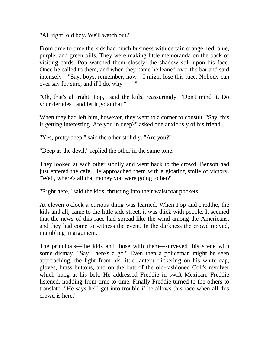"All right, old boy. We'll watch out."

From time to time the kids had much business with certain orange, red, blue, purple, and green bills. They were making little memoranda on the back of visiting cards. Pop watched them closely, the shadow still upon his face. Once he called to them, and when they came he leaned over the bar and said intensely—"Say, boys, remember, now—I might lose this race. Nobody can ever say for sure, and if I do, why——"

"Oh, that's all right, Pop," said the kids, reassuringly. "Don't mind it. Do your derndest, and let it go at that."

When they had left him, however, they went to a corner to consult. "Say, this is getting interesting. Are you in deep?" asked one anxiously of his friend.

"Yes, pretty deep," said the other stolidly. "Are you?"

"Deep as the devil," replied the other in the same tone.

They looked at each other stonily and went back to the crowd. Benson had just entered the café. He approached them with a gloating smile of victory. "Well, where's all that money you were going to bet?"

"Right here," said the kids, thrusting into their waistcoat pockets.

At eleven o'clock a curious thing was learned. When Pop and Freddie, the kids and all, came to the little side street, it was thick with people. It seemed that the news of this race had spread like the wind among the Americans, and they had come to witness the event. In the darkness the crowd moved, mumbling in argument.

The principals—the kids and those with them—surveyed this scene with some dismay. "Say—here's a go." Even then a policeman might be seen approaching, the light from his little lantern flickering on his white cap, gloves, brass buttons, and on the butt of the old-fashioned Colt's revolver which hung at his belt. He addressed Freddie in swift Mexican. Freddie listened, nodding from time to time. Finally Freddie turned to the others to translate. "He says he'll get into trouble if he allows this race when all this crowd is here."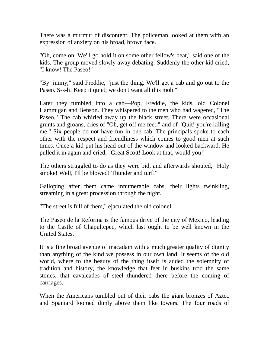There was a murmur of discontent. The policeman looked at them with an expression of anxiety on his broad, brown face.

"Oh, come on. We'll go hold it on some other fellow's beat," said one of the kids. The group moved slowly away debating. Suddenly the other kid cried, "I know! The Paseo!"

"By jiminy," said Freddie, "just the thing. We'll get a cab and go out to the Paseo. S-s-h! Keep it quiet; we don't want all this mob."

Later they tumbled into a cab—Pop, Freddie, the kids, old Colonel Hammigan and Benson. They whispered to the men who had wagered, "The Paseo." The cab whirled away up the black street. There were occasional grunts and groans, cries of "Oh, get off me feet," and of "Quit! you're killing me." Six people do not have fun in one cab. The principals spoke to each other with the respect and friendliness which comes to good men at such times. Once a kid put his head out of the window and looked backward. He pulled it in again and cried, "Great Scott! Look at that, would you!"

The others struggled to do as they were bid, and afterwards shouted, "Holy smoke! Well, I'll be blowed! Thunder and turf!"

Galloping after them came innumerable cabs, their lights twinkling, streaming in a great procession through the night.

"The street is full of them," ejaculated the old colonel.

The Paseo de la Reforma is the famous drive of the city of Mexico, leading to the Castle of Chapultepec, which last ought to be well known in the United States.

It is a fine broad avenue of macadam with a much greater quality of dignity than anything of the kind we possess in our own land. It seems of the old world, where to the beauty of the thing itself is added the solemnity of tradition and history, the knowledge that feet in buskins trod the same stones, that cavalcades of steel thundered there before the coming of carriages.

When the Americans tumbled out of their cabs the giant bronzes of Aztec and Spaniard loomed dimly above them like towers. The four roads of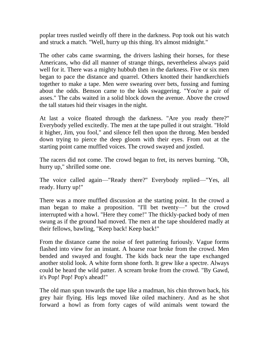poplar trees rustled weirdly off there in the darkness. Pop took out his watch and struck a match. "Well, hurry up this thing. It's almost midnight."

The other cabs came swarming, the drivers lashing their horses, for these Americans, who did all manner of strange things, nevertheless always paid well for it. There was a mighty hubbub then in the darkness. Five or six men began to pace the distance and quarrel. Others knotted their handkerchiefs together to make a tape. Men were swearing over bets, fussing and fuming about the odds. Benson came to the kids swaggering. "You're a pair of asses." The cabs waited in a solid block down the avenue. Above the crowd the tall statues hid their visages in the night.

At last a voice floated through the darkness. "Are you ready there?" Everybody yelled excitedly. The men at the tape pulled it out straight. "Hold it higher, Jim, you fool," and silence fell then upon the throng. Men bended down trying to pierce the deep gloom with their eyes. From out at the starting point came muffled voices. The crowd swayed and jostled.

The racers did not come. The crowd began to fret, its nerves burning. "Oh, hurry up," shrilled some one.

The voice called again—"Ready there?" Everybody replied—"Yes, all ready. Hurry up!"

There was a more muffled discussion at the starting point. In the crowd a man began to make a proposition. "I'll bet twenty—" but the crowd interrupted with a howl. "Here they come!" The thickly-packed body of men swung as if the ground had moved. The men at the tape shouldered madly at their fellows, bawling, "Keep back! Keep back!"

From the distance came the noise of feet pattering furiously. Vague forms flashed into view for an instant. A hoarse roar broke from the crowd. Men bended and swayed and fought. The kids back near the tape exchanged another stolid look. A white form shone forth. It grew like a spectre. Always could be heard the wild patter. A scream broke from the crowd. "By Gawd, it's Pop! Pop! Pop's ahead!"

The old man spun towards the tape like a madman, his chin thrown back, his grey hair flying. His legs moved like oiled machinery. And as he shot forward a howl as from forty cages of wild animals went toward the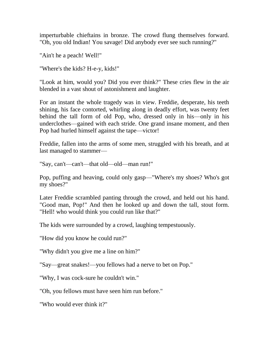imperturbable chieftains in bronze. The crowd flung themselves forward. "Oh, you old Indian! You savage! Did anybody ever see such running?"

"Ain't he a peach! Well!"

"Where's the kids? H-e-y, kids!"

"Look at him, would you? Did you ever think?" These cries flew in the air blended in a vast shout of astonishment and laughter.

For an instant the whole tragedy was in view. Freddie, desperate, his teeth shining, his face contorted, whirling along in deadly effort, was twenty feet behind the tall form of old Pop, who, dressed only in his—only in his underclothes—gained with each stride. One grand insane moment, and then Pop had hurled himself against the tape—victor!

Freddie, fallen into the arms of some men, struggled with his breath, and at last managed to stammer—

"Say, can't—can't—that old—old—man run!"

Pop, puffing and heaving, could only gasp—"Where's my shoes? Who's got my shoes?"

Later Freddie scrambled panting through the crowd, and held out his hand. "Good man, Pop!" And then he looked up and down the tall, stout form. "Hell! who would think you could run like that?"

The kids were surrounded by a crowd, laughing tempestuously.

"How did you know he could run?"

"Why didn't you give me a line on him?"

"Say—great snakes!—you fellows had a nerve to bet on Pop."

"Why, I was cock-sure he couldn't win."

"Oh, you fellows must have seen him run before."

"Who would ever think it?"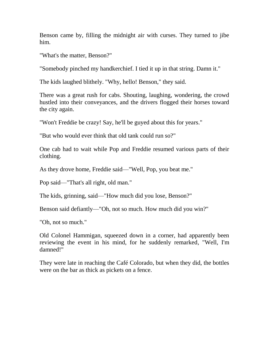Benson came by, filling the midnight air with curses. They turned to jibe him.

"What's the matter, Benson?"

"Somebody pinched my handkerchief. I tied it up in that string. Damn it."

The kids laughed blithely. "Why, hello! Benson," they said.

There was a great rush for cabs. Shouting, laughing, wondering, the crowd hustled into their conveyances, and the drivers flogged their horses toward the city again.

"Won't Freddie be crazy! Say, he'll be guyed about this for years."

"But who would ever think that old tank could run so?"

One cab had to wait while Pop and Freddie resumed various parts of their clothing.

As they drove home, Freddie said—"Well, Pop, you beat me."

Pop said—"That's all right, old man."

The kids, grinning, said—"How much did you lose, Benson?"

Benson said defiantly—"Oh, not so much. How much did you win?"

"Oh, not so much."

Old Colonel Hammigan, squeezed down in a corner, had apparently been reviewing the event in his mind, for he suddenly remarked, "Well, I'm damned!"

They were late in reaching the Café Colorado, but when they did, the bottles were on the bar as thick as pickets on a fence.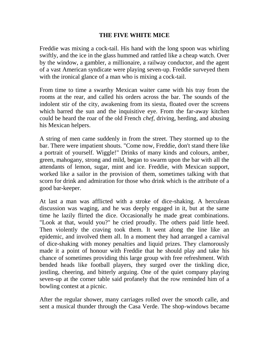## **THE FIVE WHITE MICE**

Freddie was mixing a cock-tail. His hand with the long spoon was whirling swiftly, and the ice in the glass hummed and rattled like a cheap watch. Over by the window, a gambler, a millionaire, a railway conductor, and the agent of a vast American syndicate were playing seven-up. Freddie surveyed them with the ironical glance of a man who is mixing a cock-tail.

From time to time a swarthy Mexican waiter came with his tray from the rooms at the rear, and called his orders across the bar. The sounds of the indolent stir of the city, awakening from its siesta, floated over the screens which barred the sun and the inquisitive eye. From the far-away kitchen could be heard the roar of the old French *chef*, driving, herding, and abusing his Mexican helpers.

A string of men came suddenly in from the street. They stormed up to the bar. There were impatient shouts. "Come now, Freddie, don't stand there like a portrait of yourself. Wiggle!" Drinks of many kinds and colours, amber, green, mahogany, strong and mild, began to swarm upon the bar with all the attendants of lemon, sugar, mint and ice. Freddie, with Mexican support, worked like a sailor in the provision of them, sometimes talking with that scorn for drink and admiration for those who drink which is the attribute of a good bar-keeper.

At last a man was afflicted with a stroke of dice-shaking. A herculean discussion was waging, and he was deeply engaged in it, but at the same time he lazily flirted the dice. Occasionally he made great combinations. "Look at that, would you?" he cried proudly. The others paid little heed. Then violently the craving took them. It went along the line like an epidemic, and involved them all. In a moment they had arranged a carnival of dice-shaking with money penalties and liquid prizes. They clamorously made it a point of honour with Freddie that he should play and take his chance of sometimes providing this large group with free refreshment. With bended heads like football players, they surged over the tinkling dice, jostling, cheering, and bitterly arguing. One of the quiet company playing seven-up at the corner table said profanely that the row reminded him of a bowling contest at a picnic.

After the regular shower, many carriages rolled over the smooth calle, and sent a musical thunder through the Casa Verde. The shop-windows became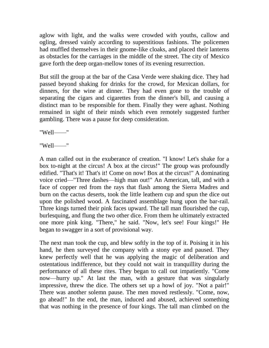aglow with light, and the walks were crowded with youths, callow and ogling, dressed vainly according to superstitious fashions. The policemen had muffled themselves in their gnome-like cloaks, and placed their lanterns as obstacles for the carriages in the middle of the street. The city of Mexico gave forth the deep organ-mellow tones of its evening resurrection.

But still the group at the bar of the Casa Verde were shaking dice. They had passed beyond shaking for drinks for the crowd, for Mexican dollars, for dinners, for the wine at dinner. They had even gone to the trouble of separating the cigars and cigarettes from the dinner's bill, and causing a distinct man to be responsible for them. Finally they were aghast. Nothing remained in sight of their minds which even remotely suggested further gambling. There was a pause for deep consideration.

"Well——"

"Well——"

A man called out in the exuberance of creation. "I know! Let's shake for a box to-night at the circus! A box at the circus!" The group was profoundly edified. "That's it! That's it! Come on now! Box at the circus!" A dominating voice cried—"Three dashes—high man out!" An American, tall, and with a face of copper red from the rays that flash among the Sierra Madres and burn on the cactus deserts, took the little leathern cup and spun the dice out upon the polished wood. A fascinated assemblage hung upon the bar-rail. Three kings turned their pink faces upward. The tall man flourished the cup, burlesquing, and flung the two other dice. From them he ultimately extracted one more pink king. "There," he said. "Now, let's see! Four kings!" He began to swagger in a sort of provisional way.

The next man took the cup, and blew softly in the top of it. Poising it in his hand, he then surveyed the company with a stony eye and paused. They knew perfectly well that he was applying the magic of deliberation and ostentatious indifference, but they could not wait in tranquillity during the performance of all these rites. They began to call out impatiently. "Come now—hurry up." At last the man, with a gesture that was singularly impressive, threw the dice. The others set up a howl of joy. "Not a pair!" There was another solemn pause. The men moved restlessly. "Come, now, go ahead!" In the end, the man, induced and abused, achieved something that was nothing in the presence of four kings. The tall man climbed on the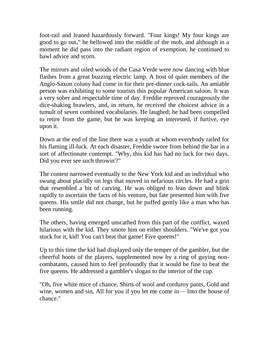foot-rail and leaned hazardously forward. "Four kings! My four kings are good to go out," he bellowed into the middle of the mob, and although in a moment he did pass into the radiant region of exemption, he continued to bawl advice and scorn.

The mirrors and oiled woods of the Casa Verde were now dancing with blue flashes from a great buzzing electric lamp. A host of quiet members of the Anglo-Saxon colony had come in for their pre-dinner cock-tails. An amiable person was exhibiting to some tourists this popular American saloon. It was a very sober and respectable time of day. Freddie reproved courageously the dice-shaking brawlers, and, in return, he received the choicest advice in a tumult of seven combined vocabularies. He laughed; he had been compelled to retire from the game, but he was keeping an interested, if furtive, eye upon it.

Down at the end of the line there was a youth at whom everybody railed for his flaming ill-luck. At each disaster, Freddie swore from behind the bar in a sort of affectionate contempt. "Why, this kid has had no luck for two days. Did you ever see such throwin'?"

The contest narrowed eventually to the New York kid and an individual who swung about placidly on legs that moved in nefarious circles. He had a grin that resembled a bit of carving. He was obliged to lean down and blink rapidly to ascertain the facts of his venture, but fate presented him with five queens. His smile did not change, but he puffed gently like a man who has been running.

The others, having emerged unscathed from this part of the conflict, waxed hilarious with the kid. They smote him on either shoulders. "We've got you stuck for it, kid! You can't beat that game! Five queens!"

Up to this time the kid had displayed only the temper of the gambler, but the cheerful hoots of the players, supplemented now by a ring of guying noncombatants, caused him to feel profoundly that it would be fine to beat the five queens. He addressed a gambler's slogan to the interior of the cup.

"Oh, five white mice of chance, Shirts of wool and corduroy pants, Gold and wine, women and sin, All for you if you let me come in— Into the house of chance."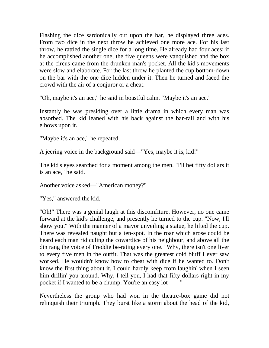Flashing the dice sardonically out upon the bar, he displayed three aces. From two dice in the next throw he achieved one more ace. For his last throw, he rattled the single dice for a long time. He already had four aces; if he accomplished another one, the five queens were vanquished and the box at the circus came from the drunken man's pocket. All the kid's movements were slow and elaborate. For the last throw he planted the cup bottom-down on the bar with the one dice hidden under it. Then he turned and faced the crowd with the air of a conjuror or a cheat.

"Oh, maybe it's an ace," he said in boastful calm. "Maybe it's an ace."

Instantly he was presiding over a little drama in which every man was absorbed. The kid leaned with his back against the bar-rail and with his elbows upon it.

"Maybe it's an ace," he repeated.

A jeering voice in the background said—"Yes, maybe it is, kid!"

The kid's eyes searched for a moment among the men. "I'll bet fifty dollars it is an ace," he said.

Another voice asked—"American money?"

"Yes," answered the kid.

"Oh!" There was a genial laugh at this discomfiture. However, no one came forward at the kid's challenge, and presently he turned to the cup. "Now, I'll show you." With the manner of a mayor unveiling a statue, he lifted the cup. There was revealed naught but a ten-spot. In the roar which arose could be heard each man ridiculing the cowardice of his neighbour, and above all the din rang the voice of Freddie be-rating every one. "Why, there isn't one liver to every five men in the outfit. That was the greatest cold bluff I ever saw worked. He wouldn't know how to cheat with dice if he wanted to. Don't know the first thing about it. I could hardly keep from laughin' when I seen him drillin' you around. Why, I tell you, I had that fifty dollars right in my pocket if I wanted to be a chump. You're an easy lot——"

Nevertheless the group who had won in the theatre-box game did not relinquish their triumph. They burst like a storm about the head of the kid,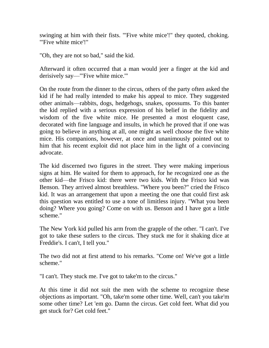swinging at him with their fists. "'Five white mice'!" they quoted, choking. "'Five white mice'!"

"Oh, they are not so bad," said the kid.

Afterward it often occurred that a man would jeer a finger at the kid and derisively say—"'Five white mice.'"

On the route from the dinner to the circus, others of the party often asked the kid if he had really intended to make his appeal to mice. They suggested other animals—rabbits, dogs, hedgehogs, snakes, opossums. To this banter the kid replied with a serious expression of his belief in the fidelity and wisdom of the five white mice. He presented a most eloquent case, decorated with fine language and insults, in which he proved that if one was going to believe in anything at all, one might as well choose the five white mice. His companions, however, at once and unanimously pointed out to him that his recent exploit did not place him in the light of a convincing advocate.

The kid discerned two figures in the street. They were making imperious signs at him. He waited for them to approach, for he recognized one as the other kid—the Frisco kid: there were two kids. With the Frisco kid was Benson. They arrived almost breathless. "Where you been?" cried the Frisco kid. It was an arrangement that upon a meeting the one that could first ask this question was entitled to use a tone of limitless injury. "What you been doing? Where you going? Come on with us. Benson and I have got a little scheme."

The New York kid pulled his arm from the grapple of the other. "I can't. I've got to take these sutlers to the circus. They stuck me for it shaking dice at Freddie's. I can't, I tell you."

The two did not at first attend to his remarks. "Come on! We've got a little scheme."

"I can't. They stuck me. I've got to take'm to the circus."

At this time it did not suit the men with the scheme to recognize these objections as important. "Oh, take'm some other time. Well, can't you take'm some other time? Let 'em go. Damn the circus. Get cold feet. What did you get stuck for? Get cold feet."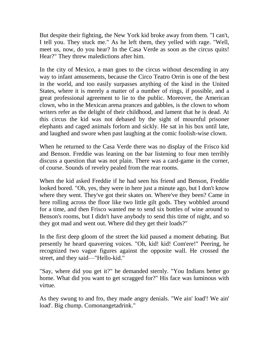But despite their fighting, the New York kid broke away from them. "I can't, I tell you. They stuck me." As he left them, they yelled with rage. "Well, meet us, now, do you hear? In the Casa Verde as soon as the circus quits! Hear?" They threw maledictions after him.

In the city of Mexico, a man goes to the circus without descending in any way to infant amusements, because the Circo Teatro Orrin is one of the best in the world, and too easily surpasses anything of the kind in the United States, where it is merely a matter of a number of rings, if possible, and a great professional agreement to lie to the public. Moreover, the American clown, who in the Mexican arena prances and gabbles, is the clown to whom writers refer as the delight of their childhood, and lament that he is dead. At this circus the kid was not debased by the sight of mournful prisoner elephants and caged animals forlorn and sickly. He sat in his box until late, and laughed and swore when past laughing at the comic foolish-wise clown.

When he returned to the Casa Verde there was no display of the Frisco kid and Benson. Freddie was leaning on the bar listening to four men terribly discuss a question that was not plain. There was a card-game in the corner, of course. Sounds of revelry pealed from the rear rooms.

When the kid asked Freddie if he had seen his friend and Benson, Freddie looked bored. "Oh, yes, they were in here just a minute ago, but I don't know where they went. They've got their skates on. Where've they been? Came in here rolling across the floor like two little gilt gods. They wobbled around for a time, and then Frisco wanted me to send six bottles of wine around to Benson's rooms, but I didn't have anybody to send this time of night, and so they got mad and went out. Where did they get their loads?"

In the first deep gloom of the street the kid paused a moment debating. But presently he heard quavering voices. "Oh, kid! kid! Com'ere!" Peering, he recognized two vague figures against the opposite wall. He crossed the street, and they said—"Hello-kid."

"Say, where did you get it?" he demanded sternly. "You Indians better go home. What did you want to get scragged for?" His face was luminous with virtue.

As they swung to and fro, they made angry denials. "We ain' load'! We ain' load'. Big chump. Comonangetadrink."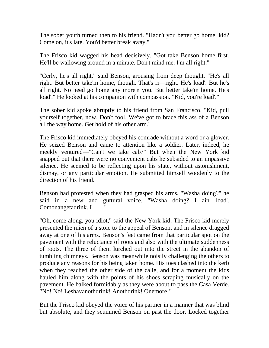The sober youth turned then to his friend. "Hadn't you better go home, kid? Come on, it's late. You'd better break away."

The Frisco kid wagged his head decisively. "Got take Benson home first. He'll be wallowing around in a minute. Don't mind me. I'm all right."

"Cerly, he's all right," said Benson, arousing from deep thought. "He's all right. But better take'm home, though. That's ri—right. He's load'. But he's all right. No need go home any more'n you. But better take'm home. He's load'." He looked at his companion with compassion. "Kid, you're load'."

The sober kid spoke abruptly to his friend from San Francisco. "Kid, pull yourself together, now. Don't fool. We've got to brace this ass of a Benson all the way home. Get hold of his other arm."

The Frisco kid immediately obeyed his comrade without a word or a glower. He seized Benson and came to attention like a soldier. Later, indeed, he meekly ventured—"Can't we take cab?" But when the New York kid snapped out that there were no convenient cabs he subsided to an impassive silence. He seemed to be reflecting upon his state, without astonishment, dismay, or any particular emotion. He submitted himself woodenly to the direction of his friend.

Benson had protested when they had grasped his arms. "Washa doing?" he said in a new and guttural voice. "Washa doing? I ain' load'. Comonangetadrink. I——"

"Oh, come along, you idiot," said the New York kid. The Frisco kid merely presented the mien of a stoic to the appeal of Benson, and in silence dragged away at one of his arms. Benson's feet came from that particular spot on the pavement with the reluctance of roots and also with the ultimate suddenness of roots. The three of them lurched out into the street in the abandon of tumbling chimneys. Benson was meanwhile noisily challenging the others to produce any reasons for his being taken home. His toes clashed into the kerb when they reached the other side of the calle, and for a moment the kids hauled him along with the points of his shoes scraping musically on the pavement. He balked formidably as they were about to pass the Casa Verde. "No! No! Leshavanothdrink! Anothdrink! Onemore!"

But the Frisco kid obeyed the voice of his partner in a manner that was blind but absolute, and they scummed Benson on past the door. Locked together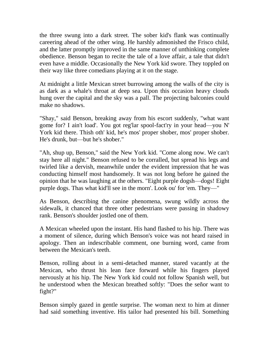the three swung into a dark street. The sober kid's flank was continually careering ahead of the other wing. He harshly admonished the Frisco child, and the latter promptly improved in the same manner of unthinking complete obedience. Benson began to recite the tale of a love affair, a tale that didn't even have a middle. Occasionally the New York kid swore. They toppled on their way like three comedians playing at it on the stage.

At midnight a little Mexican street burrowing among the walls of the city is as dark as a whale's throat at deep sea. Upon this occasion heavy clouds hung over the capital and the sky was a pall. The projecting balconies could make no shadows.

"Shay," said Benson, breaking away from his escort suddenly, "what want gome for? I ain't load'. You got reg'lar spool-fact'ry in your head—you N' York kid there. Thish oth' kid, he's mos' proper shober, mos' proper shober. He's drunk, but—but he's shober."

"Ah, shup up, Benson," said the New York kid. "Come along now. We can't stay here all night." Benson refused to be corralled, but spread his legs and twirled like a dervish, meanwhile under the evident impression that he was conducting himself most handsomely. It was not long before he gained the opinion that he was laughing at the others. "Eight purple dogsh—dogs! Eight purple dogs. Thas what kid'll see in the morn'. Look ou' for 'em. They—"

As Benson, describing the canine phenomena, swung wildly across the sidewalk, it chanced that three other pedestrians were passing in shadowy rank. Benson's shoulder jostled one of them.

A Mexican wheeled upon the instant. His hand flashed to his hip. There was a moment of silence, during which Benson's voice was not heard raised in apology. Then an indescribable comment, one burning word, came from between the Mexican's teeth.

Benson, rolling about in a semi-detached manner, stared vacantly at the Mexican, who thrust his lean face forward while his fingers played nervously at his hip. The New York kid could not follow Spanish well, but he understood when the Mexican breathed softly: "Does the señor want to fight?"

Benson simply gazed in gentle surprise. The woman next to him at dinner had said something inventive. His tailor had presented his bill. Something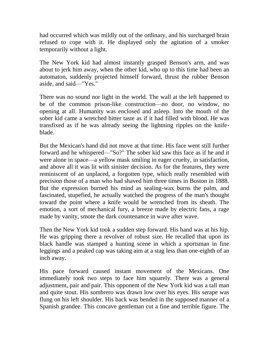had occurred which was mildly out of the ordinary, and his surcharged brain refused to cope with it. He displayed only the agitation of a smoker temporarily without a light.

The New York kid had almost instantly grasped Benson's arm, and was about to jerk him away, when the other kid, who up to this time had been an automaton, suddenly projected himself forward, thrust the rubber Benson aside, and said—"Yes."

There was no sound nor light in the world. The wall at the left happened to be of the common prison-like construction—no door, no window, no opening at all. Humanity was enclosed and asleep. Into the mouth of the sober kid came a wretched bitter taste as if it had filled with blood. He was transfixed as if he was already seeing the lightning ripples on the knifeblade.

But the Mexican's hand did not move at that time. His face went still further forward and he whispered—"So?" The sober kid saw this face as if he and it were alone in space—a yellow mask smiling in eager cruelty, in satisfaction, and above all it was lit with sinister decision. As for the features, they were reminiscent of an unplaced, a forgotten type, which really resembled with precision those of a man who had shaved him three times in Boston in 1888. But the expression burned his mind as sealing-wax burns the palm, and fascinated, stupefied, he actually watched the progress of the man's thought toward the point where a knife would be wrenched from its sheath. The emotion, a sort of mechanical fury, a breeze made by electric fans, a rage made by vanity, smote the dark countenance in wave after wave.

Then the New York kid took a sudden step forward. His hand was at his hip. He was gripping there a revolver of robust size. He recalled that upon its black handle was stamped a hunting scene in which a sportsman in fine leggings and a peaked cap was taking aim at a stag less than one-eighth of an inch away.

His pace forward caused instant movement of the Mexicans. One immediately took two steps to face him squarely. There was a general adjustment, pair and pair. This opponent of the New York kid was a tall man and quite stout. His sombrero was drawn low over his eyes. His serape was flung on his left shoulder. His back was bended in the supposed manner of a Spanish grandee. This concave gentleman cut a fine and terrible figure. The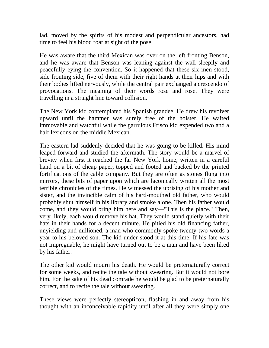lad, moved by the spirits of his modest and perpendicular ancestors, had time to feel his blood roar at sight of the pose.

He was aware that the third Mexican was over on the left fronting Benson, and he was aware that Benson was leaning against the wall sleepily and peacefully eying the convention. So it happened that these six men stood, side fronting side, five of them with their right hands at their hips and with their bodies lifted nervously, while the central pair exchanged a crescendo of provocations. The meaning of their words rose and rose. They were travelling in a straight line toward collision.

The New York kid contemplated his Spanish grandee. He drew his revolver upward until the hammer was surely free of the holster. He waited immovable and watchful while the garrulous Frisco kid expended two and a half lexicons on the middle Mexican.

The eastern lad suddenly decided that he was going to be killed. His mind leaped forward and studied the aftermath. The story would be a marvel of brevity when first it reached the far New York home, written in a careful hand on a bit of cheap paper, topped and footed and backed by the printed fortifications of the cable company. But they are often as stones flung into mirrors, these bits of paper upon which are laconically written all the most terrible chronicles of the times. He witnessed the uprising of his mother and sister, and the invincible calm of his hard-mouthed old father, who would probably shut himself in his library and smoke alone. Then his father would come, and they would bring him here and say—"This is the place." Then, very likely, each would remove his hat. They would stand quietly with their hats in their hands for a decent minute. He pitied his old financing father, unyielding and millioned, a man who commonly spoke twenty-two words a year to his beloved son. The kid under stood it at this time. If his fate was not impregnable, he might have turned out to be a man and have been liked by his father.

The other kid would mourn his death. He would be preternaturally correct for some weeks, and recite the tale without swearing. But it would not bore him. For the sake of his dead comrade he would be glad to be preternaturally correct, and to recite the tale without swearing.

These views were perfectly stereopticon, flashing in and away from his thought with an inconceivable rapidity until after all they were simply one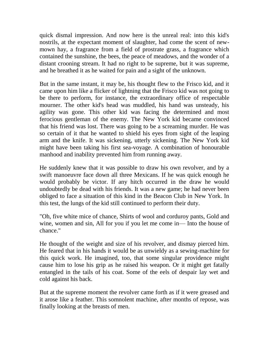quick dismal impression. And now here is the unreal real: into this kid's nostrils, at the expectant moment of slaughter, had come the scent of newmown hay, a fragrance from a field of prostrate grass, a fragrance which contained the sunshine, the bees, the peace of meadows, and the wonder of a distant crooning stream. It had no right to be supreme, but it was supreme, and he breathed it as he waited for pain and a sight of the unknown.

But in the same instant, it may be, his thought flew to the Frisco kid, and it came upon him like a flicker of lightning that the Frisco kid was not going to be there to perform, for instance, the extraordinary office of respectable mourner. The other kid's head was muddled, his hand was unsteady, his agility was gone. This other kid was facing the determined and most ferocious gentleman of the enemy. The New York kid became convinced that his friend was lost. There was going to be a screaming murder. He was so certain of it that he wanted to shield his eyes from sight of the leaping arm and the knife. It was sickening, utterly sickening. The New York kid might have been taking his first sea-voyage. A combination of honourable manhood and inability prevented him from running away.

He suddenly knew that it was possible to draw his own revolver, and by a swift manoeuvre face down all three Mexicans. If he was quick enough he would probably be victor. If any hitch occurred in the draw he would undoubtedly be dead with his friends. It was a new game; he had never been obliged to face a situation of this kind in the Beacon Club in New York. In this test, the lungs of the kid still continued to perform their duty.

"Oh, five white mice of chance, Shirts of wool and corduroy pants, Gold and wine, women and sin, All for you if you let me come in— Into the house of chance."

He thought of the weight and size of his revolver, and dismay pierced him. He feared that in his hands it would be as unwieldy as a sewing-machine for this quick work. He imagined, too, that some singular providence might cause him to lose his grip as he raised his weapon. Or it might get fatally entangled in the tails of his coat. Some of the eels of despair lay wet and cold against his back.

But at the supreme moment the revolver came forth as if it were greased and it arose like a feather. This somnolent machine, after months of repose, was finally looking at the breasts of men.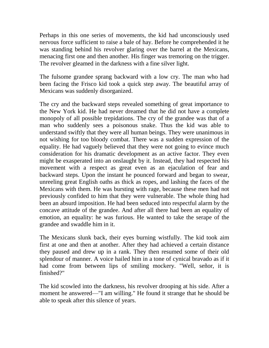Perhaps in this one series of movements, the kid had unconsciously used nervous force sufficient to raise a bale of hay. Before he comprehended it he was standing behind his revolver glaring over the barrel at the Mexicans, menacing first one and then another. His finger was tremoring on the trigger. The revolver gleamed in the darkness with a fine silver light.

The fulsome grandee sprang backward with a low cry. The man who had been facing the Frisco kid took a quick step away. The beautiful array of Mexicans was suddenly disorganized.

The cry and the backward steps revealed something of great importance to the New York kid. He had never dreamed that he did not have a complete monopoly of all possible trepidations. The cry of the grandee was that of a man who suddenly sees a poisonous snake. Thus the kid was able to understand swiftly that they were all human beings. They were unanimous in not wishing for too bloody combat. There was a sudden expression of the equality. He had vaguely believed that they were not going to evince much consideration for his dramatic development as an active factor. They even might be exasperated into an onslaught by it. Instead, they had respected his movement with a respect as great even as an ejaculation of fear and backward steps. Upon the instant he pounced forward and began to swear, unreeling great English oaths as thick as ropes, and lashing the faces of the Mexicans with them. He was bursting with rage, because these men had not previously confided to him that they were vulnerable. The whole thing had been an absurd imposition. He had been seduced into respectful alarm by the concave attitude of the grandee. And after all there had been an equality of emotion, an equality: he was furious. He wanted to take the serape of the grandee and swaddle him in it.

The Mexicans slunk back, their eyes burning wistfully. The kid took aim first at one and then at another. After they had achieved a certain distance they paused and drew up in a rank. They then resumed some of their old splendour of manner. A voice hailed him in a tone of cynical bravado as if it had come from between lips of smiling mockery. "Well, señor, it is finished?"

The kid scowled into the darkness, his revolver drooping at his side. After a moment he answered—"I am willing." He found it strange that he should be able to speak after this silence of years.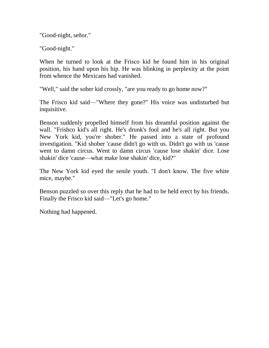"Good-night, señor."

"Good-night."

When he turned to look at the Frisco kid he found him in his original position, his hand upon his hip. He was blinking in perplexity at the point from whence the Mexicans had vanished.

"Well," said the sober kid crossly, "are you ready to go home now?"

The Frisco kid said—"Where they gone?" His voice was undisturbed but inquisitive.

Benson suddenly propelled himself from his dreamful position against the wall. "Frishco kid's all right. He's drunk's fool and he's all right. But you New York kid, you're shober." He passed into a state of profound investigation. "Kid shober 'cause didn't go with us. Didn't go with us 'cause went to damn circus. Went to damn circus 'cause lose shakin' dice. Lose shakin' dice 'cause—what make lose shakin' dice, kid?"

The New York kid eyed the senile youth. "I don't know. The five white mice, maybe."

Benson puzzled so over this reply that he had to be held erect by his friends. Finally the Frisco kid said—"Let's go home."

Nothing had happened.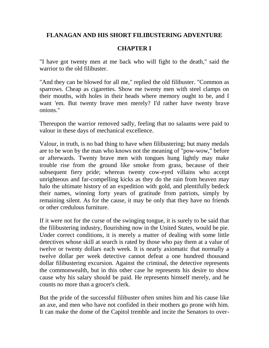## **FLANAGAN AND HIS SHORT FILIBUSTERING ADVENTURE**

# **CHAPTER I**

"I have got twenty men at me back who will fight to the death," said the warrior to the old filibuster.

"And they can be blowed for all me," replied the old filibuster. "Common as sparrows. Cheap as cigarettes. Show me twenty men with steel clamps on their mouths, with holes in their heads where memory ought to be, and I want 'em. But twenty brave men merely? I'd rather have twenty brave onions."

Thereupon the warrior removed sadly, feeling that no salaams were paid to valour in these days of mechanical excellence.

Valour, in truth, is no bad thing to have when filibustering; but many medals are to be won by the man who knows not the meaning of "pow-wow," before or afterwards. Twenty brave men with tongues hung lightly may make trouble rise from the ground like smoke from grass, because of their subsequent fiery pride; whereas twenty cow-eyed villains who accept unrighteous and far-compelling kicks as they do the rain from heaven may halo the ultimate history of an expedition with gold, and plentifully bedeck their names, winning forty years of gratitude from patriots, simply by remaining silent. As for the cause, it may be only that they have no friends or other credulous furniture.

If it were not for the curse of the swinging tongue, it is surely to be said that the filibustering industry, flourishing now in the United States, would be pie. Under correct conditions, it is merely a matter of dealing with some little detectives whose skill at search is rated by those who pay them at a value of twelve or twenty dollars each week. It is nearly axiomatic that normally a twelve dollar per week detective cannot defeat a one hundred thousand dollar filibustering excursion. Against the criminal, the detective represents the commonwealth, but in this other case he represents his desire to show cause why his salary should be paid. He represents himself merely, and he counts no more than a grocer's clerk.

But the pride of the successful filibuster often smites him and his cause like an axe, and men who have not confided in their mothers go prone with him. It can make the dome of the Capitol tremble and incite the Senators to over-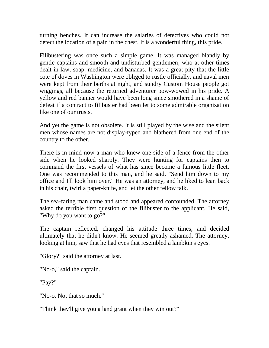turning benches. It can increase the salaries of detectives who could not detect the location of a pain in the chest. It is a wonderful thing, this pride.

Filibustering was once such a simple game. It was managed blandly by gentle captains and smooth and undisturbed gentlemen, who at other times dealt in law, soap, medicine, and bananas. It was a great pity that the little cote of doves in Washington were obliged to rustle officially, and naval men were kept from their berths at night, and sundry Custom House people got wiggings, all because the returned adventurer pow-wowed in his pride. A yellow and red banner would have been long since smothered in a shame of defeat if a contract to filibuster had been let to some admirable organization like one of our trusts.

And yet the game is not obsolete. It is still played by the wise and the silent men whose names are not display-typed and blathered from one end of the country to the other.

There is in mind now a man who knew one side of a fence from the other side when he looked sharply. They were hunting for captains then to command the first vessels of what has since become a famous little fleet. One was recommended to this man, and he said, "Send him down to my office and I'll look him over." He was an attorney, and he liked to lean back in his chair, twirl a paper-knife, and let the other fellow talk.

The sea-faring man came and stood and appeared confounded. The attorney asked the terrible first question of the filibuster to the applicant. He said, "Why do you want to go?"

The captain reflected, changed his attitude three times, and decided ultimately that he didn't know. He seemed greatly ashamed. The attorney, looking at him, saw that he had eyes that resembled a lambkin's eyes.

"Glory?" said the attorney at last.

"No-o," said the captain.

"Pay?"

"No-o. Not that so much."

"Think they'll give you a land grant when they win out?"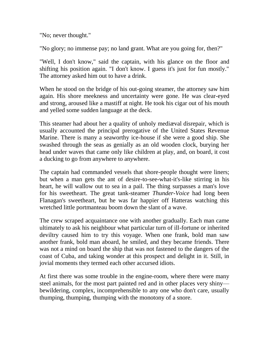"No; never thought."

"No glory; no immense pay; no land grant. What are you going for, then?"

"Well, I don't know," said the captain, with his glance on the floor and shifting his position again. "I don't know. I guess it's just for fun mostly." The attorney asked him out to have a drink.

When he stood on the bridge of his out-going steamer, the attorney saw him again. His shore meekness and uncertainty were gone. He was clear-eyed and strong, aroused like a mastiff at night. He took his cigar out of his mouth and yelled some sudden language at the deck.

This steamer had about her a quality of unholy mediæval disrepair, which is usually accounted the principal prerogative of the United States Revenue Marine. There is many a seaworthy ice-house if she were a good ship. She swashed through the seas as genially as an old wooden clock, burying her head under waves that came only like children at play, and, on board, it cost a ducking to go from anywhere to anywhere.

The captain had commanded vessels that shore-people thought were liners; but when a man gets the ant of desire-to-see-what-it's-like stirring in his heart, he will wallow out to sea in a pail. The thing surpasses a man's love for his sweetheart. The great tank-steamer *Thunder-Voice* had long been Flanagan's sweetheart, but he was far happier off Hatteras watching this wretched little portmanteau boom down the slant of a wave.

The crew scraped acquaintance one with another gradually. Each man came ultimately to ask his neighbour what particular turn of ill-fortune or inherited deviltry caused him to try this voyage. When one frank, bold man saw another frank, bold man aboard, he smiled, and they became friends. There was not a mind on board the ship that was not fastened to the dangers of the coast of Cuba, and taking wonder at this prospect and delight in it. Still, in jovial moments they termed each other accursed idiots.

At first there was some trouble in the engine-room, where there were many steel animals, for the most part painted red and in other places very shiny bewildering, complex, incomprehensible to any one who don't care, usually thumping, thumping, thumping with the monotony of a snore.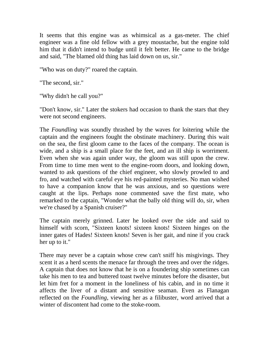It seems that this engine was as whimsical as a gas-meter. The chief engineer was a fine old fellow with a grey moustache, but the engine told him that it didn't intend to budge until it felt better. He came to the bridge and said, "The blamed old thing has laid down on us, sir."

"Who was on duty?" roared the captain.

"The second, sir."

"Why didn't he call you?"

"Don't know, sir." Later the stokers had occasion to thank the stars that they were not second engineers.

The *Foundling* was soundly thrashed by the waves for loitering while the captain and the engineers fought the obstinate machinery. During this wait on the sea, the first gloom came to the faces of the company. The ocean is wide, and a ship is a small place for the feet, and an ill ship is worriment. Even when she was again under way, the gloom was still upon the crew. From time to time men went to the engine-room doors, and looking down, wanted to ask questions of the chief engineer, who slowly prowled to and fro, and watched with careful eye his red-painted mysteries. No man wished to have a companion know that he was anxious, and so questions were caught at the lips. Perhaps none commented save the first mate, who remarked to the captain, "Wonder what the bally old thing will do, sir, when we're chased by a Spanish cruiser?"

The captain merely grinned. Later he looked over the side and said to himself with scorn, "Sixteen knots! sixteen knots! Sixteen hinges on the inner gates of Hades! Sixteen knots! Seven is her gait, and nine if you crack her up to it."

There may never be a captain whose crew can't sniff his misgivings. They scent it as a herd scents the menace far through the trees and over the ridges. A captain that does not know that he is on a foundering ship sometimes can take his men to tea and buttered toast twelve minutes before the disaster, but let him fret for a moment in the loneliness of his cabin, and in no time it affects the liver of a distant and sensitive seaman. Even as Flanagan reflected on the *Foundling*, viewing her as a filibuster, word arrived that a winter of discontent had come to the stoke-room.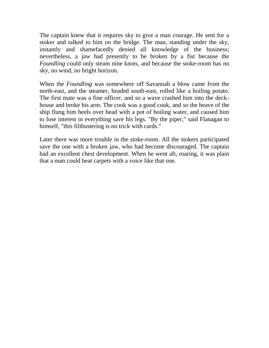The captain knew that it requires sky to give a man courage. He sent for a stoker and talked to him on the bridge. The man, standing under the sky, instantly and shamefacedly denied all knowledge of the business; nevertheless, a jaw had presently to be broken by a fist because the *Foundling* could only steam nine knots, and because the stoke-room has no sky, no wind, no bright horizon.

When the *Foundling* was somewhere off Savannah a blow came from the north-east, and the steamer, headed south-east, rolled like a boiling potato. The first mate was a fine officer, and so a wave crashed him into the deckhouse and broke his arm. The cook was a good cook, and so the heave of the ship flung him heels over head with a pot of boiling water, and caused him to lose interest in everything save his legs. "By the piper," said Flanagan to himself, "this filibustering is no trick with cards."

Later there was more trouble in the stoke-room. All the stokers participated save the one with a broken jaw, who had become discouraged. The captain had an excellent chest development. When he went aft, roaring, it was plain that a man could beat carpets with a voice like that one.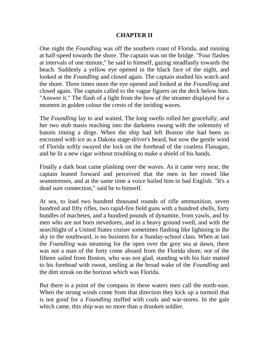#### **CHAPTER II**

One night the *Foundling* was off the southern coast of Florida, and running at half-speed towards the shore. The captain was on the bridge. "Four flashes at intervals of one minute," he said to himself, gazing steadfastly towards the beach. Suddenly a yellow eye opened in the black face of the night, and looked at the *Foundling* and closed again. The captain studied his watch and the shore. Three times more the eye opened and looked at the *Foundling* and closed again. The captain called to the vague figures on the deck below him. "Answer it." The flash of a light from the bow of the steamer displayed for a moment in golden colour the crests of the inriding waves.

The *Foundling* lay to and waited. The long swells rolled her gracefully, and her two stub masts reaching into the darkness swung with the solemnity of batons timing a dirge. When the ship had left Boston she had been as encrusted with ice as a Dakota stage-driver's beard, but now the gentle wind of Florida softly swayed the lock on the forehead of the coatless Flanagan, and he lit a new cigar without troubling to make a shield of his hands.

Finally a dark boat came plashing over the waves. As it came very near, the captain leaned forward and perceived that the men in her rowed like seamstresses, and at the same time a voice hailed him in bad English. "It's a dead sure connection," said he to himself.

At sea, to load two hundred thousand rounds of rifle ammunition, seven hundred and fifty rifles, two rapid-fire field guns with a hundred shells, forty bundles of machetes, and a hundred pounds of dynamite, from yawls, and by men who are not born stevedores, and in a heavy ground swell, and with the searchlight of a United States cruiser sometimes flashing like lightning in the sky to the southward, is no business for a Sunday-school class. When at last the *Foundling* was steaming for the open over the grey sea at dawn, there was not a man of the forty come aboard from the Florida shore, nor of the fifteen sailed from Boston, who was not glad, standing with his hair matted to his forehead with sweat, smiling at the broad wake of the *Foundling* and the dim streak on the horizon which was Florida.

But there is a point of the compass in these waters men call the north-east. When the strong winds come from that direction they kick up a turmoil that is not good for a *Foundling* stuffed with coals and war-stores. In the gale which came, this ship was no more than a drunken soldier.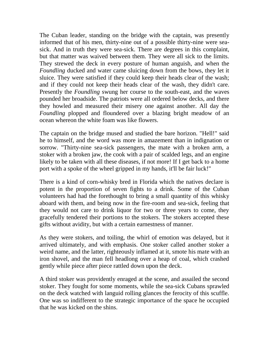The Cuban leader, standing on the bridge with the captain, was presently informed that of his men, thirty-nine out of a possible thirty-nine were seasick. And in truth they were sea-sick. There are degrees in this complaint, but that matter was waived between them. They were all sick to the limits. They strewed the deck in every posture of human anguish, and when the *Foundling* ducked and water came sluicing down from the bows, they let it sluice. They were satisfied if they could keep their heads clear of the wash; and if they could not keep their heads clear of the wash, they didn't care. Presently the *Foundling* swung her course to the south-east, and the waves pounded her broadside. The patriots were all ordered below decks, and there they howled and measured their misery one against another. All day the *Foundling* plopped and floundered over a blazing bright meadow of an ocean whereon the white foam was like flowers.

The captain on the bridge mused and studied the bare horizon. "Hell!" said he to himself, and the word was more in amazement than in indignation or sorrow. "Thirty-nine sea-sick passengers, the mate with a broken arm, a stoker with a broken jaw, the cook with a pair of scalded legs, and an engine likely to be taken with all these diseases, if not more! If I get back to a home port with a spoke of the wheel gripped in my hands, it'll be fair luck!"

There is a kind of corn-whisky bred in Florida which the natives declare is potent in the proportion of seven fights to a drink. Some of the Cuban volunteers had had the forethought to bring a small quantity of this whisky aboard with them, and being now in the fire-room and sea-sick, feeling that they would not care to drink liquor for two or three years to come, they gracefully tendered their portions to the stokers. The stokers accepted these gifts without avidity, but with a certain earnestness of manner.

As they were stokers, and toiling, the whirl of emotion was delayed, but it arrived ultimately, and with emphasis. One stoker called another stoker a weird name, and the latter, righteously inflamed at it, smote his mate with an iron shovel, and the man fell headlong over a heap of coal, which crashed gently while piece after piece rattled down upon the deck.

A third stoker was providently enraged at the scene, and assailed the second stoker. They fought for some moments, while the sea-sick Cubans sprawled on the deck watched with languid rolling glances the ferocity of this scuffle. One was so indifferent to the strategic importance of the space he occupied that he was kicked on the shins.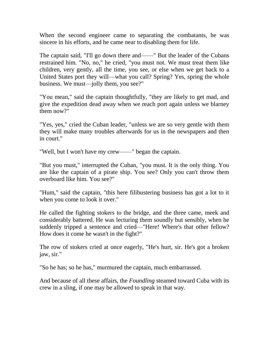When the second engineer came to separating the combatants, he was sincere in his efforts, and he came near to disabling them for life.

The captain said, "I'll go down there and——" But the leader of the Cubans restrained him. "No, no," he cried, "you must not. We must treat them like children, very gently, all the time, you see, or else when we get back to a United States port they will—what you call? Spring? Yes, spring the whole business. We must—jolly them, you see?"

"You mean," said the captain thoughtfully, "they are likely to get mad, and give the expedition dead away when we reach port again unless we blarney them now?"

"Yes, yes," cried the Cuban leader, "unless we are so very gentle with them they will make many troubles afterwards for us in the newspapers and then in court."

"Well, but I won't have my crew——" began the captain.

"But you must," interrupted the Cuban, "you must. It is the only thing. You are like the captain of a pirate ship. You see? Only you can't throw them overboard like him. You see?"

"Hum," said the captain, "this here filibustering business has got a lot to it when you come to look it over."

He called the fighting stokers to the bridge, and the three came, meek and considerably battered. He was lecturing them soundly but sensibly, when he suddenly tripped a sentence and cried—"Here! Where's that other fellow? How does it come he wasn't in the fight?"

The row of stokers cried at once eagerly, "He's hurt, sir. He's got a broken jaw, sir."

"So he has; so he has," murmured the captain, much embarrassed.

And because of all these affairs, the *Foundling* steamed toward Cuba with its crew in a sling, if one may be allowed to speak in that way.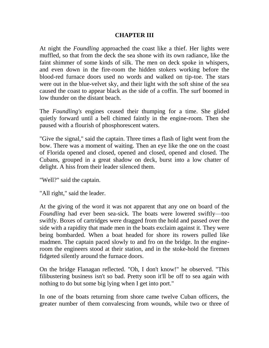### **CHAPTER III**

At night the *Foundling* approached the coast like a thief. Her lights were muffled, so that from the deck the sea shone with its own radiance, like the faint shimmer of some kinds of silk. The men on deck spoke in whispers, and even down in the fire-room the hidden stokers working before the blood-red furnace doors used no words and walked on tip-toe. The stars were out in the blue-velvet sky, and their light with the soft shine of the sea caused the coast to appear black as the side of a coffin. The surf boomed in low thunder on the distant beach.

The *Foundling's* engines ceased their thumping for a time. She glided quietly forward until a bell chimed faintly in the engine-room. Then she paused with a flourish of phosphorescent waters.

"Give the signal," said the captain. Three times a flash of light went from the bow. There was a moment of waiting. Then an eye like the one on the coast of Florida opened and closed, opened and closed, opened and closed. The Cubans, grouped in a great shadow on deck, burst into a low chatter of delight. A hiss from their leader silenced them.

"Well?" said the captain.

"All right," said the leader.

At the giving of the word it was not apparent that any one on board of the *Foundling* had ever been sea-sick. The boats were lowered swiftly—too swiftly. Boxes of cartridges were dragged from the hold and passed over the side with a rapidity that made men in the boats exclaim against it. They were being bombarded. When a boat headed for shore its rowers pulled like madmen. The captain paced slowly to and fro on the bridge. In the engineroom the engineers stood at their station, and in the stoke-hold the firemen fidgeted silently around the furnace doors.

On the bridge Flanagan reflected. "Oh, I don't know!" he observed. "This filibustering business isn't so bad. Pretty soon it'll be off to sea again with nothing to do but some big lying when I get into port."

In one of the boats returning from shore came twelve Cuban officers, the greater number of them convalescing from wounds, while two or three of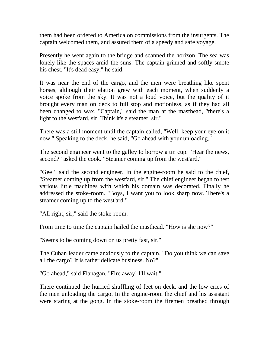them had been ordered to America on commissions from the insurgents. The captain welcomed them, and assured them of a speedy and safe voyage.

Presently he went again to the bridge and scanned the horizon. The sea was lonely like the spaces amid the suns. The captain grinned and softly smote his chest. "It's dead easy," he said.

It was near the end of the cargo, and the men were breathing like spent horses, although their elation grew with each moment, when suddenly a voice spoke from the sky. It was not a loud voice, but the quality of it brought every man on deck to full stop and motionless, as if they had all been changed to wax. "Captain," said the man at the masthead, "there's a light to the west'ard, sir. Think it's a steamer, sir."

There was a still moment until the captain called, "Well, keep your eye on it now." Speaking to the deck, he said, "Go ahead with your unloading."

The second engineer went to the galley to borrow a tin cup. "Hear the news, second?" asked the cook. "Steamer coming up from the west'ard."

"Gee!" said the second engineer. In the engine-room he said to the chief, "Steamer coming up from the west'ard, sir." The chief engineer began to test various little machines with which his domain was decorated. Finally he addressed the stoke-room. "Boys, I want you to look sharp now. There's a steamer coming up to the west'ard."

"All right, sir," said the stoke-room.

From time to time the captain hailed the masthead. "How is she now?"

"Seems to be coming down on us pretty fast, sir."

The Cuban leader came anxiously to the captain. "Do you think we can save all the cargo? It is rather delicate business. No?"

"Go ahead," said Flanagan. "Fire away! I'll wait."

There continued the hurried shuffling of feet on deck, and the low cries of the men unloading the cargo. In the engine-room the chief and his assistant were staring at the gong. In the stoke-room the firemen breathed through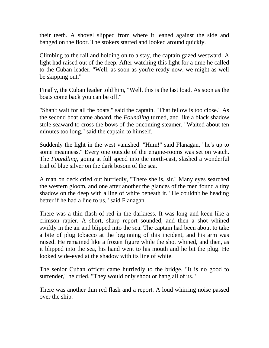their teeth. A shovel slipped from where it leaned against the side and banged on the floor. The stokers started and looked around quickly.

Climbing to the rail and holding on to a stay, the captain gazed westward. A light had raised out of the deep. After watching this light for a time he called to the Cuban leader. "Well, as soon as you're ready now, we might as well be skipping out."

Finally, the Cuban leader told him, "Well, this is the last load. As soon as the boats come back you can be off."

"Shan't wait for all the boats," said the captain. "That fellow is too close." As the second boat came aboard, the *Foundling* turned, and like a black shadow stole seaward to cross the bows of the oncoming steamer. "Waited about ten minutes too long," said the captain to himself.

Suddenly the light in the west vanished. "Hum!" said Flanagan, "he's up to some meanness." Every one outside of the engine-rooms was set on watch. The *Foundling*, going at full speed into the north-east, slashed a wonderful trail of blue silver on the dark bosom of the sea.

A man on deck cried out hurriedly, "There she is, sir." Many eyes searched the western gloom, and one after another the glances of the men found a tiny shadow on the deep with a line of white beneath it. "He couldn't be heading better if he had a line to us," said Flanagan.

There was a thin flash of red in the darkness. It was long and keen like a crimson rapier. A short, sharp report sounded, and then a shot whined swiftly in the air and blipped into the sea. The captain had been about to take a bite of plug tobacco at the beginning of this incident, and his arm was raised. He remained like a frozen figure while the shot whined, and then, as it blipped into the sea, his hand went to his mouth and he bit the plug. He looked wide-eyed at the shadow with its line of white.

The senior Cuban officer came hurriedly to the bridge. "It is no good to surrender," he cried. "They would only shoot or hang all of us."

There was another thin red flash and a report. A loud whirring noise passed over the ship.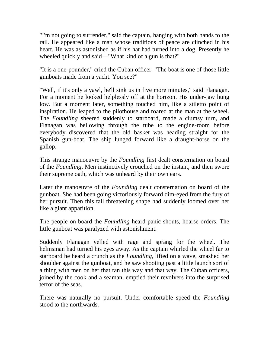"I'm not going to surrender," said the captain, hanging with both hands to the rail. He appeared like a man whose traditions of peace are clinched in his heart. He was as astonished as if his hat had turned into a dog. Presently he wheeled quickly and said—"What kind of a gun is that?"

"It is a one-pounder," cried the Cuban officer. "The boat is one of those little gunboats made from a yacht. You see?"

"Well, if it's only a yawl, he'll sink us in five more minutes," said Flanagan. For a moment he looked helplessly off at the horizon. His under-jaw hung low. But a moment later, something touched him, like a stiletto point of inspiration. He leaped to the pilothouse and roared at the man at the wheel. The *Foundling* sheered suddenly to starboard, made a clumsy turn, and Flanagan was bellowing through the tube to the engine-room before everybody discovered that the old basket was heading straight for the Spanish gun-boat. The ship lunged forward like a draught-horse on the gallop.

This strange manoeuvre by the *Foundling* first dealt consternation on board of the *Foundling*. Men instinctively crouched on the instant, and then swore their supreme oath, which was unheard by their own ears.

Later the manoeuvre of the *Foundling* dealt consternation on board of the gunboat. She had been going victoriously forward dim-eyed from the fury of her pursuit. Then this tall threatening shape had suddenly loomed over her like a giant apparition.

The people on board the *Foundling* heard panic shouts, hoarse orders. The little gunboat was paralyzed with astonishment.

Suddenly Flanagan yelled with rage and sprang for the wheel. The helmsman had turned his eyes away. As the captain whirled the wheel far to starboard he heard a crunch as the *Foundling*, lifted on a wave, smashed her shoulder against the gunboat, and he saw shooting past a little launch sort of a thing with men on her that ran this way and that way. The Cuban officers, joined by the cook and a seaman, emptied their revolvers into the surprised terror of the seas.

There was naturally no pursuit. Under comfortable speed the *Foundling* stood to the northwards.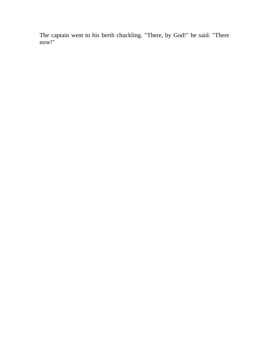The captain went to his berth chuckling. "There, by God!" he said. "There now!"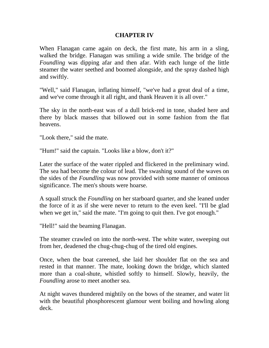## **CHAPTER IV**

When Flanagan came again on deck, the first mate, his arm in a sling, walked the bridge. Flanagan was smiling a wide smile. The bridge of the *Foundling* was dipping afar and then afar. With each lunge of the little steamer the water seethed and boomed alongside, and the spray dashed high and swiftly.

"Well," said Flanagan, inflating himself, "we've had a great deal of a time, and we've come through it all right, and thank Heaven it is all over."

The sky in the north-east was of a dull brick-red in tone, shaded here and there by black masses that billowed out in some fashion from the flat heavens.

"Look there," said the mate.

"Hum!" said the captain. "Looks like a blow, don't it?"

Later the surface of the water rippled and flickered in the preliminary wind. The sea had become the colour of lead. The swashing sound of the waves on the sides of the *Foundling* was now provided with some manner of ominous significance. The men's shouts were hoarse.

A squall struck the *Foundling* on her starboard quarter, and she leaned under the force of it as if she were never to return to the even keel. "I'll be glad when we get in," said the mate. "I'm going to quit then. I've got enough."

"Hell!" said the beaming Flanagan.

The steamer crawled on into the north-west. The white water, sweeping out from her, deadened the chug-chug-chug of the tired old engines.

Once, when the boat careened, she laid her shoulder flat on the sea and rested in that manner. The mate, looking down the bridge, which slanted more than a coal-shute, whistled softly to himself. Slowly, heavily, the *Foundling* arose to meet another sea.

At night waves thundered mightily on the bows of the steamer, and water lit with the beautiful phosphorescent glamour went boiling and howling along deck.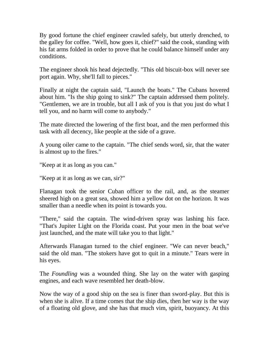By good fortune the chief engineer crawled safely, but utterly drenched, to the galley for coffee. "Well, how goes it, chief?" said the cook, standing with his fat arms folded in order to prove that he could balance himself under any conditions.

The engineer shook his head dejectedly. "This old biscuit-box will never see port again. Why, she'll fall to pieces."

Finally at night the captain said, "Launch the boats." The Cubans hovered about him. "Is the ship going to sink?" The captain addressed them politely. "Gentlemen, we are in trouble, but all I ask of you is that you just do what I tell you, and no harm will come to anybody."

The mate directed the lowering of the first boat, and the men performed this task with all decency, like people at the side of a grave.

A young oiler came to the captain. "The chief sends word, sir, that the water is almost up to the fires."

"Keep at it as long as you can."

"Keep at it as long as we can, sir?"

Flanagan took the senior Cuban officer to the rail, and, as the steamer sheered high on a great sea, showed him a yellow dot on the horizon. It was smaller than a needle when its point is towards you.

"There," said the captain. The wind-driven spray was lashing his face. "That's Jupiter Light on the Florida coast. Put your men in the boat we've just launched, and the mate will take you to that light."

Afterwards Flanagan turned to the chief engineer. "We can never beach," said the old man. "The stokers have got to quit in a minute." Tears were in his eyes.

The *Foundling* was a wounded thing. She lay on the water with gasping engines, and each wave resembled her death-blow.

Now the way of a good ship on the sea is finer than sword-play. But this is when she is alive. If a time comes that the ship dies, then her way is the way of a floating old glove, and she has that much vim, spirit, buoyancy. At this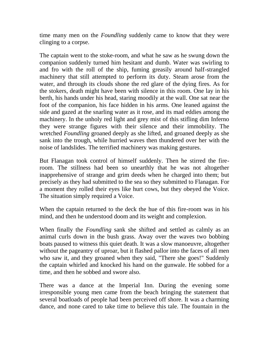time many men on the *Foundling* suddenly came to know that they were clinging to a corpse.

The captain went to the stoke-room, and what he saw as he swung down the companion suddenly turned him hesitant and dumb. Water was swirling to and fro with the roll of the ship, fuming greasily around half-strangled machinery that still attempted to perform its duty. Steam arose from the water, and through its clouds shone the red glare of the dying fires. As for the stokers, death might have been with silence in this room. One lay in his berth, his hands under his head, staring moodily at the wall. One sat near the foot of the companion, his face hidden in his arms. One leaned against the side and gazed at the snarling water as it rose, and its mad eddies among the machinery. In the unholy red light and grey mist of this stifling dim Inferno they were strange figures with their silence and their immobility. The wretched *Foundling* groaned deeply as she lifted, and groaned deeply as she sank into the trough, while hurried waves then thundered over her with the noise of landslides. The terrified machinery was making gestures.

But Flanagan took control of himself suddenly. Then he stirred the fireroom. The stillness had been so unearthly that he was not altogether inapprehensive of strange and grim deeds when he charged into them; but precisely as they had submitted to the sea so they submitted to Flanagan. For a moment they rolled their eyes like hurt cows, but they obeyed the Voice. The situation simply required a Voice.

When the captain returned to the deck the hue of this fire-room was in his mind, and then he understood doom and its weight and complexion.

When finally the *Foundling* sank she shifted and settled as calmly as an animal curls down in the bush grass. Away over the waves two bobbing boats paused to witness this quiet death. It was a slow manoeuvre, altogether without the pageantry of uproar, but it flashed pallor into the faces of all men who saw it, and they groaned when they said, "There she goes!" Suddenly the captain whirled and knocked his hand on the gunwale. He sobbed for a time, and then he sobbed and swore also.

There was a dance at the Imperial Inn. During the evening some irresponsible young men came from the beach bringing the statement that several boatloads of people had been perceived off shore. It was a charming dance, and none cared to take time to believe this tale. The fountain in the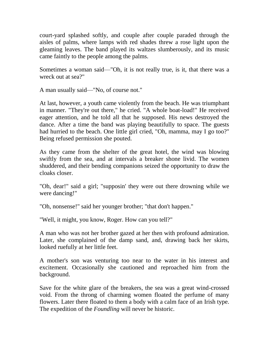court-yard splashed softly, and couple after couple paraded through the aisles of palms, where lamps with red shades threw a rose light upon the gleaming leaves. The band played its waltzes slumberously, and its music came faintly to the people among the palms.

Sometimes a woman said—"Oh, it is not really true, is it, that there was a wreck out at sea?"

A man usually said—"No, of course not."

At last, however, a youth came violently from the beach. He was triumphant in manner. "They're out there," he cried. "A whole boat-load!" He received eager attention, and he told all that he supposed. His news destroyed the dance. After a time the band was playing beautifully to space. The guests had hurried to the beach. One little girl cried, "Oh, mamma, may I go too?" Being refused permission she pouted.

As they came from the shelter of the great hotel, the wind was blowing swiftly from the sea, and at intervals a breaker shone livid. The women shuddered, and their bending companions seized the opportunity to draw the cloaks closer.

"Oh, dear!" said a girl; "supposin' they were out there drowning while we were dancing!"

"Oh, nonsense!" said her younger brother; "that don't happen."

"Well, it might, you know, Roger. How can you tell?"

A man who was not her brother gazed at her then with profound admiration. Later, she complained of the damp sand, and, drawing back her skirts, looked ruefully at her little feet.

A mother's son was venturing too near to the water in his interest and excitement. Occasionally she cautioned and reproached him from the background.

Save for the white glare of the breakers, the sea was a great wind-crossed void. From the throng of charming women floated the perfume of many flowers. Later there floated to them a body with a calm face of an Irish type. The expedition of the *Foundling* will never be historic.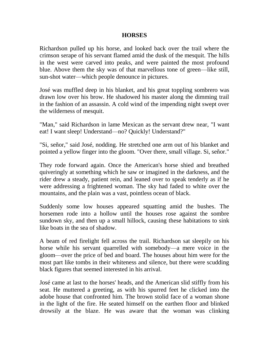#### **HORSES**

Richardson pulled up his horse, and looked back over the trail where the crimson serape of his servant flamed amid the dusk of the mesquit. The hills in the west were carved into peaks, and were painted the most profound blue. Above them the sky was of that marvellous tone of green—like still, sun-shot water—which people denounce in pictures.

José was muffled deep in his blanket, and his great toppling sombrero was drawn low over his brow. He shadowed his master along the dimming trail in the fashion of an assassin. A cold wind of the impending night swept over the wilderness of mesquit.

"Man," said Richardson in lame Mexican as the servant drew near, "I want eat! I want sleep! Understand—no? Quickly! Understand?"

"Si, señor," said José, nodding. He stretched one arm out of his blanket and pointed a yellow finger into the gloom. "Over there, small village. Si, señor."

They rode forward again. Once the American's horse shied and breathed quiveringly at something which he saw or imagined in the darkness, and the rider drew a steady, patient rein, and leaned over to speak tenderly as if he were addressing a frightened woman. The sky had faded to white over the mountains, and the plain was a vast, pointless ocean of black.

Suddenly some low houses appeared squatting amid the bushes. The horsemen rode into a hollow until the houses rose against the sombre sundown sky, and then up a small hillock, causing these habitations to sink like boats in the sea of shadow.

A beam of red firelight fell across the trail. Richardson sat sleepily on his horse while his servant quarrelled with somebody—a mere voice in the gloom—over the price of bed and board. The houses about him were for the most part like tombs in their whiteness and silence, but there were scudding black figures that seemed interested in his arrival.

José came at last to the horses' heads, and the American slid stiffly from his seat. He muttered a greeting, as with his spurred feet he clicked into the adobe house that confronted him. The brown stolid face of a woman shone in the light of the fire. He seated himself on the earthen floor and blinked drowsily at the blaze. He was aware that the woman was clinking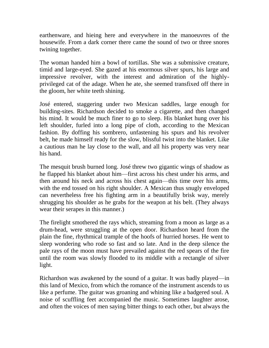earthenware, and hieing here and everywhere in the manoeuvres of the housewife. From a dark corner there came the sound of two or three snores twining together.

The woman handed him a bowl of tortillas. She was a submissive creature, timid and large-eyed. She gazed at his enormous silver spurs, his large and impressive revolver, with the interest and admiration of the highlyprivileged cat of the adage. When he ate, she seemed transfixed off there in the gloom, her white teeth shining.

José entered, staggering under two Mexican saddles, large enough for building-sites. Richardson decided to smoke a cigarette, and then changed his mind. It would be much finer to go to sleep. His blanket hung over his left shoulder, furled into a long pipe of cloth, according to the Mexican fashion. By doffing his sombrero, unfastening his spurs and his revolver belt, he made himself ready for the slow, blissful twist into the blanket. Like a cautious man he lay close to the wall, and all his property was very near his hand.

The mesquit brush burned long. José threw two gigantic wings of shadow as he flapped his blanket about him—first across his chest under his arms, and then around his neck and across his chest again—this time over his arms, with the end tossed on his right shoulder. A Mexican thus snugly enveloped can nevertheless free his fighting arm in a beautifully brisk way, merely shrugging his shoulder as he grabs for the weapon at his belt. (They always wear their serapes in this manner.)

The firelight smothered the rays which, streaming from a moon as large as a drum-head, were struggling at the open door. Richardson heard from the plain the fine, rhythmical trample of the hoofs of hurried horses. He went to sleep wondering who rode so fast and so late. And in the deep silence the pale rays of the moon must have prevailed against the red spears of the fire until the room was slowly flooded to its middle with a rectangle of silver light.

Richardson was awakened by the sound of a guitar. It was badly played—in this land of Mexico, from which the romance of the instrument ascends to us like a perfume. The guitar was groaning and whining like a badgered soul. A noise of scuffling feet accompanied the music. Sometimes laughter arose, and often the voices of men saying bitter things to each other, but always the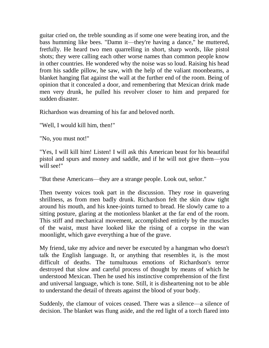guitar cried on, the treble sounding as if some one were beating iron, and the bass humming like bees. "Damn it—they're having a dance," he muttered, fretfully. He heard two men quarrelling in short, sharp words, like pistol shots; they were calling each other worse names than common people know in other countries. He wondered why the noise was so loud. Raising his head from his saddle pillow, he saw, with the help of the valiant moonbeams, a blanket hanging flat against the wall at the further end of the room. Being of opinion that it concealed a door, and remembering that Mexican drink made men very drunk, he pulled his revolver closer to him and prepared for sudden disaster.

Richardson was dreaming of his far and beloved north.

"Well, I would kill him, then!"

"No, you must not!"

"Yes, I will kill him! Listen! I will ask this American beast for his beautiful pistol and spurs and money and saddle, and if he will not give them—you will see!"

"But these Americans—they are a strange people. Look out, señor."

Then twenty voices took part in the discussion. They rose in quavering shrillness, as from men badly drunk. Richardson felt the skin draw tight around his mouth, and his knee-joints turned to bread. He slowly came to a sitting posture, glaring at the motionless blanket at the far end of the room. This stiff and mechanical movement, accomplished entirely by the muscles of the waist, must have looked like the rising of a corpse in the wan moonlight, which gave everything a hue of the grave.

My friend, take my advice and never be executed by a hangman who doesn't talk the English language. It, or anything that resembles it, is the most difficult of deaths. The tumultuous emotions of Richardson's terror destroyed that slow and careful process of thought by means of which he understood Mexican. Then he used his instinctive comprehension of the first and universal language, which is tone. Still, it is disheartening not to be able to understand the detail of threats against the blood of your body.

Suddenly, the clamour of voices ceased. There was a silence—a silence of decision. The blanket was flung aside, and the red light of a torch flared into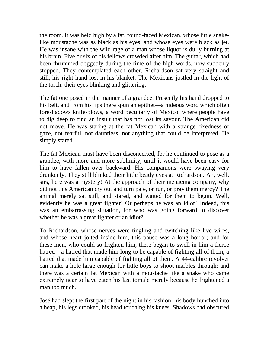the room. It was held high by a fat, round-faced Mexican, whose little snakelike moustache was as black as his eyes, and whose eyes were black as jet. He was insane with the wild rage of a man whose liquor is dully burning at his brain. Five or six of his fellows crowded after him. The guitar, which had been thrummed doggedly during the time of the high words, now suddenly stopped. They contemplated each other. Richardson sat very straight and still, his right hand lost in his blanket. The Mexicans jostled in the light of the torch, their eyes blinking and glittering.

The fat one posed in the manner of a grandee. Presently his hand dropped to his belt, and from his lips there spun an epithet—a hideous word which often foreshadows knife-blows, a word peculiarly of Mexico, where people have to dig deep to find an insult that has not lost its savour. The American did not move. He was staring at the fat Mexican with a strange fixedness of gaze, not fearful, not dauntless, not anything that could be interpreted. He simply stared.

The fat Mexican must have been disconcerted, for he continued to pose as a grandee, with more and more sublimity, until it would have been easy for him to have fallen over backward. His companions were swaying very drunkenly. They still blinked their little beady eyes at Richardson. Ah, well, sirs, here was a mystery! At the approach of their menacing company, why did not this American cry out and turn pale, or run, or pray them mercy? The animal merely sat still, and stared, and waited for them to begin. Well, evidently he was a great fighter! Or perhaps he was an idiot? Indeed, this was an embarrassing situation, for who was going forward to discover whether he was a great fighter or an idiot?

To Richardson, whose nerves were tingling and twitching like live wires, and whose heart jolted inside him, this pause was a long horror; and for these men, who could so frighten him, there began to swell in him a fierce hatred—a hatred that made him long to be capable of fighting all of them, a hatred that made him capable of fighting all of them. A 44-calibre revolver can make a hole large enough for little boys to shoot marbles through; and there was a certain fat Mexican with a moustache like a snake who came extremely near to have eaten his last tomale merely because he frightened a man too much.

José had slept the first part of the night in his fashion, his body hunched into a heap, his legs crooked, his head touching his knees. Shadows had obscured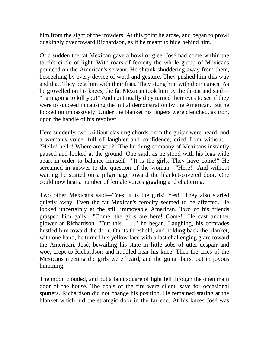him from the sight of the invaders. At this point he arose, and began to prowl quakingly over toward Richardson, as if he meant to hide behind him.

Of a sudden the fat Mexican gave a howl of glee. José had come within the torch's circle of light. With roars of ferocity the whole group of Mexicans pounced on the American's servant. He shrank shuddering away from them, beseeching by every device of word and gesture. They pushed him this way and that. They beat him with their fists. They stung him with their curses. As he grovelled on his knees, the fat Mexican took him by the throat and said— "I am going to kill you!" And continually they turned their eyes to see if they were to succeed in causing the initial demonstration by the American. But he looked on impassively. Under the blanket his fingers were clenched, as iron, upon the handle of his revolver.

Here suddenly two brilliant clashing chords from the guitar were heard, and a woman's voice, full of laughter and confidence, cried from without— "Hello! hello! Where are you?" The lurching company of Mexicans instantly paused and looked at the ground. One said, as he stood with his legs wide apart in order to balance himself—"It is the girls. They have come!" He screamed in answer to the question of the woman—"Here!" And without waiting he started on a pilgrimage toward the blanket-covered door. One could now hear a number of female voices giggling and chattering.

Two other Mexicans said—"Yes, it is the girls! Yes!" They also started quietly away. Even the fat Mexican's ferocity seemed to be affected. He looked uncertainly at the still immovable American. Two of his friends grasped him gaily—"Come, the girls are here! Come!" He cast another glower at Richardson. "But this——," he began. Laughing, his comrades hustled him toward the door. On its threshold, and holding back the blanket, with one hand, he turned his yellow face with a last challenging glare toward the American. José, bewailing his state in little sobs of utter despair and woe, crept to Richardson and huddled near his knee. Then the cries of the Mexicans meeting the girls were heard, and the guitar burst out in joyous humming.

The moon clouded, and but a faint square of light fell through the open main door of the house. The coals of the fire were silent, save for occasional sputters. Richardson did not change his position. He remained staring at the blanket which hid the strategic door in the far end. At his knees José was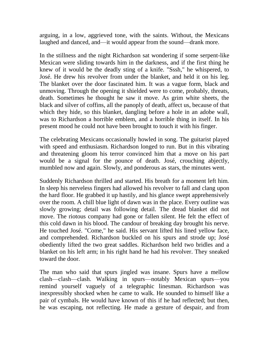arguing, in a low, aggrieved tone, with the saints. Without, the Mexicans laughed and danced, and—it would appear from the sound—drank more.

In the stillness and the night Richardson sat wondering if some serpent-like Mexican were sliding towards him in the darkness, and if the first thing he knew of it would be the deadly sting of a knife. "Sssh," he whispered, to José. He drew his revolver from under the blanket, and held it on his leg. The blanket over the door fascinated him. It was a vague form, black and unmoving. Through the opening it shielded were to come, probably, threats, death. Sometimes he thought he saw it move. As grim white sheets, the black and silver of coffins, all the panoply of death, affect us, because of that which they hide, so this blanket, dangling before a hole in an adobe wall, was to Richardson a horrible emblem, and a horrible thing in itself. In his present mood he could not have been brought to touch it with his finger.

The celebrating Mexicans occasionally howled in song. The guitarist played with speed and enthusiasm. Richardson longed to run. But in this vibrating and threatening gloom his terror convinced him that a move on his part would be a signal for the pounce of death. José, crouching abjectly, mumbled now and again. Slowly, and ponderous as stars, the minutes went.

Suddenly Richardson thrilled and started. His breath for a moment left him. In sleep his nerveless fingers had allowed his revolver to fall and clang upon the hard floor. He grabbed it up hastily, and his glance swept apprehensively over the room. A chill blue light of dawn was in the place. Every outline was slowly growing; detail was following detail. The dread blanket did not move. The riotous company had gone or fallen silent. He felt the effect of this cold dawn in his blood. The candour of breaking day brought his nerve. He touched José. "Come," he said. His servant lifted his lined yellow face, and comprehended. Richardson buckled on his spurs and strode up; José obediently lifted the two great saddles. Richardson held two bridles and a blanket on his left arm; in his right hand he had his revolver. They sneaked toward the door.

The man who said that spurs jingled was insane. Spurs have a mellow clash—clash—clash. Walking in spurs—notably Mexican spurs—you remind yourself vaguely of a telegraphic linesman. Richardson was inexpressibly shocked when he came to walk. He sounded to himself like a pair of cymbals. He would have known of this if he had reflected; but then, he was escaping, not reflecting. He made a gesture of despair, and from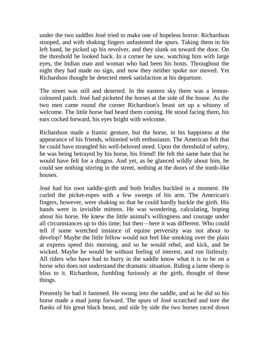under the two saddles José tried to make one of hopeless horror. Richardson stooped, and with shaking fingers unfastened the spurs. Taking them in his left hand, he picked up his revolver, and they slunk on toward the door. On the threshold he looked back. In a corner he saw, watching him with large eyes, the Indian man and woman who had been his hosts. Throughout the night they had made no sign, and now they neither spoke nor moved. Yet Richardson thought he detected meek satisfaction at his departure.

The street was still and deserted. In the eastern sky there was a lemoncoloured patch. José had picketed the horses at the side of the house. As the two men came round the corner Richardson's beast set up a whinny of welcome. The little horse had heard them coming. He stood facing them, his ears cocked forward, his eyes bright with welcome.

Richardson made a frantic gesture, but the horse, in his happiness at the appearance of his friends, whinnied with enthusiasm. The American felt that he could have strangled his well-beloved steed. Upon the threshold of safety, he was being betrayed by his horse, his friend! He felt the same hate that he would have felt for a dragon. And yet, as he glanced wildly about him, he could see nothing stirring in the street, nothing at the doors of the tomb-like houses.

José had his own saddle-girth and both bridles buckled in a moment. He curled the picket-ropes with a few sweeps of his arm. The American's fingers, however, were shaking so that he could hardly buckle the girth. His hands were in invisible mittens. He was wondering, calculating, hoping about his horse. He knew the little animal's willingness and courage under all circumstances up to this time; but then—here it was different. Who could tell if some wretched instance of equine perversity was not about to develop? Maybe the little fellow would not feel like smoking over the plain at express speed this morning, and so he would rebel, and kick, and be wicked. Maybe he would be without feeling of interest, and run listlessly. All riders who have had to hurry in the saddle know what it is to be on a horse who does not understand the dramatic situation. Riding a lame sheep is bliss to it. Richardson, fumbling furiously at the girth, thought of these things.

Presently he had it fastened. He swung into the saddle, and as he did so his horse made a mad jump forward. The spurs of José scratched and tore the flanks of his great black beast, and side by side the two horses raced down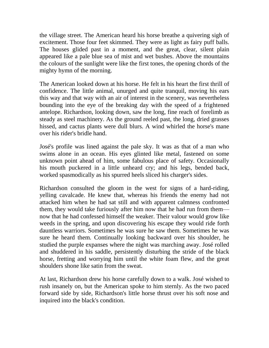the village street. The American heard his horse breathe a quivering sigh of excitement. Those four feet skimmed. They were as light as fairy puff balls. The houses glided past in a moment, and the great, clear, silent plain appeared like a pale blue sea of mist and wet bushes. Above the mountains the colours of the sunlight were like the first tones, the opening chords of the mighty hymn of the morning.

The American looked down at his horse. He felt in his heart the first thrill of confidence. The little animal, unurged and quite tranquil, moving his ears this way and that way with an air of interest in the scenery, was nevertheless bounding into the eye of the breaking day with the speed of a frightened antelope. Richardson, looking down, saw the long, fine reach of forelimb as steady as steel machinery. As the ground reeled past, the long, dried grasses hissed, and cactus plants were dull blurs. A wind whirled the horse's mane over his rider's bridle hand.

José's profile was lined against the pale sky. It was as that of a man who swims alone in an ocean. His eyes glinted like metal, fastened on some unknown point ahead of him, some fabulous place of safety. Occasionally his mouth puckered in a little unheard cry; and his legs, bended back, worked spasmodically as his spurred heels sliced his charger's sides.

Richardson consulted the gloom in the west for signs of a hard-riding, yelling cavalcade. He knew that, whereas his friends the enemy had not attacked him when he had sat still and with apparent calmness confronted them, they would take furiously after him now that he had run from them now that he had confessed himself the weaker. Their valour would grow like weeds in the spring, and upon discovering his escape they would ride forth dauntless warriors. Sometimes he was sure he saw them. Sometimes he was sure he heard them. Continually looking backward over his shoulder, he studied the purple expanses where the night was marching away. José rolled and shuddered in his saddle, persistently disturbing the stride of the black horse, fretting and worrying him until the white foam flew, and the great shoulders shone like satin from the sweat.

At last, Richardson drew his horse carefully down to a walk. José wished to rush insanely on, but the American spoke to him sternly. As the two paced forward side by side, Richardson's little horse thrust over his soft nose and inquired into the black's condition.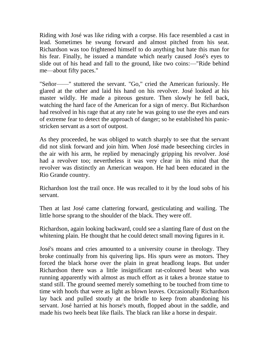Riding with José was like riding with a corpse. His face resembled a cast in lead. Sometimes he swung forward and almost pitched from his seat. Richardson was too frightened himself to do anything but hate this man for his fear. Finally, he issued a mandate which nearly caused José's eyes to slide out of his head and fall to the ground, like two coins:—"Ride behind me—about fifty paces."

"Señor——" stuttered the servant. "Go," cried the American furiously. He glared at the other and laid his hand on his revolver. José looked at his master wildly. He made a piteous gesture. Then slowly he fell back, watching the hard face of the American for a sign of mercy. But Richardson had resolved in his rage that at any rate he was going to use the eyes and ears of extreme fear to detect the approach of danger; so he established his panicstricken servant as a sort of outpost.

As they proceeded, he was obliged to watch sharply to see that the servant did not slink forward and join him. When José made beseeching circles in the air with his arm, he replied by menacingly gripping his revolver. José had a revolver too; nevertheless it was very clear in his mind that the revolver was distinctly an American weapon. He had been educated in the Rio Grande country.

Richardson lost the trail once. He was recalled to it by the loud sobs of his servant.

Then at last José came clattering forward, gesticulating and wailing. The little horse sprang to the shoulder of the black. They were off.

Richardson, again looking backward, could see a slanting flare of dust on the whitening plain. He thought that he could detect small moving figures in it.

José's moans and cries amounted to a university course in theology. They broke continually from his quivering lips. His spurs were as motors. They forced the black horse over the plain in great headlong leaps. But under Richardson there was a little insignificant rat-coloured beast who was running apparently with almost as much effort as it takes a bronze statue to stand still. The ground seemed merely something to be touched from time to time with hoofs that were as light as blown leaves. Occasionally Richardson lay back and pulled stoutly at the bridle to keep from abandoning his servant. José harried at his horse's mouth, flopped about in the saddle, and made his two heels beat like flails. The black ran like a horse in despair.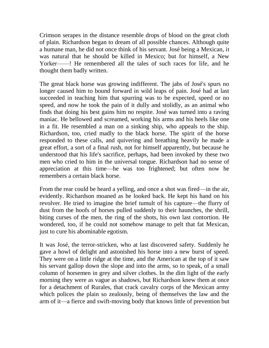Crimson serapes in the distance resemble drops of blood on the great cloth of plain. Richardson began to dream of all possible chances. Although quite a humane man, he did not once think of his servant. José being a Mexican, it was natural that he should be killed in Mexico; but for himself, a New Yorker——! He remembered all the tales of such races for life, and he thought them badly written.

The great black horse was growing indifferent. The jabs of José's spurs no longer caused him to bound forward in wild leaps of pain. José had at last succeeded in teaching him that spurring was to be expected, speed or no speed, and now he took the pain of it dully and stolidly, as an animal who finds that doing his best gains him no respite. José was turned into a raving maniac. He bellowed and screamed, working his arms and his heels like one in a fit. He resembled a man on a sinking ship, who appeals to the ship. Richardson, too, cried madly to the black horse. The spirit of the horse responded to these calls, and quivering and breathing heavily he made a great effort, a sort of a final rush, not for himself apparently, but because he understood that his life's sacrifice, perhaps, had been invoked by these two men who cried to him in the universal tongue. Richardson had no sense of appreciation at this time—he was too frightened; but often now he remembers a certain black horse.

From the rear could be heard a yelling, and once a shot was fired—in the air, evidently. Richardson moaned as he looked back. He kept his hand on his revolver. He tried to imagine the brief tumult of his capture—the flurry of dust from the hoofs of horses pulled suddenly to their haunches, the shrill, biting curses of the men, the ring of the shots, his own last contortion. He wondered, too, if he could not somehow manage to pelt that fat Mexican, just to cure his abominable egotism.

It was José, the terror-stricken, who at last discovered safety. Suddenly he gave a howl of delight and astonished his horse into a new burst of speed. They were on a little ridge at the time, and the American at the top of it saw his servant gallop down the slope and into the arms, so to speak, of a small column of horsemen in grey and silver clothes. In the dim light of the early morning they were as vague as shadows, but Richardson knew them at once for a detachment of Rurales, that crack cavalry corps of the Mexican army which polices the plain so zealously, being of themselves the law and the arm of it—a fierce and swift-moving body that knows little of prevention but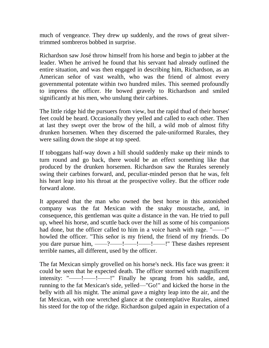much of vengeance. They drew up suddenly, and the rows of great silvertrimmed sombreros bobbed in surprise.

Richardson saw José throw himself from his horse and begin to jabber at the leader. When he arrived he found that his servant had already outlined the entire situation, and was then engaged in describing him, Richardson, as an American señor of vast wealth, who was the friend of almost every governmental potentate within two hundred miles. This seemed profoundly to impress the officer. He bowed gravely to Richardson and smiled significantly at his men, who unslung their carbines.

The little ridge hid the pursuers from view, but the rapid thud of their horses' feet could be heard. Occasionally they yelled and called to each other. Then at last they swept over the brow of the hill, a wild mob of almost fifty drunken horsemen. When they discerned the pale-uniformed Rurales, they were sailing down the slope at top speed.

If toboggans half-way down a hill should suddenly make up their minds to turn round and go back, there would be an effect something like that produced by the drunken horsemen. Richardson saw the Rurales serenely swing their carbines forward, and, peculiar-minded person that he was, felt his heart leap into his throat at the prospective volley. But the officer rode forward alone.

It appeared that the man who owned the best horse in this astonished company was the fat Mexican with the snaky moustache, and, in consequence, this gentleman was quite a distance in the van. He tried to pull up, wheel his horse, and scuttle back over the hill as some of his companions had done, but the officer called to him in a voice harsh with rage. "——!" howled the officer. "This señor is my friend, the friend of my friends. Do you dare pursue him, ——?——!——!——!——!" These dashes represent terrible names, all different, used by the officer.

The fat Mexican simply grovelled on his horse's neck. His face was green: it could be seen that he expected death. The officer stormed with magnificent intensity: "——!——!——!" Finally he sprang from his saddle, and, running to the fat Mexican's side, yelled—"Go!" and kicked the horse in the belly with all his might. The animal gave a mighty leap into the air, and the fat Mexican, with one wretched glance at the contemplative Rurales, aimed his steed for the top of the ridge. Richardson gulped again in expectation of a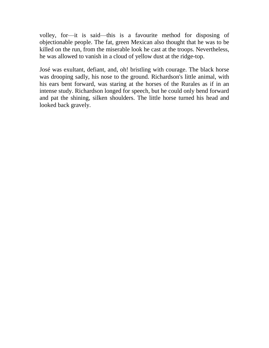volley, for—it is said—this is a favourite method for disposing of objectionable people. The fat, green Mexican also thought that he was to be killed on the run, from the miserable look he cast at the troops. Nevertheless, he was allowed to vanish in a cloud of yellow dust at the ridge-top.

José was exultant, defiant, and, oh! bristling with courage. The black horse was drooping sadly, his nose to the ground. Richardson's little animal, with his ears bent forward, was staring at the horses of the Rurales as if in an intense study. Richardson longed for speech, but he could only bend forward and pat the shining, silken shoulders. The little horse turned his head and looked back gravely.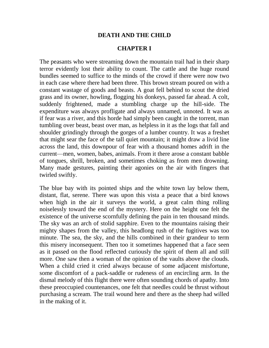### **DEATH AND THE CHILD**

### **CHAPTER I**

The peasants who were streaming down the mountain trail had in their sharp terror evidently lost their ability to count. The cattle and the huge round bundles seemed to suffice to the minds of the crowd if there were now two in each case where there had been three. This brown stream poured on with a constant wastage of goods and beasts. A goat fell behind to scout the dried grass and its owner, howling, flogging his donkeys, passed far ahead. A colt, suddenly frightened, made a stumbling charge up the hill-side. The expenditure was always profligate and always unnamed, unnoted. It was as if fear was a river, and this horde had simply been caught in the torrent, man tumbling over beast, beast over man, as helpless in it as the logs that fall and shoulder grindingly through the gorges of a lumber country. It was a freshet that might sear the face of the tall quiet mountain; it might draw a livid line across the land, this downpour of fear with a thousand homes adrift in the current—men, women, babes, animals. From it there arose a constant babble of tongues, shrill, broken, and sometimes choking as from men drowning. Many made gestures, painting their agonies on the air with fingers that twirled swiftly.

The blue bay with its pointed ships and the white town lay below them, distant, flat, serene. There was upon this vista a peace that a bird knows when high in the air it surveys the world, a great calm thing rolling noiselessly toward the end of the mystery. Here on the height one felt the existence of the universe scornfully defining the pain in ten thousand minds. The sky was an arch of stolid sapphire. Even to the mountains raising their mighty shapes from the valley, this headlong rush of the fugitives was too minute. The sea, the sky, and the hills combined in their grandeur to term this misery inconsequent. Then too it sometimes happened that a face seen as it passed on the flood reflected curiously the spirit of them all and still more. One saw then a woman of the opinion of the vaults above the clouds. When a child cried it cried always because of some adjacent misfortune, some discomfort of a pack-saddle or rudeness of an encircling arm. In the dismal melody of this flight there were often sounding chords of apathy. Into these preoccupied countenances, one felt that needles could be thrust without purchasing a scream. The trail wound here and there as the sheep had willed in the making of it.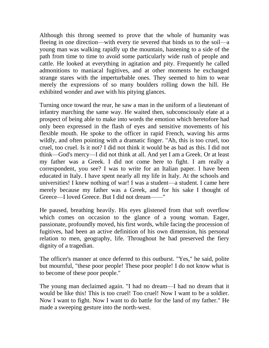Although this throng seemed to prove that the whole of humanity was fleeing in one direction—with every tie severed that binds us to the soil—a young man was walking rapidly up the mountain, hastening to a side of the path from time to time to avoid some particularly wide rush of people and cattle. He looked at everything in agitation and pity. Frequently he called admonitions to maniacal fugitives, and at other moments he exchanged strange stares with the imperturbable ones. They seemed to him to wear merely the expressions of so many boulders rolling down the hill. He exhibited wonder and awe with his pitying glances.

Turning once toward the rear, he saw a man in the uniform of a lieutenant of infantry marching the same way. He waited then, subconsciously elate at a prospect of being able to make into words the emotion which heretofore had only been expressed in the flash of eyes and sensitive movements of his flexible mouth. He spoke to the officer in rapid French, waving his arms wildly, and often pointing with a dramatic finger. "Ah, this is too cruel, too cruel, too cruel. Is it not? I did not think it would be as bad as this. I did not think—God's mercy—I did not think at all. And yet I am a Greek. Or at least my father was a Greek. I did not come here to fight. I am really a correspondent, you see? I was to write for an Italian paper. I have been educated in Italy. I have spent nearly all my life in Italy. At the schools and universities! I knew nothing of war! I was a student—a student. I came here merely because my father was a Greek, and for his sake I thought of Greece—I loved Greece. But I did not dream——"

He paused, breathing heavily. His eyes glistened from that soft overflow which comes on occasion to the glance of a young woman. Eager, passionate, profoundly moved, his first words, while facing the procession of fugitives, had been an active definition of his own dimension, his personal relation to men, geography, life. Throughout he had preserved the fiery dignity of a tragedian.

The officer's manner at once deferred to this outburst. "Yes," he said, polite but mournful, "these poor people! These poor people! I do not know what is to become of these poor people."

The young man declaimed again. "I had no dream—I had no dream that it would be like this! This is too cruel! Too cruel! Now I want to be a soldier. Now I want to fight. Now I want to do battle for the land of my father." He made a sweeping gesture into the north-west.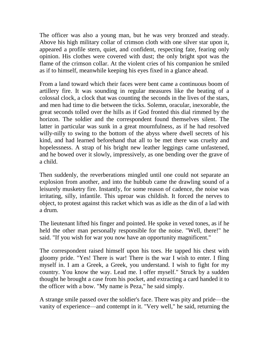The officer was also a young man, but he was very bronzed and steady. Above his high military collar of crimson cloth with one silver star upon it, appeared a profile stern, quiet, and confident, respecting fate, fearing only opinion. His clothes were covered with dust; the only bright spot was the flame of the crimson collar. At the violent cries of his companion he smiled as if to himself, meanwhile keeping his eyes fixed in a glance ahead.

From a land toward which their faces were bent came a continuous boom of artillery fire. It was sounding in regular measures like the beating of a colossal clock, a clock that was counting the seconds in the lives of the stars, and men had time to die between the ticks. Solemn, oracular, inexorable, the great seconds tolled over the hills as if God fronted this dial rimmed by the horizon. The soldier and the correspondent found themselves silent. The latter in particular was sunk in a great mournfulness, as if he had resolved willy-nilly to swing to the bottom of the abyss where dwell secrets of his kind, and had learned beforehand that all to be met there was cruelty and hopelessness. A strap of his bright new leather leggings came unfastened, and he bowed over it slowly, impressively, as one bending over the grave of a child.

Then suddenly, the reverberations mingled until one could not separate an explosion from another, and into the hubbub came the drawling sound of a leisurely musketry fire. Instantly, for some reason of cadence, the noise was irritating, silly, infantile. This uproar was childish. It forced the nerves to object, to protest against this racket which was as idle as the din of a lad with a drum.

The lieutenant lifted his finger and pointed. He spoke in vexed tones, as if he held the other man personally responsible for the noise. "Well, there!" he said. "If you wish for war you now have an opportunity magnificent."

The correspondent raised himself upon his toes. He tapped his chest with gloomy pride. "Yes! There is war! There is the war I wish to enter. I fling myself in. I am a Greek, a Greek, you understand. I wish to fight for my country. You know the way. Lead me. I offer myself." Struck by a sudden thought he brought a case from his pocket, and extracting a card handed it to the officer with a bow. "My name is Peza," he said simply.

A strange smile passed over the soldier's face. There was pity and pride—the vanity of experience—and contempt in it. "Very well," he said, returning the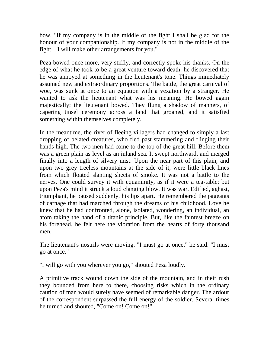bow. "If my company is in the middle of the fight I shall be glad for the honour of your companionship. If my company is not in the middle of the fight—I will make other arrangements for you."

Peza bowed once more, very stiffly, and correctly spoke his thanks. On the edge of what he took to be a great venture toward death, he discovered that he was annoyed at something in the lieutenant's tone. Things immediately assumed new and extraordinary proportions. The battle, the great carnival of woe, was sunk at once to an equation with a vexation by a stranger. He wanted to ask the lieutenant what was his meaning. He bowed again majestically; the lieutenant bowed. They flung a shadow of manners, of capering tinsel ceremony across a land that groaned, and it satisfied something within themselves completely.

In the meantime, the river of fleeing villagers had changed to simply a last dropping of belated creatures, who fled past stammering and flinging their hands high. The two men had come to the top of the great hill. Before them was a green plain as level as an inland sea. It swept northward, and merged finally into a length of silvery mist. Upon the near part of this plain, and upon two grey treeless mountains at the side of it, were little black lines from which floated slanting sheets of smoke. It was not a battle to the nerves. One could survey it with equanimity, as if it were a tea-table; but upon Peza's mind it struck a loud clanging blow. It was war. Edified, aghast, triumphant, he paused suddenly, his lips apart. He remembered the pageants of carnage that had marched through the dreams of his childhood. Love he knew that he had confronted, alone, isolated, wondering, an individual, an atom taking the hand of a titanic principle. But, like the faintest breeze on his forehead, he felt here the vibration from the hearts of forty thousand men.

The lieutenant's nostrils were moving. "I must go at once," he said. "I must go at once."

"I will go with you wherever you go," shouted Peza loudly.

A primitive track wound down the side of the mountain, and in their rush they bounded from here to there, choosing risks which in the ordinary caution of man would surely have seemed of remarkable danger. The ardour of the correspondent surpassed the full energy of the soldier. Several times he turned and shouted, "Come on! Come on!"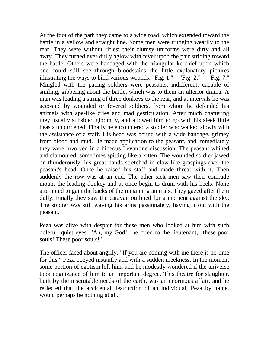At the foot of the path they came to a wide road, which extended toward the battle in a yellow and straight line. Some men were trudging wearily to the rear. They were without rifles; their clumsy uniforms were dirty and all awry. They turned eyes dully aglow with fever upon the pair striding toward the battle. Others were bandaged with the triangular kerchief upon which one could still see through bloodstains the little explanatory pictures illustrating the ways to bind various wounds. "Fig. 1."—"Fig. 2." —"Fig. 7." Mingled with the pacing soldiers were peasants, indifferent, capable of smiling, gibbering about the battle, which was to them an ulterior drama. A man was leading a string of three donkeys to the rear, and at intervals he was accosted by wounded or fevered soldiers, from whom he defended his animals with ape-like cries and mad gesticulation. After much chattering they usually subsided gloomily, and allowed him to go with his sleek little beasts unburdened. Finally he encountered a soldier who walked slowly with the assistance of a staff. His head was bound with a wide bandage, grimey from blood and mud. He made application to the peasant, and immediately they were involved in a hideous Levantine discussion. The peasant whined and clamoured, sometimes spitting like a kitten. The wounded soldier jawed on thunderously, his great hands stretched in claw-like graspings over the peasant's head. Once he raised his staff and made threat with it. Then suddenly the row was at an end. The other sick men saw their comrade mount the leading donkey and at once begin to drum with his heels. None attempted to gain the backs of the remaining animals. They gazed after them dully. Finally they saw the caravan outlined for a moment against the sky. The soldier was still waving his arms passionately, having it out with the peasant.

Peza was alive with despair for these men who looked at him with such doleful, quiet eyes. "Ah, my God!" he cried to the lieutenant, "these poor souls! These poor souls!"

The officer faced about angrily. "If you are coming with me there is no time for this." Peza obeyed instantly and with a sudden meekness. In the moment some portion of egotism left him, and he modestly wondered if the universe took cognizance of him to an important degree. This theatre for slaughter, built by the inscrutable needs of the earth, was an enormous affair, and he reflected that the accidental destruction of an individual, Peza by name, would perhaps be nothing at all.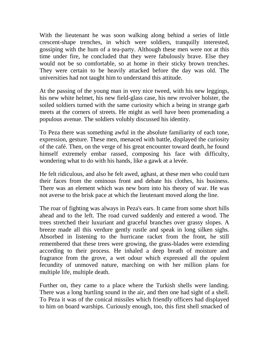With the lieutenant he was soon walking along behind a series of little crescent-shape trenches, in which were soldiers, tranquilly interested, gossiping with the hum of a tea-party. Although these men were not at this time under fire, he concluded that they were fabulously brave. Else they would not be so comfortable, so at home in their sticky brown trenches. They were certain to be heavily attacked before the day was old. The universities had not taught him to understand this attitude.

At the passing of the young man in very nice tweed, with his new leggings, his new white helmet, his new field-glass case, his new revolver holster, the soiled soldiers turned with the same curiosity which a being in strange garb meets at the corners of streets. He might as well have been promenading a populous avenue. The soldiers volubly discussed his identity.

To Peza there was something awful in the absolute familiarity of each tone, expression, gesture. These men, menaced with battle, displayed the curiosity of the café. Then, on the verge of his great encounter toward death, he found himself extremely embar rassed, composing his face with difficulty, wondering what to do with his hands, like a gawk at a levée.

He felt ridiculous, and also he felt awed, aghast, at these men who could turn their faces from the ominous front and debate his clothes, his business. There was an element which was new born into his theory of war. He was not averse to the brisk pace at which the lieutenant moved along the line.

The roar of fighting was always in Peza's ears. It came from some short hills ahead and to the left. The road curved suddenly and entered a wood. The trees stretched their luxuriant and graceful branches over grassy slopes. A breeze made all this verdure gently rustle and speak in long silken sighs. Absorbed in listening to the hurricane racket from the front, he still remembered that these trees were growing, the grass-blades were extending according to their process. He inhaled a deep breath of moisture and fragrance from the grove, a wet odour which expressed all the opulent fecundity of unmoved nature, marching on with her million plans for multiple life, multiple death.

Further on, they came to a place where the Turkish shells were landing. There was a long hurtling sound in the air, and then one had sight of a shell. To Peza it was of the conical missiles which friendly officers had displayed to him on board warships. Curiously enough, too, this first shell smacked of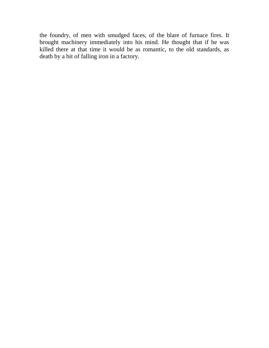the foundry, of men with smudged faces, of the blare of furnace fires. It brought machinery immediately into his mind. He thought that if he was killed there at that time it would be as romantic, to the old standards, as death by a bit of falling iron in a factory.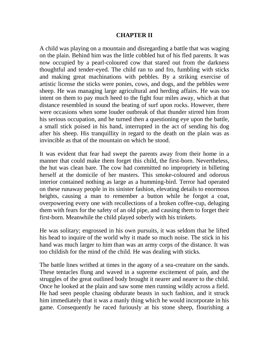## **CHAPTER II**

A child was playing on a mountain and disregarding a battle that was waging on the plain. Behind him was the little cobbled hut of his fled parents. It was now occupied by a pearl-coloured cow that stared out from the darkness thoughtful and tender-eyed. The child ran to and fro, fumbling with sticks and making great machinations with pebbles. By a striking exercise of artistic license the sticks were ponies, cows, and dogs, and the pebbles were sheep. He was managing large agricultural and herding affairs. He was too intent on them to pay much heed to the fight four miles away, which at that distance resembled in sound the beating of surf upon rocks. However, there were occasions when some louder outbreak of that thunder stirred him from his serious occupation, and he turned then a questioning eye upon the battle, a small stick poised in his hand, interrupted in the act of sending his dog after his sheep. His tranquillity in regard to the death on the plain was as invincible as that of the mountain on which he stood.

It was evident that fear had swept the parents away from their home in a manner that could make them forget this child, the first-born. Nevertheless, the hut was clean bare. The cow had committed no impropriety in billeting herself at the domicile of her masters. This smoke-coloured and odorous interior contained nothing as large as a humming-bird. Terror had operated on these runaway people in its sinister fashion, elevating details to enormous heights, causing a man to remember a button while he forgot a coat, overpowering every one with recollections of a broken coffee-cup, deluging them with fears for the safety of an old pipe, and causing them to forget their first-born. Meanwhile the child played soberly with his trinkets.

He was solitary; engrossed in his own pursuits, it was seldom that he lifted his head to inquire of the world why it made so much noise. The stick in his hand was much larger to him than was an army corps of the distance. It was too childish for the mind of the child. He was dealing with sticks.

The battle lines writhed at times in the agony of a sea-creature on the sands. These tentacles flung and waved in a supreme excitement of pain, and the struggles of the great outlined body brought it nearer and nearer to the child. Once he looked at the plain and saw some men running wildly across a field. He had seen people chasing obdurate beasts in such fashion, and it struck him immediately that it was a manly thing which he would incorporate in his game. Consequently he raced furiously at his stone sheep, flourishing a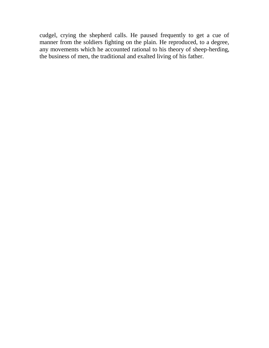cudgel, crying the shepherd calls. He paused frequently to get a cue of manner from the soldiers fighting on the plain. He reproduced, to a degree, any movements which he accounted rational to his theory of sheep-herding, the business of men, the traditional and exalted living of his father.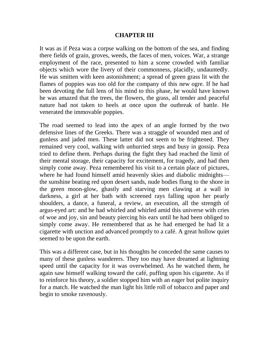# **CHAPTER III**

It was as if Peza was a corpse walking on the bottom of the sea, and finding there fields of grain, groves, weeds, the faces of men, voices. War, a strange employment of the race, presented to him a scene crowded with familiar objects which wore the livery of their commonness, placidly, undauntedly. He was smitten with keen astonishment; a spread of green grass lit with the flames of poppies was too old for the company of this new ogre. If he had been devoting the full lens of his mind to this phase, he would have known he was amazed that the trees, the flowers, the grass, all tender and peaceful nature had not taken to heels at once upon the outbreak of battle. He venerated the immovable poppies.

The road seemed to lead into the apex of an angle formed by the two defensive lines of the Greeks. There was a straggle of wounded men and of gunless and jaded men. These latter did not seem to be frightened. They remained very cool, walking with unhurried steps and busy in gossip. Peza tried to define them. Perhaps during the fight they had reached the limit of their mental storage, their capacity for excitement, for tragedy, and had then simply come away. Peza remembered his visit to a certain place of pictures, where he had found himself amid heavenly skies and diabolic midnights the sunshine beating red upon desert sands, nude bodies flung to the shore in the green moon-glow, ghastly and starving men clawing at a wall in darkness, a girl at her bath with screened rays falling upon her pearly shoulders, a dance, a funeral, a review, an execution, all the strength of argus-eyed art: and he had whirled and whirled amid this universe with cries of woe and joy, sin and beauty piercing his ears until he had been obliged to simply come away. He remembered that as he had emerged he had lit a cigarette with unction and advanced promptly to a café. A great hollow quiet seemed to be upon the earth.

This was a different case, but in his thoughts he conceded the same causes to many of these gunless wanderers. They too may have dreamed at lightning speed until the capacity for it was overwhelmed. As he watched them, he again saw himself walking toward the café, puffing upon his cigarette. As if to reinforce his theory, a soldier stopped him with an eager but polite inquiry for a match. He watched the man light his little roll of tobacco and paper and begin to smoke ravenously.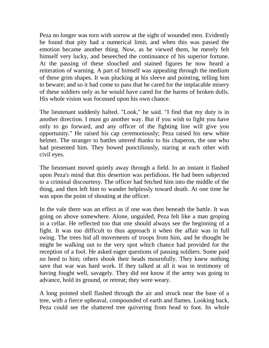Peza no longer was torn with sorrow at the sight of wounded men. Evidently he found that pity had a numerical limit, and when this was passed the emotion became another thing. Now, as he viewed them, he merely felt himself very lucky, and beseeched the continuance of his superior fortune. At the passing of these slouched and stained figures he now heard a reiteration of warning. A part of himself was appealing through the medium of these grim shapes. It was plucking at his sleeve and pointing, telling him to beware; and so it had come to pass that he cared for the implacable misery of these soldiers only as he would have cared for the harms of broken dolls. His whole vision was focussed upon his own chance.

The lieutenant suddenly halted. "Look," he said. "I find that my duty is in another direction. I must go another way. But if you wish to fight you have only to go forward, and any officer of the fighting line will give you opportunity." He raised his cap ceremoniously; Peza raised his new white helmet. The stranger to battles uttered thanks to his chaperon, the one who had presented him. They bowed punctiliously, staring at each other with civil eyes.

The lieutenant moved quietly away through a field. In an instant it flashed upon Peza's mind that this desertion was perfidious. He had been subjected to a criminal discourtesy. The officer had fetched him into the middle of the thing, and then left him to wander helplessly toward death. At one time he was upon the point of shouting at the officer.

In the vale there was an effect as if one was then beneath the battle. It was going on above somewhere. Alone, unguided, Peza felt like a man groping in a cellar. He reflected too that one should always see the beginning of a fight. It was too difficult to thus approach it when the affair was in full swing. The trees hid all movements of troops from him, and he thought he might be walking out to the very spot which chance had provided for the reception of a fool. He asked eager questions of passing soldiers. Some paid no heed to him; others shook their heads mournfully. They knew nothing save that war was hard work. If they talked at all it was in testimony of having fought well, savagely. They did not know if the army was going to advance, hold its ground, or retreat; they were weary.

A long pointed shell flashed through the air and struck near the base of a tree, with a fierce upheaval, compounded of earth and flames. Looking back, Peza could see the shattered tree quivering from head to foot. Its whole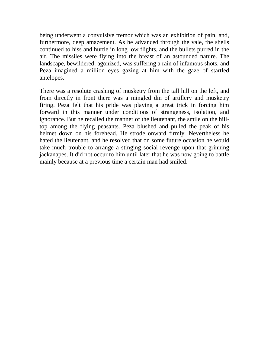being underwent a convulsive tremor which was an exhibition of pain, and, furthermore, deep amazement. As he advanced through the vale, the shells continued to hiss and hurtle in long low flights, and the bullets purred in the air. The missiles were flying into the breast of an astounded nature. The landscape, bewildered, agonized, was suffering a rain of infamous shots, and Peza imagined a million eyes gazing at him with the gaze of startled antelopes.

There was a resolute crashing of musketry from the tall hill on the left, and from directly in front there was a mingled din of artillery and musketry firing. Peza felt that his pride was playing a great trick in forcing him forward in this manner under conditions of strangeness, isolation, and ignorance. But he recalled the manner of the lieutenant, the smile on the hilltop among the flying peasants. Peza blushed and pulled the peak of his helmet down on his forehead. He strode onward firmly. Nevertheless he hated the lieutenant, and he resolved that on some future occasion he would take much trouble to arrange a stinging social revenge upon that grinning jackanapes. It did not occur to him until later that he was now going to battle mainly because at a previous time a certain man had smiled.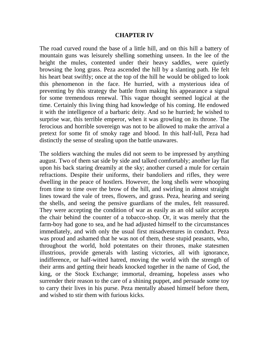### **CHAPTER IV**

The road curved round the base of a little hill, and on this hill a battery of mountain guns was leisurely shelling something unseen. In the lee of the height the mules, contented under their heavy saddles, were quietly browsing the long grass. Peza ascended the hill by a slanting path. He felt his heart beat swiftly; once at the top of the hill he would be obliged to look this phenomenon in the face. He hurried, with a mysterious idea of preventing by this strategy the battle from making his appearance a signal for some tremendous renewal. This vague thought seemed logical at the time. Certainly this living thing had knowledge of his coming. He endowed it with the intelligence of a barbaric deity. And so he hurried; he wished to surprise war, this terrible emperor, when it was growling on its throne. The ferocious and horrible sovereign was not to be allowed to make the arrival a pretext for some fit of smoky rage and blood. In this half-lull, Peza had distinctly the sense of stealing upon the battle unawares.

The soldiers watching the mules did not seem to be impressed by anything august. Two of them sat side by side and talked comfortably; another lay flat upon his back staring dreamily at the sky; another cursed a mule for certain refractions. Despite their uniforms, their bandoliers and rifles, they were dwelling in the peace of hostlers. However, the long shells were whooping from time to time over the brow of the hill, and swirling in almost straight lines toward the vale of trees, flowers, and grass. Peza, hearing and seeing the shells, and seeing the pensive guardians of the mules, felt reassured. They were accepting the condition of war as easily as an old sailor accepts the chair behind the counter of a tobacco-shop. Or, it was merely that the farm-boy had gone to sea, and he had adjusted himself to the circumstances immediately, and with only the usual first misadventures in conduct. Peza was proud and ashamed that he was not of them, these stupid peasants, who, throughout the world, hold potentates on their thrones, make statesmen illustrious, provide generals with lasting victories, all with ignorance, indifference, or half-witted hatred, moving the world with the strength of their arms and getting their heads knocked together in the name of God, the king, or the Stock Exchange; immortal, dreaming, hopeless asses who surrender their reason to the care of a shining puppet, and persuade some toy to carry their lives in his purse. Peza mentally abased himself before them, and wished to stir them with furious kicks.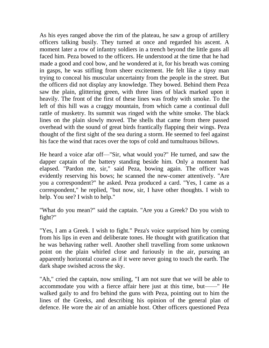As his eyes ranged above the rim of the plateau, he saw a group of artillery officers talking busily. They turned at once and regarded his ascent. A moment later a row of infantry soldiers in a trench beyond the little guns all faced him. Peza bowed to the officers. He understood at the time that he had made a good and cool bow, and he wondered at it, for his breath was coming in gasps, he was stifling from sheer excitement. He felt like a tipsy man trying to conceal his muscular uncertainty from the people in the street. But the officers did not display any knowledge. They bowed. Behind them Peza saw the plain, glittering green, with three lines of black marked upon it heavily. The front of the first of these lines was frothy with smoke. To the left of this hill was a craggy mountain, from which came a continual dull rattle of musketry. Its summit was ringed with the white smoke. The black lines on the plain slowly moved. The shells that came from there passed overhead with the sound of great birds frantically flapping their wings. Peza thought of the first sight of the sea during a storm. He seemed to feel against his face the wind that races over the tops of cold and tumultuous billows.

He heard a voice afar off—"Sir, what would you?" He turned, and saw the dapper captain of the battery standing beside him. Only a moment had elapsed. "Pardon me, sir," said Peza, bowing again. The officer was evidently reserving his bows; he scanned the new-comer attentively. "Are you a correspondent?" he asked. Peza produced a card. "Yes, I came as a correspondent," he replied, "but now, sir, I have other thoughts. I wish to help. You see? I wish to help."

"What do you mean?" said the captain. "Are you a Greek? Do you wish to fight?"

"Yes, I am a Greek. I wish to fight." Peza's voice surprised him by coming from his lips in even and deliberate tones. He thought with gratification that he was behaving rather well. Another shell travelling from some unknown point on the plain whirled close and furiously in the air, pursuing an apparently horizontal course as if it were never going to touch the earth. The dark shape swished across the sky.

"Ah," cried the captain, now smiling, "I am not sure that we will be able to accommodate you with a fierce affair here just at this time, but——" He walked gaily to and fro behind the guns with Peza, pointing out to him the lines of the Greeks, and describing his opinion of the general plan of defence. He wore the air of an amiable host. Other officers questioned Peza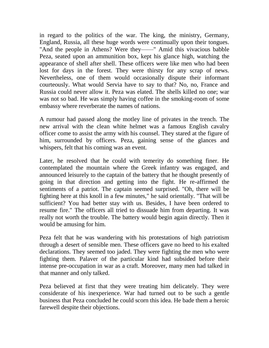in regard to the politics of the war. The king, the ministry, Germany, England, Russia, all these huge words were continually upon their tongues. "And the people in Athens? Were they——" Amid this vivacious babble Peza, seated upon an ammunition box, kept his glance high, watching the appearance of shell after shell. These officers were like men who had been lost for days in the forest. They were thirsty for any scrap of news. Nevertheless, one of them would occasionally dispute their informant courteously. What would Servia have to say to that? No, no, France and Russia could never allow it. Peza was elated. The shells killed no one; war was not so bad. He was simply having coffee in the smoking-room of some embassy where reverberate the names of nations.

A rumour had passed along the motley line of privates in the trench. The new arrival with the clean white helmet was a famous English cavalry officer come to assist the army with his counsel. They stared at the figure of him, surrounded by officers. Peza, gaining sense of the glances and whispers, felt that his coming was an event.

Later, he resolved that he could with temerity do something finer. He contemplated the mountain where the Greek infantry was engaged, and announced leisurely to the captain of the battery that he thought presently of going in that direction and getting into the fight. He re-affirmed the sentiments of a patriot. The captain seemed surprised. "Oh, there will be fighting here at this knoll in a few minutes," he said orientally. "That will be sufficient? You had better stay with us. Besides, I have been ordered to resume fire." The officers all tried to dissuade him from departing. It was really not worth the trouble. The battery would begin again directly. Then it would be amusing for him.

Peza felt that he was wandering with his protestations of high patriotism through a desert of sensible men. These officers gave no heed to his exalted declarations. They seemed too jaded. They were fighting the men who were fighting them. Palaver of the particular kind had subsided before their intense pre-occupation in war as a craft. Moreover, many men had talked in that manner and only talked.

Peza believed at first that they were treating him delicately. They were considerate of his inexperience. War had turned out to be such a gentle business that Peza concluded he could scorn this idea. He bade them a heroic farewell despite their objections.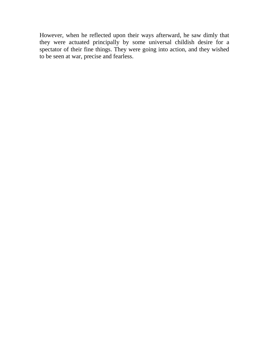However, when he reflected upon their ways afterward, he saw dimly that they were actuated principally by some universal childish desire for a spectator of their fine things. They were going into action, and they wished to be seen at war, precise and fearless.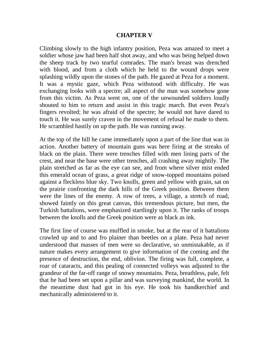## **CHAPTER V**

Climbing slowly to the high infantry position, Peza was amazed to meet a soldier whose jaw had been half shot away, and who was being helped down the sheep track by two tearful comrades. The man's breast was drenched with blood, and from a cloth which he held to the wound drops were splashing wildly upon the stones of the path. He gazed at Peza for a moment. It was a mystic gaze, which Peza withstood with difficulty. He was exchanging looks with a spectre; all aspect of the man was somehow gone from this victim. As Peza went on, one of the unwounded soldiers loudly shouted to him to return and assist in this tragic march. But even Peza's fingers revolted; he was afraid of the spectre; he would not have dared to touch it. He was surely craven in the movement of refusal he made to them. He scrambled hastily on up the path. He was running away.

At the top of the hill he came immediately upon a part of the line that was in action. Another battery of mountain guns was here firing at the streaks of black on the plain. There were trenches filled with men lining parts of the crest, and near the base were other trenches, all crashing away mightily. The plain stretched as far as the eye can see, and from where silver mist ended this emerald ocean of grass, a great ridge of snow-topped mountains poised against a fleckless blue sky. Two knolls, green and yellow with grain, sat on the prairie confronting the dark hills of the Greek position. Between them were the lines of the enemy. A row of trees, a village, a stretch of road, showed faintly on this great canvas, this tremendous picture, but men, the Turkish battalions, were emphasized startlingly upon it. The ranks of troops between the knolls and the Greek position were as black as ink.

The first line of course was muffled in smoke, but at the rear of it battalions crawled up and to and fro plainer than beetles on a plate. Peza had never understood that masses of men were so declarative, so unmistakable, as if nature makes every arrangement to give information of the coming and the presence of destruction, the end, oblivion. The firing was full, complete, a roar of cataracts, and this pealing of connected volleys was adjusted to the grandeur of the far-off range of snowy mountains. Peza, breathless, pale, felt that he had been set upon a pillar and was surveying mankind, the world. In the meantime dust had got in his eye. He took his handkerchief and mechanically administered to it.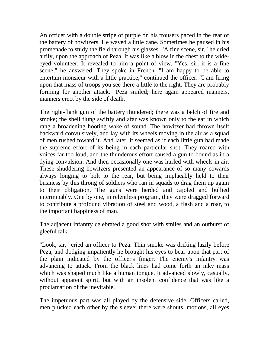An officer with a double stripe of purple on his trousers paced in the rear of the battery of howitzers. He waved a little cane. Sometimes he paused in his promenade to study the field through his glasses. "A fine scene, sir," he cried airily, upon the approach of Peza. It was like a blow in the chest to the wideeyed volunteer. It revealed to him a point of view. "Yes, sir, it is a fine scene," he answered. They spoke in French. "I am happy to be able to entertain monsieur with a little practice," continued the officer. "I am firing upon that mass of troops you see there a little to the right. They are probably forming for another attack." Peza smiled; here again appeared manners, manners erect by the side of death.

The right-flank gun of the battery thundered; there was a belch of fire and smoke; the shell flung swiftly and afar was known only to the ear in which rang a broadening hooting wake of sound. The howitzer had thrown itself backward convulsively, and lay with its wheels moving in the air as a squad of men rushed toward it. And later, it seemed as if each little gun had made the supreme effort of its being in each particular shot. They roared with voices far too loud, and the thunderous effort caused a gun to bound as in a dying convulsion. And then occasionally one was hurled with wheels in air. These shuddering howitzers presented an appearance of so many cowards always longing to bolt to the rear, but being implacably held to their business by this throng of soldiers who ran in squads to drag them up again to their obligation. The guns were herded and cajoled and bullied interminably. One by one, in relentless program, they were dragged forward to contribute a profound vibration of steel and wood, a flash and a roar, to the important happiness of man.

The adjacent infantry celebrated a good shot with smiles and an outburst of gleeful talk.

"Look, sir," cried an officer to Peza. Thin smoke was drifting lazily before Peza, and dodging impatiently he brought his eyes to bear upon that part of the plain indicated by the officer's finger. The enemy's infantry was advancing to attack. From the black lines had come forth an inky mass which was shaped much like a human tongue. It advanced slowly, casually, without apparent spirit, but with an insolent confidence that was like a proclamation of the inevitable.

The impetuous part was all played by the defensive side. Officers called, men plucked each other by the sleeve; there were shouts, motions, all eyes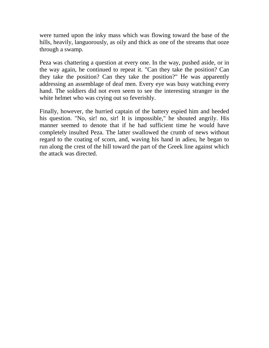were turned upon the inky mass which was flowing toward the base of the hills, heavily, languorously, as oily and thick as one of the streams that ooze through a swamp.

Peza was chattering a question at every one. In the way, pushed aside, or in the way again, he continued to repeat it. "Can they take the position? Can they take the position? Can they take the position?" He was apparently addressing an assemblage of deaf men. Every eye was busy watching every hand. The soldiers did not even seem to see the interesting stranger in the white helmet who was crying out so feverishly.

Finally, however, the hurried captain of the battery espied him and heeded his question. "No, sir! no, sir! It is impossible," he shouted angrily. His manner seemed to denote that if he had sufficient time he would have completely insulted Peza. The latter swallowed the crumb of news without regard to the coating of scorn, and, waving his hand in adieu, he began to run along the crest of the hill toward the part of the Greek line against which the attack was directed.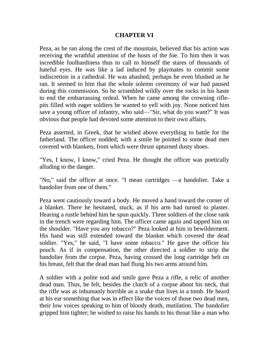## **CHAPTER VI**

Peza, as he ran along the crest of the mountain, believed that his action was receiving the wrathful attention of the hosts of the foe. To him then it was incredible foolhardiness thus to call to himself the stares of thousands of hateful eyes. He was like a lad induced by playmates to commit some indiscretion in a cathedral. He was abashed; perhaps he even blushed as he ran. It seemed to him that the whole solemn ceremony of war had paused during this commission. So he scrambled wildly over the rocks in his haste to end the embarrassing ordeal. When he came among the crowning riflepits filled with eager soldiers he wanted to yell with joy. None noticed him save a young officer of infantry, who said—"Sir, what do you want?" It was obvious that people had devoted some attention to their own affairs.

Peza asserted, in Greek, that he wished above everything to battle for the fatherland. The officer nodded; with a smile he pointed to some dead men covered with blankets, from which were thrust upturned dusty shoes.

"Yes, I know, I know," cried Peza. He thought the officer was poetically alluding to the danger.

"No," said the officer at once. "I mean cartridges —a bandolier. Take a bandolier from one of them."

Peza went cautiously toward a body. He moved a hand toward the corner of a blanket. There he hesitated, stuck, as if his arm had turned to plaster. Hearing a rustle behind him he spun quickly. Three soldiers of the close rank in the trench were regarding him. The officer came again and tapped him on the shoulder. "Have you any tobacco?" Peza looked at him in bewilderment. His hand was still extended toward the blanket which covered the dead soldier. "Yes," he said, "I have some tobacco." He gave the officer his pouch. As if in compensation, the other directed a soldier to strip the bandolier from the corpse. Peza, having crossed the long cartridge belt on his breast, felt that the dead man had flung his two arms around him.

A soldier with a polite nod and smile gave Peza a rifle, a relic of another dead man. Thus, he felt, besides the clutch of a corpse about his neck, that the rifle was as inhumanly horrible as a snake that lives in a tomb. He heard at his ear something that was in effect like the voices of those two dead men, their low voices speaking to him of bloody death, mutilation. The bandolier gripped him tighter; he wished to raise his hands to his throat like a man who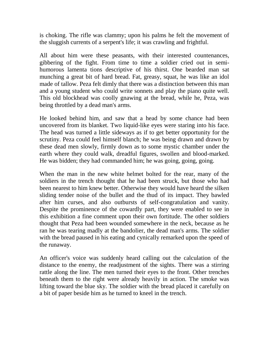is choking. The rifle was clammy; upon his palms he felt the movement of the sluggish currents of a serpent's life; it was crawling and frightful.

All about him were these peasants, with their interested countenances, gibbering of the fight. From time to time a soldier cried out in semihumorous lamenta tions descriptive of his thirst. One bearded man sat munching a great bit of hard bread. Fat, greasy, squat, he was like an idol made of tallow. Peza felt dimly that there was a distinction between this man and a young student who could write sonnets and play the piano quite well. This old blockhead was coolly gnawing at the bread, while he, Peza, was being throttled by a dead man's arms.

He looked behind him, and saw that a head by some chance had been uncovered from its blanket. Two liquid-like eyes were staring into his face. The head was turned a little sideways as if to get better opportunity for the scrutiny. Peza could feel himself blanch; he was being drawn and drawn by these dead men slowly, firmly down as to some mystic chamber under the earth where they could walk, dreadful figures, swollen and blood-marked. He was bidden; they had commanded him; he was going, going, going.

When the man in the new white helmet bolted for the rear, many of the soldiers in the trench thought that he had been struck, but those who had been nearest to him knew better. Otherwise they would have heard the silken sliding tender noise of the bullet and the thud of its impact. They bawled after him curses, and also outbursts of self-congratulation and vanity. Despite the prominence of the cowardly part, they were enabled to see in this exhibition a fine comment upon their own fortitude. The other soldiers thought that Peza had been wounded somewhere in the neck, because as he ran he was tearing madly at the bandolier, the dead man's arms. The soldier with the bread paused in his eating and cynically remarked upon the speed of the runaway.

An officer's voice was suddenly heard calling out the calculation of the distance to the enemy, the readjustment of the sights. There was a stirring rattle along the line. The men turned their eyes to the front. Other trenches beneath them to the right were already heavily in action. The smoke was lifting toward the blue sky. The soldier with the bread placed it carefully on a bit of paper beside him as he turned to kneel in the trench.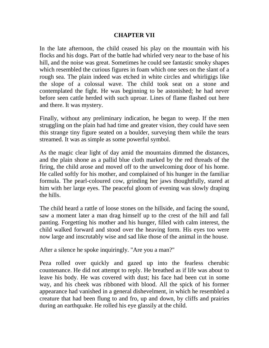# **CHAPTER VII**

In the late afternoon, the child ceased his play on the mountain with his flocks and his dogs. Part of the battle had whirled very near to the base of his hill, and the noise was great. Sometimes he could see fantastic smoky shapes which resembled the curious figures in foam which one sees on the slant of a rough sea. The plain indeed was etched in white circles and whirligigs like the slope of a colossal wave. The child took seat on a stone and contemplated the fight. He was beginning to be astonished; he had never before seen cattle herded with such uproar. Lines of flame flashed out here and there. It was mystery.

Finally, without any preliminary indication, he began to weep. If the men struggling on the plain had had time and greater vision, they could have seen this strange tiny figure seated on a boulder, surveying them while the tears streamed. It was as simple as some powerful symbol.

As the magic clear light of day amid the mountains dimmed the distances, and the plain shone as a pallid blue cloth marked by the red threads of the firing, the child arose and moved off to the unwelcoming door of his home. He called softly for his mother, and complained of his hunger in the familiar formula. The pearl-coloured cow, grinding her jaws thoughtfully, stared at him with her large eyes. The peaceful gloom of evening was slowly draping the hills.

The child heard a rattle of loose stones on the hillside, and facing the sound, saw a moment later a man drag himself up to the crest of the hill and fall panting. Forgetting his mother and his hunger, filled with calm interest, the child walked forward and stood over the heaving form. His eyes too were now large and inscrutably wise and sad like those of the animal in the house.

After a silence he spoke inquiringly. "Are you a man?"

Peza rolled over quickly and gazed up into the fearless cherubic countenance. He did not attempt to reply. He breathed as if life was about to leave his body. He was covered with dust; his face had been cut in some way, and his cheek was ribboned with blood. All the spick of his former appearance had vanished in a general dishevelment, in which he resembled a creature that had been flung to and fro, up and down, by cliffs and prairies during an earthquake. He rolled his eye glassily at the child.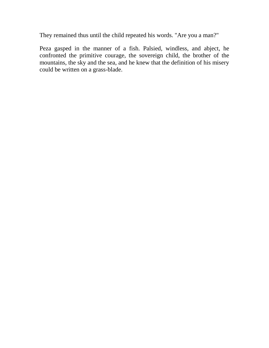They remained thus until the child repeated his words. "Are you a man?"

Peza gasped in the manner of a fish. Palsied, windless, and abject, he confronted the primitive courage, the sovereign child, the brother of the mountains, the sky and the sea, and he knew that the definition of his misery could be written on a grass-blade.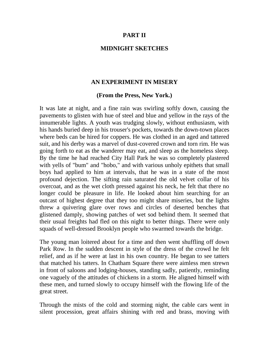### **PART II**

### **MIDNIGHT SKETCHES**

### **AN EXPERIMENT IN MISERY**

### **(From the Press, New York.)**

It was late at night, and a fine rain was swirling softly down, causing the pavements to glisten with hue of steel and blue and yellow in the rays of the innumerable lights. A youth was trudging slowly, without enthusiasm, with his hands buried deep in his trouser's pockets, towards the down-town places where beds can be hired for coppers. He was clothed in an aged and tattered suit, and his derby was a marvel of dust-covered crown and torn rim. He was going forth to eat as the wanderer may eat, and sleep as the homeless sleep. By the time he had reached City Hall Park he was so completely plastered with yells of "bum" and "hobo," and with various unholy epithets that small boys had applied to him at intervals, that he was in a state of the most profound dejection. The sifting rain saturated the old velvet collar of his overcoat, and as the wet cloth pressed against his neck, he felt that there no longer could be pleasure in life. He looked about him searching for an outcast of highest degree that they too might share miseries, but the lights threw a quivering glare over rows and circles of deserted benches that glistened damply, showing patches of wet sod behind them. It seemed that their usual freights had fled on this night to better things. There were only squads of well-dressed Brooklyn people who swarmed towards the bridge.

The young man loitered about for a time and then went shuffling off down Park Row. In the sudden descent in style of the dress of the crowd he felt relief, and as if he were at last in his own country. He began to see tatters that matched his tatters. In Chatham Square there were aimless men strewn in front of saloons and lodging-houses, standing sadly, patiently, reminding one vaguely of the attitudes of chickens in a storm. He aligned himself with these men, and turned slowly to occupy himself with the flowing life of the great street.

Through the mists of the cold and storming night, the cable cars went in silent procession, great affairs shining with red and brass, moving with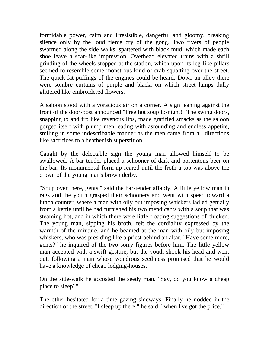formidable power, calm and irresistible, dangerful and gloomy, breaking silence only by the loud fierce cry of the gong. Two rivers of people swarmed along the side walks, spattered with black mud, which made each shoe leave a scar-like impression. Overhead elevated trains with a shrill grinding of the wheels stopped at the station, which upon its leg-like pillars seemed to resemble some monstrous kind of crab squatting over the street. The quick fat puffings of the engines could be heard. Down an alley there were sombre curtains of purple and black, on which street lamps dully glittered like embroidered flowers.

A saloon stood with a voracious air on a corner. A sign leaning against the front of the door-post announced "Free hot soup to-night!" The swing doors, snapping to and fro like ravenous lips, made gratified smacks as the saloon gorged itself with plump men, eating with astounding and endless appetite, smiling in some indescribable manner as the men came from all directions like sacrifices to a heathenish superstition.

Caught by the delectable sign the young man allowed himself to be swallowed. A bar-tender placed a schooner of dark and portentous beer on the bar. Its monumental form up-reared until the froth a-top was above the crown of the young man's brown derby.

"Soup over there, gents," said the bar-tender affably. A little yellow man in rags and the youth grasped their schooners and went with speed toward a lunch counter, where a man with oily but imposing whiskers ladled genially from a kettle until he had furnished his two mendicants with a soup that was steaming hot, and in which there were little floating suggestions of chicken. The young man, sipping his broth, felt the cordiality expressed by the warmth of the mixture, and he beamed at the man with oily but imposing whiskers, who was presiding like a priest behind an altar. "Have some more, gents?" he inquired of the two sorry figures before him. The little yellow man accepted with a swift gesture, but the youth shook his head and went out, following a man whose wondrous seediness promised that he would have a knowledge of cheap lodging-houses.

On the side-walk he accosted the seedy man. "Say, do you know a cheap place to sleep?"

The other hesitated for a time gazing sideways. Finally he nodded in the direction of the street, "I sleep up there," he said, "when I've got the price."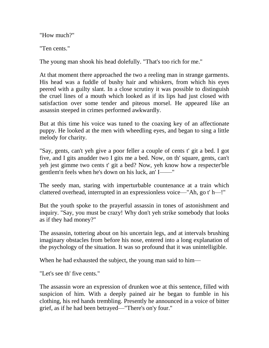"How much?"

"Ten cents."

The young man shook his head dolefully. "That's too rich for me."

At that moment there approached the two a reeling man in strange garments. His head was a fuddle of bushy hair and whiskers, from which his eyes peered with a guilty slant. In a close scrutiny it was possible to distinguish the cruel lines of a mouth which looked as if its lips had just closed with satisfaction over some tender and piteous morsel. He appeared like an assassin steeped in crimes performed awkwardly.

But at this time his voice was tuned to the coaxing key of an affectionate puppy. He looked at the men with wheedling eyes, and began to sing a little melody for charity.

"Say, gents, can't yeh give a poor feller a couple of cents t' git a bed. I got five, and I gits anudder two I gits me a bed. Now, on th' square, gents, can't yeh jest gimme two cents t' git a bed? Now, yeh know how a respecter'ble gentlem'n feels when he's down on his luck, an' I——"

The seedy man, staring with imperturbable countenance at a train which clattered overhead, interrupted in an expressionless voice—"Ah, go t' h—!"

But the youth spoke to the prayerful assassin in tones of astonishment and inquiry. "Say, you must be crazy! Why don't yeh strike somebody that looks as if they had money?"

The assassin, tottering about on his uncertain legs, and at intervals brushing imaginary obstacles from before his nose, entered into a long explanation of the psychology of the situation. It was so profound that it was unintelligible.

When he had exhausted the subject, the young man said to him—

"Let's see th' five cents."

The assassin wore an expression of drunken woe at this sentence, filled with suspicion of him. With a deeply pained air he began to fumble in his clothing, his red hands trembling. Presently he announced in a voice of bitter grief, as if he had been betrayed—"There's on'y four."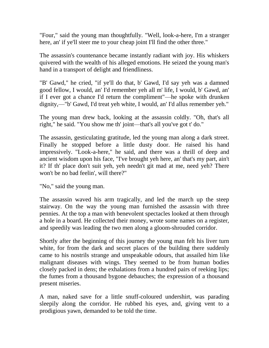"Four," said the young man thoughtfully. "Well, look-a-here, I'm a stranger here, an' if ye'll steer me to your cheap joint I'll find the other three."

The assassin's countenance became instantly radiant with joy. His whiskers quivered with the wealth of his alleged emotions. He seized the young man's hand in a transport of delight and friendliness.

"B' Gawd," he cried, "if ye'll do that, b' Gawd, I'd say yeh was a damned good fellow, I would, an' I'd remember yeh all m' life, I would, b' Gawd, an' if I ever got a chance I'd return the compliment"—he spoke with drunken dignity,—"b' Gawd, I'd treat yeh white, I would, an' I'd allus remember yeh."

The young man drew back, looking at the assassin coldly. "Oh, that's all right," he said. "You show me th' joint—that's all you've got t' do."

The assassin, gesticulating gratitude, led the young man along a dark street. Finally he stopped before a little dusty door. He raised his hand impressively. "Look-a-here," he said, and there was a thrill of deep and ancient wisdom upon his face, "I've brought yeh here, an' that's my part, ain't it? If th' place don't suit yeh, yeh needn't git mad at me, need yeh? There won't be no bad feelin', will there?"

"No," said the young man.

The assassin waved his arm tragically, and led the march up the steep stairway. On the way the young man furnished the assassin with three pennies. At the top a man with benevolent spectacles looked at them through a hole in a board. He collected their money, wrote some names on a register, and speedily was leading the two men along a gloom-shrouded corridor.

Shortly after the beginning of this journey the young man felt his liver turn white, for from the dark and secret places of the building there suddenly came to his nostrils strange and unspeakable odours, that assailed him like malignant diseases with wings. They seemed to be from human bodies closely packed in dens; the exhalations from a hundred pairs of reeking lips; the fumes from a thousand bygone debauches; the expression of a thousand present miseries.

A man, naked save for a little snuff-coloured undershirt, was parading sleepily along the corridor. He rubbed his eyes, and, giving vent to a prodigious yawn, demanded to be told the time.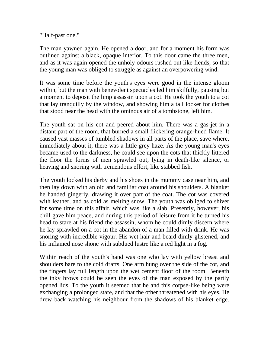"Half-past one."

The man yawned again. He opened a door, and for a moment his form was outlined against a black, opaque interior. To this door came the three men, and as it was again opened the unholy odours rushed out like fiends, so that the young man was obliged to struggle as against an overpowering wind.

It was some time before the youth's eyes were good in the intense gloom within, but the man with benevolent spectacles led him skilfully, pausing but a moment to deposit the limp assassin upon a cot. He took the youth to a cot that lay tranquilly by the window, and showing him a tall locker for clothes that stood near the head with the ominous air of a tombstone, left him.

The youth sat on his cot and peered about him. There was a gas-jet in a distant part of the room, that burned a small flickering orange-hued flame. It caused vast masses of tumbled shadows in all parts of the place, save where, immediately about it, there was a little grey haze. As the young man's eyes became used to the darkness, he could see upon the cots that thickly littered the floor the forms of men sprawled out, lying in death-like silence, or heaving and snoring with tremendous effort, like stabbed fish.

The youth locked his derby and his shoes in the mummy case near him, and then lay down with an old and familiar coat around his shoulders. A blanket he handed gingerly, drawing it over part of the coat. The cot was covered with leather, and as cold as melting snow. The youth was obliged to shiver for some time on this affair, which was like a slab. Presently, however, his chill gave him peace, and during this period of leisure from it he turned his head to stare at his friend the assassin, whom he could dimly discern where he lay sprawled on a cot in the abandon of a man filled with drink. He was snoring with incredible vigour. His wet hair and beard dimly glistened, and his inflamed nose shone with subdued lustre like a red light in a fog.

Within reach of the youth's hand was one who lay with yellow breast and shoulders bare to the cold drafts. One arm hung over the side of the cot, and the fingers lay full length upon the wet cement floor of the room. Beneath the inky brows could be seen the eyes of the man exposed by the partly opened lids. To the youth it seemed that he and this corpse-like being were exchanging a prolonged stare, and that the other threatened with his eyes. He drew back watching his neighbour from the shadows of his blanket edge.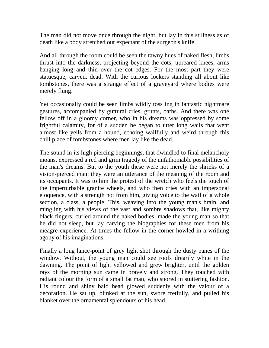The man did not move once through the night, but lay in this stillness as of death like a body stretched out expectant of the surgeon's knife.

And all through the room could be seen the tawny hues of naked flesh, limbs thrust into the darkness, projecting beyond the cots; upreared knees, arms hanging long and thin over the cot edges. For the most part they were statuesque, carven, dead. With the curious lockers standing all about like tombstones, there was a strange effect of a graveyard where bodies were merely flung.

Yet occasionally could be seen limbs wildly toss ing in fantastic nightmare gestures, accompanied by guttural cries, grunts, oaths. And there was one fellow off in a gloomy corner, who in his dreams was oppressed by some frightful calamity, for of a sudden he began to utter long wails that went almost like yells from a hound, echoing wailfully and weird through this chill place of tombstones where men lay like the dead.

The sound in its high piercing beginnings, that dwindled to final melancholy moans, expressed a red and grim tragedy of the unfathomable possibilities of the man's dreams. But to the youth these were not merely the shrieks of a vision-pierced man: they were an utterance of the meaning of the room and its occupants. It was to him the protest of the wretch who feels the touch of the imperturbable granite wheels, and who then cries with an impersonal eloquence, with a strength not from him, giving voice to the wail of a whole section, a class, a people. This, weaving into the young man's brain, and mingling with his views of the vast and sombre shadows that, like mighty black fingers, curled around the naked bodies, made the young man so that he did not sleep, but lay carving the biographies for these men from his meagre experience. At times the fellow in the corner howled in a writhing agony of his imaginations.

Finally a long lance-point of grey light shot through the dusty panes of the window. Without, the young man could see roofs drearily white in the dawning. The point of light yellowed and grew brighter, until the golden rays of the morning sun came in bravely and strong. They touched with radiant colour the form of a small fat man, who snored in stuttering fashion. His round and shiny bald head glowed suddenly with the valour of a decoration. He sat up, blinked at the sun, swore fretfully, and pulled his blanket over the ornamental splendours of his head.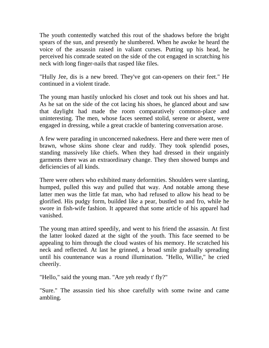The youth contentedly watched this rout of the shadows before the bright spears of the sun, and presently he slumbered. When he awoke he heard the voice of the assassin raised in valiant curses. Putting up his head, he perceived his comrade seated on the side of the cot engaged in scratching his neck with long finger-nails that rasped like files.

"Hully Jee, dis is a new breed. They've got can-openers on their feet." He continued in a violent tirade.

The young man hastily unlocked his closet and took out his shoes and hat. As he sat on the side of the cot lacing his shoes, he glanced about and saw that daylight had made the room comparatively common-place and uninteresting. The men, whose faces seemed stolid, serene or absent, were engaged in dressing, while a great crackle of bantering conversation arose.

A few were parading in unconcerned nakedness. Here and there were men of brawn, whose skins shone clear and ruddy. They took splendid poses, standing massively like chiefs. When they had dressed in their ungainly garments there was an extraordinary change. They then showed bumps and deficiencies of all kinds.

There were others who exhibited many deformities. Shoulders were slanting, humped, pulled this way and pulled that way. And notable among these latter men was the little fat man, who had refused to allow his head to be glorified. His pudgy form, builded like a pear, bustled to and fro, while he swore in fish-wife fashion. It appeared that some article of his apparel had vanished.

The young man attired speedily, and went to his friend the assassin. At first the latter looked dazed at the sight of the youth. This face seemed to be appealing to him through the cloud wastes of his memory. He scratched his neck and reflected. At last he grinned, a broad smile gradually spreading until his countenance was a round illumination. "Hello, Willie," he cried cheerily.

"Hello," said the young man. "Are yeh ready t' fly?"

"Sure." The assassin tied his shoe carefully with some twine and came ambling.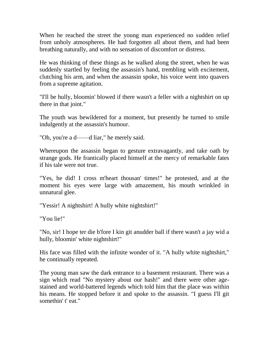When he reached the street the young man experienced no sudden relief from unholy atmospheres. He had forgotten all about them, and had been breathing naturally, and with no sensation of discomfort or distress.

He was thinking of these things as he walked along the street, when he was suddenly startled by feeling the assassin's hand, trembling with excitement, clutching his arm, and when the assassin spoke, his voice went into quavers from a supreme agitation.

"I'll be hully, bloomin' blowed if there wasn't a feller with a nightshirt on up there in that joint."

The youth was bewildered for a moment, but presently he turned to smile indulgently at the assassin's humour.

"Oh, you're a d——d liar," he merely said.

Whereupon the assassin began to gesture extravagantly, and take oath by strange gods. He frantically placed himself at the mercy of remarkable fates if his tale were not true.

"Yes, he did! I cross m'heart thousan' times!" he protested, and at the moment his eyes were large with amazement, his mouth wrinkled in unnatural glee.

"Yessir! A nightshirt! A hully white nightshirt!"

"You lie!"

"No, sir! I hope ter die b'fore I kin git anudder ball if there wasn't a jay wid a hully, bloomin' white nightshirt!"

His face was filled with the infinite wonder of it. "A hully white nightshirt," he continually repeated.

The young man saw the dark entrance to a basement restaurant. There was a sign which read "No mystery about our hash!" and there were other agestained and world-battered legends which told him that the place was within his means. He stopped before it and spoke to the assassin. "I guess I'll git somethin' t' eat."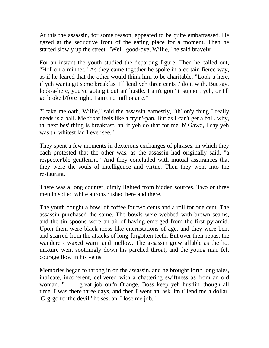At this the assassin, for some reason, appeared to be quite embarrassed. He gazed at the seductive front of the eating place for a moment. Then he started slowly up the street. "Well, good-bye, Willie," he said bravely.

For an instant the youth studied the departing figure. Then he called out, "Hol' on a minnet." As they came together he spoke in a certain fierce way, as if he feared that the other would think him to be charitable. "Look-a-here, if yeh wanta git some breakfas' I'll lend yeh three cents t' do it with. But say, look-a-here, you've gota git out an' hustle. I ain't goin' t' support yeh, or I'll go broke b'fore night. I ain't no millionaire."

"I take me oath, Willie," said the assassin earnestly, "th' on'y thing I really needs is a ball. Me t'roat feels like a fryin'-pan. But as I can't get a ball, why, th' next bes' thing is breakfast, an' if yeh do that for me, b' Gawd, I say yeh was th' whitest lad I ever see."

They spent a few moments in dexterous exchanges of phrases, in which they each protested that the other was, as the assassin had originally said, "a respecter'ble gentlem'n." And they concluded with mutual assurances that they were the souls of intelligence and virtue. Then they went into the restaurant.

There was a long counter, dimly lighted from hidden sources. Two or three men in soiled white aprons rushed here and there.

The youth bought a bowl of coffee for two cents and a roll for one cent. The assassin purchased the same. The bowls were webbed with brown seams, and the tin spoons wore an air of having emerged from the first pyramid. Upon them were black moss-like encrustations of age, and they were bent and scarred from the attacks of long-forgotten teeth. But over their repast the wanderers waxed warm and mellow. The assassin grew affable as the hot mixture went soothingly down his parched throat, and the young man felt courage flow in his veins.

Memories began to throng in on the assassin, and he brought forth long tales, intricate, incoherent, delivered with a chattering swiftness as from an old woman. "—— great job out'n Orange. Boss keep yeh hustlin' though all time. I was there three days, and then I went an' ask 'im t' lend me a dollar. 'G-g-go ter the devil,' he ses, an' I lose me job."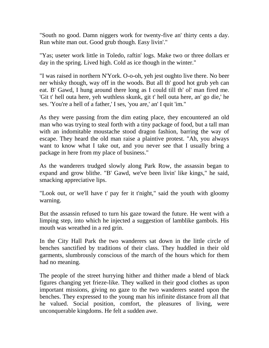"South no good. Damn niggers work for twenty-five an' thirty cents a day. Run white man out. Good grub though. Easy livin'."

"Yas; useter work little in Toledo, raftin' logs. Make two or three dollars er day in the spring. Lived high. Cold as ice though in the winter."

"I was raised in northern N'York. O-o-oh, yeh jest oughto live there. No beer ner whisky though, way off in the woods. But all th' good hot grub yeh can eat. B' Gawd, I hung around there long as I could till th' ol' man fired me. 'Git t' hell outa here, yeh wuthless skunk, git t' hell outa here, an' go die,' he ses. 'You're a hell of a father,' I ses, 'you are,' an' I quit 'im."

As they were passing from the dim eating place, they encountered an old man who was trying to steal forth with a tiny package of food, but a tall man with an indomitable moustache stood dragon fashion, barring the way of escape. They heard the old man raise a plaintive protest. "Ah, you always want to know what I take out, and you never see that I usually bring a package in here from my place of business."

As the wanderers trudged slowly along Park Row, the assassin began to expand and grow blithe. "B' Gawd, we've been livin' like kings," he said, smacking appreciative lips.

"Look out, or we'll have t' pay fer it t'night," said the youth with gloomy warning.

But the assassin refused to turn his gaze toward the future. He went with a limping step, into which he injected a suggestion of lamblike gambols. His mouth was wreathed in a red grin.

In the City Hall Park the two wanderers sat down in the little circle of benches sanctified by traditions of their class. They huddled in their old garments, slumbrously conscious of the march of the hours which for them had no meaning.

The people of the street hurrying hither and thither made a blend of black figures changing yet frieze-like. They walked in their good clothes as upon important missions, giving no gaze to the two wanderers seated upon the benches. They expressed to the young man his infinite distance from all that he valued. Social position, comfort, the pleasures of living, were unconquerable kingdoms. He felt a sudden awe.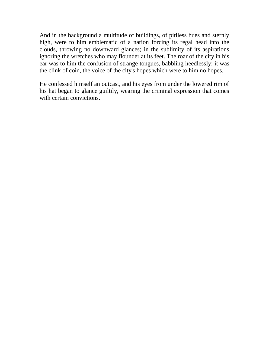And in the background a multitude of buildings, of pitiless hues and sternly high, were to him emblematic of a nation forcing its regal head into the clouds, throwing no downward glances; in the sublimity of its aspirations ignoring the wretches who may flounder at its feet. The roar of the city in his ear was to him the confusion of strange tongues, babbling heedlessly; it was the clink of coin, the voice of the city's hopes which were to him no hopes.

He confessed himself an outcast, and his eyes from under the lowered rim of his hat began to glance guiltily, wearing the criminal expression that comes with certain convictions.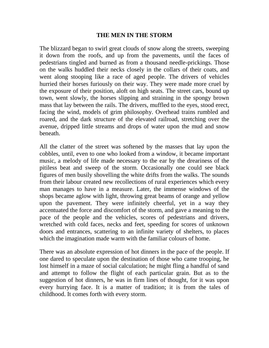#### **THE MEN IN THE STORM**

The blizzard began to swirl great clouds of snow along the streets, sweeping it down from the roofs, and up from the pavements, until the faces of pedestrians tingled and burned as from a thousand needle-prickings. Those on the walks huddled their necks closely in the collars of their coats, and went along stooping like a race of aged people. The drivers of vehicles hurried their horses furiously on their way. They were made more cruel by the exposure of their position, aloft on high seats. The street cars, bound up town, went slowly, the horses slipping and straining in the spongy brown mass that lay between the rails. The drivers, muffled to the eyes, stood erect, facing the wind, models of grim philosophy. Overhead trains rumbled and roared, and the dark structure of the elevated railroad, stretching over the avenue, dripped little streams and drops of water upon the mud and snow beneath.

All the clatter of the street was softened by the masses that lay upon the cobbles, until, even to one who looked from a window, it became important music, a melody of life made necessary to the ear by the dreariness of the pitiless beat and sweep of the storm. Occasionally one could see black figures of men busily shovelling the white drifts from the walks. The sounds from their labour created new recollections of rural experiences which every man manages to have in a measure. Later, the immense windows of the shops became aglow with light, throwing great beams of orange and yellow upon the pavement. They were infinitely cheerful, yet in a way they accentuated the force and discomfort of the storm, and gave a meaning to the pace of the people and the vehicles, scores of pedestrians and drivers, wretched with cold faces, necks and feet, speeding for scores of unknown doors and entrances, scattering to an infinite variety of shelters, to places which the imagination made warm with the familiar colours of home.

There was an absolute expression of hot dinners in the pace of the people. If one dared to speculate upon the destination of those who came trooping, he lost himself in a maze of social calculation; he might fling a handful of sand and attempt to follow the flight of each particular grain. But as to the suggestion of hot dinners, he was in firm lines of thought, for it was upon every hurrying face. It is a matter of tradition; it is from the tales of childhood. It comes forth with every storm.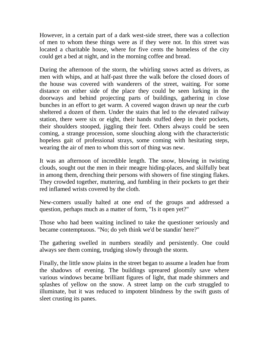However, in a certain part of a dark west-side street, there was a collection of men to whom these things were as if they were not. In this street was located a charitable house, where for five cents the homeless of the city could get a bed at night, and in the morning coffee and bread.

During the afternoon of the storm, the whirling snows acted as drivers, as men with whips, and at half-past three the walk before the closed doors of the house was covered with wanderers of the street, waiting. For some distance on either side of the place they could be seen lurking in the doorways and behind projecting parts of buildings, gathering in close bunches in an effort to get warm. A covered wagon drawn up near the curb sheltered a dozen of them. Under the stairs that led to the elevated railway station, there were six or eight, their hands stuffed deep in their pockets, their shoulders stooped, jiggling their feet. Others always could be seen coming, a strange procession, some slouching along with the characteristic hopeless gait of professional strays, some coming with hesitating steps, wearing the air of men to whom this sort of thing was new.

It was an afternoon of incredible length. The snow, blowing in twisting clouds, sought out the men in their meagre hiding-places, and skilfully beat in among them, drenching their persons with showers of fine stinging flakes. They crowded together, muttering, and fumbling in their pockets to get their red inflamed wrists covered by the cloth.

New-comers usually halted at one end of the groups and addressed a question, perhaps much as a matter of form, "Is it open yet?"

Those who had been waiting inclined to take the questioner seriously and became contemptuous. "No; do yeh think we'd be standin' here?"

The gathering swelled in numbers steadily and persistently. One could always see them coming, trudging slowly through the storm.

Finally, the little snow plains in the street began to assume a leaden hue from the shadows of evening. The buildings upreared gloomily save where various windows became brilliant figures of light, that made shimmers and splashes of yellow on the snow. A street lamp on the curb struggled to illuminate, but it was reduced to impotent blindness by the swift gusts of sleet crusting its panes.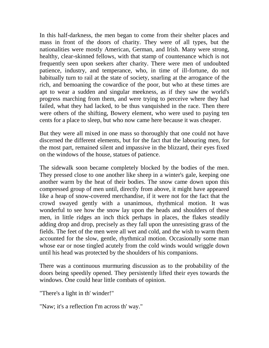In this half-darkness, the men began to come from their shelter places and mass in front of the doors of charity. They were of all types, but the nationalities were mostly American, German, and Irish. Many were strong, healthy, clear-skinned fellows, with that stamp of countenance which is not frequently seen upon seekers after charity. There were men of undoubted patience, industry, and temperance, who, in time of ill-fortune, do not habitually turn to rail at the state of society, snarling at the arrogance of the rich, and bemoaning the cowardice of the poor, but who at these times are apt to wear a sudden and singular meekness, as if they saw the world's progress marching from them, and were trying to perceive where they had failed, what they had lacked, to be thus vanquished in the race. Then there were others of the shifting, Bowery element, who were used to paying ten cents for a place to sleep, but who now came here because it was cheaper.

But they were all mixed in one mass so thoroughly that one could not have discerned the different elements, but for the fact that the labouring men, for the most part, remained silent and impassive in the blizzard, their eyes fixed on the windows of the house, statues of patience.

The sidewalk soon became completely blocked by the bodies of the men. They pressed close to one another like sheep in a winter's gale, keeping one another warm by the heat of their bodies. The snow came down upon this compressed group of men until, directly from above, it might have appeared like a heap of snow-covered merchandise, if it were not for the fact that the crowd swayed gently with a unanimous, rhythmical motion. It was wonderful to see how the snow lay upon the heads and shoulders of these men, in little ridges an inch thick perhaps in places, the flakes steadily adding drop and drop, precisely as they fall upon the unresisting grass of the fields. The feet of the men were all wet and cold, and the wish to warm them accounted for the slow, gentle, rhythmical motion. Occasionally some man whose ear or nose tingled acutely from the cold winds would wriggle down until his head was protected by the shoulders of his companions.

There was a continuous murmuring discussion as to the probability of the doors being speedily opened. They persistently lifted their eyes towards the windows. One could hear little combats of opinion.

"There's a light in th' winder!"

"Naw; it's a reflection f'm across th' way."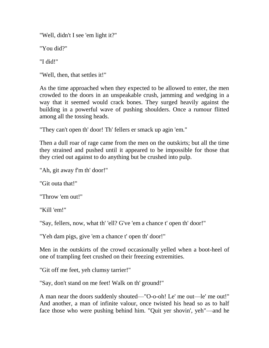"Well, didn't I see 'em light it?"

"You did?"

"I did!"

"Well, then, that settles it!"

As the time approached when they expected to be allowed to enter, the men crowded to the doors in an unspeakable crush, jamming and wedging in a way that it seemed would crack bones. They surged heavily against the building in a powerful wave of pushing shoulders. Once a rumour flitted among all the tossing heads.

"They can't open th' door! Th' fellers er smack up agin 'em."

Then a dull roar of rage came from the men on the outskirts; but all the time they strained and pushed until it appeared to be impossible for those that they cried out against to do anything but be crushed into pulp.

"Ah, git away f'm th' door!"

"Git outa that!"

"Throw 'em out!"

"Kill 'em!"

"Say, fellers, now, what th' 'ell? G've 'em a chance t' open th' door!"

"Yeh dam pigs, give 'em a chance t' open th' door!"

Men in the outskirts of the crowd occasionally yelled when a boot-heel of one of trampling feet crushed on their freezing extremities.

"Git off me feet, yeh clumsy tarrier!"

"Say, don't stand on me feet! Walk on th' ground!"

A man near the doors suddenly shouted—"O-o-oh! Le' me out—le' me out!" And another, a man of infinite valour, once twisted his head so as to half face those who were pushing behind him. "Quit yer shovin', yeh"—and he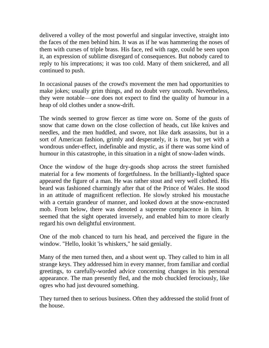delivered a volley of the most powerful and singular invective, straight into the faces of the men behind him. It was as if he was hammering the noses of them with curses of triple brass. His face, red with rage, could be seen upon it, an expression of sublime disregard of consequences. But nobody cared to reply to his imprecations; it was too cold. Many of them snickered, and all continued to push.

In occasional pauses of the crowd's movement the men had opportunities to make jokes; usually grim things, and no doubt very uncouth. Nevertheless, they were notable—one does not expect to find the quality of humour in a heap of old clothes under a snow-drift.

The winds seemed to grow fiercer as time wore on. Some of the gusts of snow that came down on the close collection of heads, cut like knives and needles, and the men huddled, and swore, not like dark assassins, but in a sort of American fashion, grimly and desperately, it is true, but yet with a wondrous under-effect, indefinable and mystic, as if there was some kind of humour in this catastrophe, in this situation in a night of snow-laden winds.

Once the window of the huge dry-goods shop across the street furnished material for a few moments of forgetfulness. In the brilliantly-lighted space appeared the figure of a man. He was rather stout and very well clothed. His beard was fashioned charmingly after that of the Prince of Wales. He stood in an attitude of magnificent reflection. He slowly stroked his moustache with a certain grandeur of manner, and looked down at the snow-encrusted mob. From below, there was denoted a supreme complacence in him. It seemed that the sight operated inversely, and enabled him to more clearly regard his own delightful environment.

One of the mob chanced to turn his head, and perceived the figure in the window. "Hello, lookit 'is whiskers," he said genially.

Many of the men turned then, and a shout went up. They called to him in all strange keys. They addressed him in every manner, from familiar and cordial greetings, to carefully-worded advice concerning changes in his personal appearance. The man presently fled, and the mob chuckled ferociously, like ogres who had just devoured something.

They turned then to serious business. Often they addressed the stolid front of the house.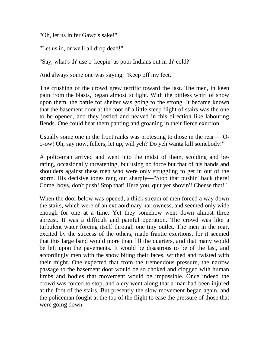"Oh, let us in fer Gawd's sake!"

"Let us in, or we'll all drop dead!"

"Say, what's th' use o' keepin' us poor Indians out in th' cold?"

And always some one was saying, "Keep off my feet."

The crushing of the crowd grew terrific toward the last. The men, in keen pain from the blasts, began almost to fight. With the pitiless whirl of snow upon them, the battle for shelter was going to the strong. It became known that the basement door at the foot of a little steep flight of stairs was the one to be opened, and they jostled and heaved in this direction like labouring fiends. One could hear them panting and groaning in their fierce exertion.

Usually some one in the front ranks was protesting to those in the rear—"Oo-ow! Oh, say now, fellers, let up, will yeh? Do yeh wanta kill somebody!"

A policeman arrived and went into the midst of them, scolding and berating, occasionally threatening, but using no force but that of his hands and shoulders against these men who were only struggling to get in out of the storm. His decisive tones rang out sharply—"Stop that pushin' back there! Come, boys, don't push! Stop that! Here you, quit yer shovin'! Cheese that!"

When the door below was opened, a thick stream of men forced a way down the stairs, which were of an extraordinary narrowness, and seemed only wide enough for one at a time. Yet they somehow went down almost three abreast. It was a difficult and painful operation. The crowd was like a turbulent water forcing itself through one tiny outlet. The men in the rear, excited by the success of the others, made frantic exertions, for it seemed that this large band would more than fill the quarters, and that many would be left upon the pavements. It would be disastrous to be of the last, and accordingly men with the snow biting their faces, writhed and twisted with their might. One expected that from the tremendous pressure, the narrow passage to the basement door would be so choked and clogged with human limbs and bodies that movement would be impossible. Once indeed the crowd was forced to stop, and a cry went along that a man had been injured at the foot of the stairs. But presently the slow movement began again, and the policeman fought at the top of the flight to ease the pressure of those that were going down.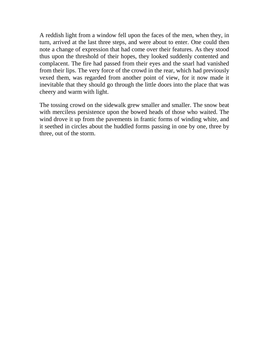A reddish light from a window fell upon the faces of the men, when they, in turn, arrived at the last three steps, and were about to enter. One could then note a change of expression that had come over their features. As they stood thus upon the threshold of their hopes, they looked suddenly contented and complacent. The fire had passed from their eyes and the snarl had vanished from their lips. The very force of the crowd in the rear, which had previously vexed them, was regarded from another point of view, for it now made it inevitable that they should go through the little doors into the place that was cheery and warm with light.

The tossing crowd on the sidewalk grew smaller and smaller. The snow beat with merciless persistence upon the bowed heads of those who waited. The wind drove it up from the pavements in frantic forms of winding white, and it seethed in circles about the huddled forms passing in one by one, three by three, out of the storm.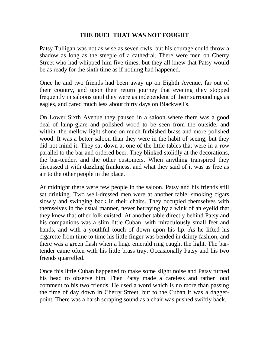# **THE DUEL THAT WAS NOT FOUGHT**

Patsy Tulligan was not as wise as seven owls, but his courage could throw a shadow as long as the steeple of a cathedral. There were men on Cherry Street who had whipped him five times, but they all knew that Patsy would be as ready for the sixth time as if nothing had happened.

Once he and two friends had been away up on Eighth Avenue, far out of their country, and upon their return journey that evening they stopped frequently in saloons until they were as independent of their surroundings as eagles, and cared much less about thirty days on Blackwell's.

On Lower Sixth Avenue they paused in a saloon where there was a good deal of lamp-glare and polished wood to be seen from the outside, and within, the mellow light shone on much furbished brass and more polished wood. It was a better saloon than they were in the habit of seeing, but they did not mind it. They sat down at one of the little tables that were in a row parallel to the bar and ordered beer. They blinked stolidly at the decorations, the bar-tender, and the other customers. When anything transpired they discussed it with dazzling frankness, and what they said of it was as free as air to the other people in the place.

At midnight there were few people in the saloon. Patsy and his friends still sat drinking. Two well-dressed men were at another table, smoking cigars slowly and swinging back in their chairs. They occupied themselves with themselves in the usual manner, never betraying by a wink of an eyelid that they knew that other folk existed. At another table directly behind Patsy and his companions was a slim little Cuban, with miraculously small feet and hands, and with a youthful touch of down upon his lip. As he lifted his cigarette from time to time his little finger was bended in dainty fashion, and there was a green flash when a huge emerald ring caught the light. The bartender came often with his little brass tray. Occasionally Patsy and his two friends quarrelled.

Once this little Cuban happened to make some slight noise and Patsy turned his head to observe him. Then Patsy made a careless and rather loud comment to his two friends. He used a word which is no more than passing the time of day down in Cherry Street, but to the Cuban it was a daggerpoint. There was a harsh scraping sound as a chair was pushed swiftly back.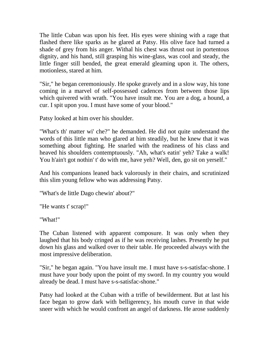The little Cuban was upon his feet. His eyes were shining with a rage that flashed there like sparks as he glared at Patsy. His olive face had turned a shade of grey from his anger. Withal his chest was thrust out in portentous dignity, and his hand, still grasping his wine-glass, was cool and steady, the little finger still bended, the great emerald gleaming upon it. The others, motionless, stared at him.

"Sir," he began ceremoniously. He spoke gravely and in a slow way, his tone coming in a marvel of self-possessed cadences from between those lips which quivered with wrath. "You have insult me. You are a dog, a hound, a cur. I spit upon you. I must have some of your blood."

Patsy looked at him over his shoulder.

"What's th' matter wi' che?" he demanded. He did not quite understand the words of this little man who glared at him steadily, but he knew that it was something about fighting. He snarled with the readiness of his class and heaved his shoulders contemptuously. "Ah, what's eatin' yeh? Take a walk! You h'ain't got nothin' t' do with me, have yeh? Well, den, go sit on yerself."

And his companions leaned back valorously in their chairs, and scrutinized this slim young fellow who was addressing Patsy.

"What's de little Dago chewin' about?"

"He wants t' scrap!"

"What!"

The Cuban listened with apparent composure. It was only when they laughed that his body cringed as if he was receiving lashes. Presently he put down his glass and walked over to their table. He proceeded always with the most impressive deliberation.

"Sir," he began again. "You have insult me. I must have s-s-satisfac-shone. I must have your body upon the point of my sword. In my country you would already be dead. I must have s-s-satisfac-shone."

Patsy had looked at the Cuban with a trifle of bewilderment. But at last his face began to grow dark with belligerency, his mouth curve in that wide sneer with which he would confront an angel of darkness. He arose suddenly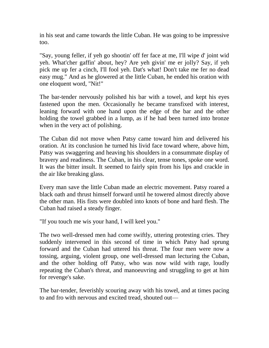in his seat and came towards the little Cuban. He was going to be impressive too.

"Say, young feller, if yeh go shootin' off fer face at me, I'll wipe d' joint wid yeh. What'cher gaffin' about, hey? Are yeh givin' me er jolly? Say, if yeh pick me up fer a cinch, I'll fool yeh. Dat's what! Don't take me fer no dead easy mug." And as he glowered at the little Cuban, he ended his oration with one eloquent word, "Nit!"

The bar-tender nervously polished his bar with a towel, and kept his eyes fastened upon the men. Occasionally he became transfixed with interest, leaning forward with one hand upon the edge of the bar and the other holding the towel grabbed in a lump, as if he had been turned into bronze when in the very act of polishing.

The Cuban did not move when Patsy came toward him and delivered his oration. At its conclusion he turned his livid face toward where, above him, Patsy was swaggering and heaving his shoulders in a consummate display of bravery and readiness. The Cuban, in his clear, tense tones, spoke one word. It was the bitter insult. It seemed to fairly spin from his lips and crackle in the air like breaking glass.

Every man save the little Cuban made an electric movement. Patsy roared a black oath and thrust himself forward until he towered almost directly above the other man. His fists were doubled into knots of bone and hard flesh. The Cuban had raised a steady finger.

"If you touch me wis your hand, I will keel you."

The two well-dressed men had come swiftly, uttering protesting cries. They suddenly intervened in this second of time in which Patsy had sprung forward and the Cuban had uttered his threat. The four men were now a tossing, arguing, violent group, one well-dressed man lecturing the Cuban, and the other holding off Patsy, who was now wild with rage, loudly repeating the Cuban's threat, and manoeuvring and struggling to get at him for revenge's sake.

The bar-tender, feverishly scouring away with his towel, and at times pacing to and fro with nervous and excited tread, shouted out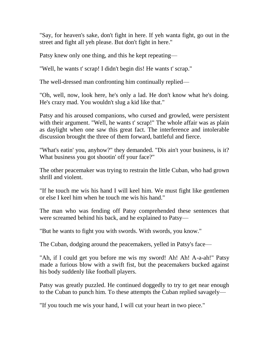"Say, for heaven's sake, don't fight in here. If yeh wanta fight, go out in the street and fight all yeh please. But don't fight in here."

Patsy knew only one thing, and this he kept repeating—

"Well, he wants t' scrap! I didn't begin dis! He wants t' scrap."

The well-dressed man confronting him continually replied—

"Oh, well, now, look here, he's only a lad. He don't know what he's doing. He's crazy mad. You wouldn't slug a kid like that."

Patsy and his aroused companions, who cursed and growled, were persistent with their argument. "Well, he wants t' scrap!" The whole affair was as plain as daylight when one saw this great fact. The interference and intolerable discussion brought the three of them forward, battleful and fierce.

"What's eatin' you, anyhow?" they demanded. "Dis ain't your business, is it? What business you got shootin' off your face?"

The other peacemaker was trying to restrain the little Cuban, who had grown shrill and violent.

"If he touch me wis his hand I will keel him. We must fight like gentlemen or else I keel him when he touch me wis his hand."

The man who was fending off Patsy comprehended these sentences that were screamed behind his back, and he explained to Patsy—

"But he wants to fight you with swords. With swords, you know."

The Cuban, dodging around the peacemakers, yelled in Patsy's face—

"Ah, if I could get you before me wis my sword! Ah! Ah! A-a-ah!" Patsy made a furious blow with a swift fist, but the peacemakers bucked against his body suddenly like football players.

Patsy was greatly puzzled. He continued doggedly to try to get near enough to the Cuban to punch him. To these attempts the Cuban replied savagely—

"If you touch me wis your hand, I will cut your heart in two piece."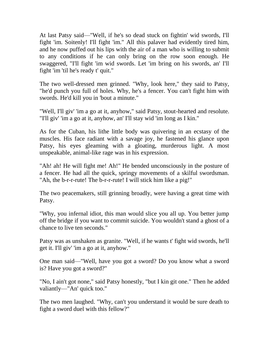At last Patsy said—"Well, if he's so dead stuck on fightin' wid swords, I'll fight 'im. Soitenly! I'll fight 'im." All this palaver had evidently tired him, and he now puffed out his lips with the air of a man who is willing to submit to any conditions if he can only bring on the row soon enough. He swaggered, "I'll fight 'im wid swords. Let 'im bring on his swords, an' I'll fight 'im 'til he's ready t' quit."

The two well-dressed men grinned. "Why, look here," they said to Patsy, "he'd punch you full of holes. Why, he's a fencer. You can't fight him with swords. He'd kill you in 'bout a minute."

"Well, I'll giv' 'im a go at it, anyhow," said Patsy, stout-hearted and resolute. "I'll giv' 'im a go at it, anyhow, an' I'll stay wid 'im long as I kin."

As for the Cuban, his lithe little body was quivering in an ecstasy of the muscles. His face radiant with a savage joy, he fastened his glance upon Patsy, his eyes gleaming with a gloating, murderous light. A most unspeakable, animal-like rage was in his expression.

"Ah! ah! He will fight me! Ah!" He bended unconsciously in the posture of a fencer. He had all the quick, springy movements of a skilful swordsman. "Ah, the b-r-r-rute! The b-r-r-rute! I will stick him like a pig!"

The two peacemakers, still grinning broadly, were having a great time with Patsy.

"Why, you infernal idiot, this man would slice you all up. You better jump off the bridge if you want to commit suicide. You wouldn't stand a ghost of a chance to live ten seconds."

Patsy was as unshaken as granite. "Well, if he wants t' fight wid swords, he'll get it. I'll giv' 'im a go at it, anyhow."

One man said—"Well, have you got a sword? Do you know what a sword is? Have you got a sword?"

"No, I ain't got none," said Patsy honestly, "but I kin git one." Then he added valiantly—"An' quick too."

The two men laughed. "Why, can't you understand it would be sure death to fight a sword duel with this fellow?"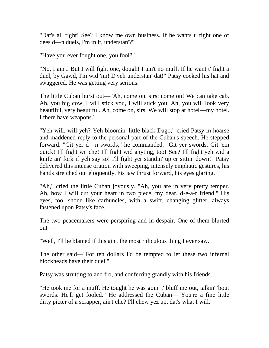"Dat's all right! See? I know me own business. If he wants t' fight one of dees d—n duels, I'm in it, understan'?"

"Have you ever fought one, you fool?"

"No, I ain't. But I will fight one, dough! I ain't no muff. If he want t' fight a duel, by Gawd, I'm wid 'im! D'yeh understan' dat!" Patsy cocked his hat and swaggered. He was getting very serious.

The little Cuban burst out—"Ah, come on, sirs: come on! We can take cab. Ah, you big cow, I will stick you, I will stick you. Ah, you will look very beautiful, very beautiful. Ah, come on, sirs. We will stop at hotel—my hotel. I there have weapons."

"Yeh will, will yeh? Yeh bloomin' little black Dago," cried Patsy in hoarse and maddened reply to the personal part of the Cuban's speech. He stepped forward. "Git yer d—n swords," he commanded. "Git yer swords. Git 'em quick! I'll fight wi' che! I'll fight wid anyting, too! See? I'll fight yeh wid a knife an' fork if yeh say so! I'll fight yer standin' up er sittin' down!" Patsy delivered this intense oration with sweeping, intensely emphatic gestures, his hands stretched out eloquently, his jaw thrust forward, his eyes glaring.

"Ah," cried the little Cuban joyously. "Ah, you are in very pretty temper. Ah, how I will cut your heart in two piece, my dear, d-e-a-r friend." His eyes, too, shone like carbuncles, with a swift, changing glitter, always fastened upon Patsy's face.

The two peacemakers were perspiring and in despair. One of them blurted out—

"Well, I'll be blamed if this ain't the most ridiculous thing I ever saw."

The other said—"For ten dollars I'd be tempted to let these two infernal blockheads have their duel."

Patsy was strutting to and fro, and conferring grandly with his friends.

"He took me for a muff. He tought he was goin' t' bluff me out, talkin' 'bout swords. He'll get fooled." He addressed the Cuban—"You're a fine little dirty picter of a scrapper, ain't che? I'll chew yez up, dat's what I will."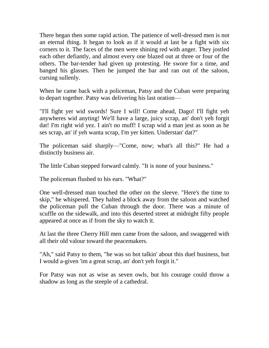There began then some rapid action. The patience of well-dressed men is not an eternal thing. It began to look as if it would at last be a fight with six corners to it. The faces of the men were shining red with anger. They jostled each other defiantly, and almost every one blazed out at three or four of the others. The bar-tender had given up protesting. He swore for a time, and banged his glasses. Then he jumped the bar and ran out of the saloon, cursing sullenly.

When he came back with a policeman, Patsy and the Cuban were preparing to depart together. Patsy was delivering his last oration—

"I'll fight yer wid swords! Sure I will! Come ahead, Dago! I'll fight yeh anywheres wid anyting! We'll have a large, juicy scrap, an' don't yeh forgit dat! I'm right wid yez. I ain't no muff! I scrap wid a man jest as soon as he ses scrap, an' if yeh wanta scrap, I'm yer kitten. Understan' dat?"

The policeman said sharply—"Come, now; what's all this?" He had a distinctly business air.

The little Cuban stepped forward calmly. "It is none of your business."

The policeman flushed to his ears. "What?"

One well-dressed man touched the other on the sleeve. "Here's the time to skip," he whispered. They halted a block away from the saloon and watched the policeman pull the Cuban through the door. There was a minute of scuffle on the sidewalk, and into this deserted street at midnight fifty people appeared at once as if from the sky to watch it.

At last the three Cherry Hill men came from the saloon, and swaggered with all their old valour toward the peacemakers.

"Ah," said Patsy to them, "he was so hot talkin' about this duel business, but I would a-given 'im a great scrap, an' don't yeh forgit it."

For Patsy was not as wise as seven owls, but his courage could throw a shadow as long as the steeple of a cathedral.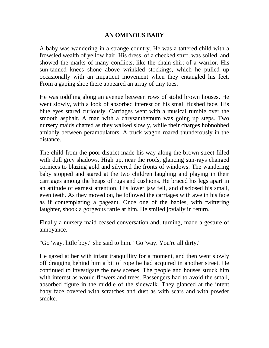### **AN OMINOUS BABY**

A baby was wandering in a strange country. He was a tattered child with a frowsled wealth of yellow hair. His dress, of a checked stuff, was soiled, and showed the marks of many conflicts, like the chain-shirt of a warrior. His sun-tanned knees shone above wrinkled stockings, which he pulled up occasionally with an impatient movement when they entangled his feet. From a gaping shoe there appeared an array of tiny toes.

He was toddling along an avenue between rows of stolid brown houses. He went slowly, with a look of absorbed interest on his small flushed face. His blue eyes stared curiously. Carriages went with a musical rumble over the smooth asphalt. A man with a chrysanthemum was going up steps. Two nursery maids chatted as they walked slowly, while their charges hobnobbed amiably between perambulators. A truck wagon roared thunderously in the distance.

The child from the poor district made his way along the brown street filled with dull grey shadows. High up, near the roofs, glancing sun-rays changed cornices to blazing gold and silvered the fronts of windows. The wandering baby stopped and stared at the two children laughing and playing in their carriages among the heaps of rugs and cushions. He braced his legs apart in an attitude of earnest attention. His lower jaw fell, and disclosed his small, even teeth. As they moved on, he followed the carriages with awe in his face as if contemplating a pageant. Once one of the babies, with twittering laughter, shook a gorgeous rattle at him. He smiled jovially in return.

Finally a nursery maid ceased conversation and, turning, made a gesture of annoyance.

"Go 'way, little boy," she said to him. "Go 'way. You're all dirty."

He gazed at her with infant tranquillity for a moment, and then went slowly off dragging behind him a bit of rope he had acquired in another street. He continued to investigate the new scenes. The people and houses struck him with interest as would flowers and trees. Passengers had to avoid the small, absorbed figure in the middle of the sidewalk. They glanced at the intent baby face covered with scratches and dust as with scars and with powder smoke.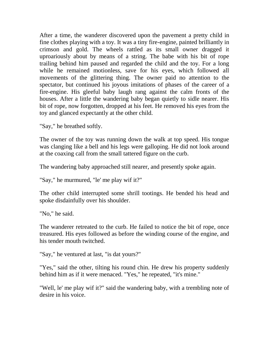After a time, the wanderer discovered upon the pavement a pretty child in fine clothes playing with a toy. It was a tiny fire-engine, painted brilliantly in crimson and gold. The wheels rattled as its small owner dragged it uproariously about by means of a string. The babe with his bit of rope trailing behind him paused and regarded the child and the toy. For a long while he remained motionless, save for his eyes, which followed all movements of the glittering thing. The owner paid no attention to the spectator, but continued his joyous imitations of phases of the career of a fire-engine. His gleeful baby laugh rang against the calm fronts of the houses. After a little the wandering baby began quietly to sidle nearer. His bit of rope, now forgotten, dropped at his feet. He removed his eyes from the toy and glanced expectantly at the other child.

"Say," he breathed softly.

The owner of the toy was running down the walk at top speed. His tongue was clanging like a bell and his legs were galloping. He did not look around at the coaxing call from the small tattered figure on the curb.

The wandering baby approached still nearer, and presently spoke again.

"Say," he murmured, "le' me play wif it?"

The other child interrupted some shrill tootings. He bended his head and spoke disdainfully over his shoulder.

"No," he said.

The wanderer retreated to the curb. He failed to notice the bit of rope, once treasured. His eyes followed as before the winding course of the engine, and his tender mouth twitched.

"Say," he ventured at last, "is dat yours?"

"Yes," said the other, tilting his round chin. He drew his property suddenly behind him as if it were menaced. "Yes," he repeated, "it's mine."

"Well, le' me play wif it?" said the wandering baby, with a trembling note of desire in his voice.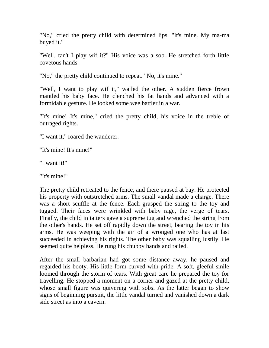"No," cried the pretty child with determined lips. "It's mine. My ma-ma buyed it."

"Well, tan't I play wif it?" His voice was a sob. He stretched forth little covetous hands.

"No," the pretty child continued to repeat. "No, it's mine."

"Well, I want to play wif it," wailed the other. A sudden fierce frown mantled his baby face. He clenched his fat hands and advanced with a formidable gesture. He looked some wee battler in a war.

"It's mine! It's mine," cried the pretty child, his voice in the treble of outraged rights.

"I want it," roared the wanderer.

"It's mine! It's mine!"

"I want it!"

"It's mine!"

The pretty child retreated to the fence, and there paused at bay. He protected his property with outstretched arms. The small vandal made a charge. There was a short scuffle at the fence. Each grasped the string to the toy and tugged. Their faces were wrinkled with baby rage, the verge of tears. Finally, the child in tatters gave a supreme tug and wrenched the string from the other's hands. He set off rapidly down the street, bearing the toy in his arms. He was weeping with the air of a wronged one who has at last succeeded in achieving his rights. The other baby was squalling lustily. He seemed quite helpless. He rung his chubby hands and railed.

After the small barbarian had got some distance away, he paused and regarded his booty. His little form curved with pride. A soft, gleeful smile loomed through the storm of tears. With great care he prepared the toy for travelling. He stopped a moment on a corner and gazed at the pretty child, whose small figure was quivering with sobs. As the latter began to show signs of beginning pursuit, the little vandal turned and vanished down a dark side street as into a cavern.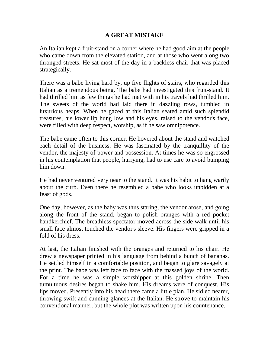# **A GREAT MISTAKE**

An Italian kept a fruit-stand on a corner where he had good aim at the people who came down from the elevated station, and at those who went along two thronged streets. He sat most of the day in a backless chair that was placed strategically.

There was a babe living hard by, up five flights of stairs, who regarded this Italian as a tremendous being. The babe had investigated this fruit-stand. It had thrilled him as few things he had met with in his travels had thrilled him. The sweets of the world had laid there in dazzling rows, tumbled in luxurious heaps. When he gazed at this Italian seated amid such splendid treasures, his lower lip hung low and his eyes, raised to the vendor's face, were filled with deep respect, worship, as if he saw omnipotence.

The babe came often to this corner. He hovered about the stand and watched each detail of the business. He was fascinated by the tranquillity of the vendor, the majesty of power and possession. At times he was so engrossed in his contemplation that people, hurrying, had to use care to avoid bumping him down.

He had never ventured very near to the stand. It was his habit to hang warily about the curb. Even there he resembled a babe who looks unbidden at a feast of gods.

One day, however, as the baby was thus staring, the vendor arose, and going along the front of the stand, began to polish oranges with a red pocket handkerchief. The breathless spectator moved across the side walk until his small face almost touched the vendor's sleeve. His fingers were gripped in a fold of his dress.

At last, the Italian finished with the oranges and returned to his chair. He drew a newspaper printed in his language from behind a bunch of bananas. He settled himself in a comfortable position, and began to glare savagely at the print. The babe was left face to face with the massed joys of the world. For a time he was a simple worshipper at this golden shrine. Then tumultuous desires began to shake him. His dreams were of conquest. His lips moved. Presently into his head there came a little plan. He sidled nearer, throwing swift and cunning glances at the Italian. He strove to maintain his conventional manner, but the whole plot was written upon his countenance.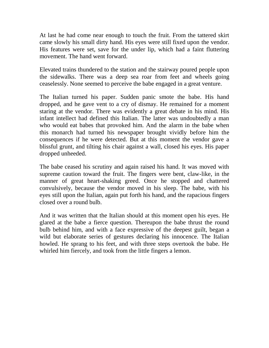At last he had come near enough to touch the fruit. From the tattered skirt came slowly his small dirty hand. His eyes were still fixed upon the vendor. His features were set, save for the under lip, which had a faint fluttering movement. The hand went forward.

Elevated trains thundered to the station and the stairway poured people upon the sidewalks. There was a deep sea roar from feet and wheels going ceaselessly. None seemed to perceive the babe engaged in a great venture.

The Italian turned his paper. Sudden panic smote the babe. His hand dropped, and he gave vent to a cry of dismay. He remained for a moment staring at the vendor. There was evidently a great debate in his mind. His infant intellect had defined this Italian. The latter was undoubtedly a man who would eat babes that provoked him. And the alarm in the babe when this monarch had turned his newspaper brought vividly before him the consequences if he were detected. But at this moment the vendor gave a blissful grunt, and tilting his chair against a wall, closed his eyes. His paper dropped unheeded.

The babe ceased his scrutiny and again raised his hand. It was moved with supreme caution toward the fruit. The fingers were bent, claw-like, in the manner of great heart-shaking greed. Once he stopped and chattered convulsively, because the vendor moved in his sleep. The babe, with his eyes still upon the Italian, again put forth his hand, and the rapacious fingers closed over a round bulb.

And it was written that the Italian should at this moment open his eyes. He glared at the babe a fierce question. Thereupon the babe thrust the round bulb behind him, and with a face expressive of the deepest guilt, began a wild but elaborate series of gestures declaring his innocence. The Italian howled. He sprang to his feet, and with three steps overtook the babe. He whirled him fiercely, and took from the little fingers a lemon.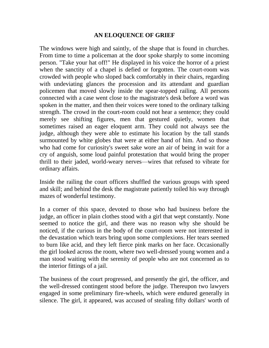### **AN ELOQUENCE OF GRIEF**

The windows were high and saintly, of the shape that is found in churches. From time to time a policeman at the door spoke sharply to some incoming person. "Take your hat off!" He displayed in his voice the horror of a priest when the sanctity of a chapel is defied or forgotten. The court-room was crowded with people who sloped back comfortably in their chairs, regarding with undeviating glances the procession and its attendant and guardian policemen that moved slowly inside the spear-topped railing. All persons connected with a case went close to the magistrate's desk before a word was spoken in the matter, and then their voices were toned to the ordinary talking strength. The crowd in the court-room could not hear a sentence; they could merely see shifting figures, men that gestured quietly, women that sometimes raised an eager eloquent arm. They could not always see the judge, although they were able to estimate his location by the tall stands surmounted by white globes that were at either hand of him. And so those who had come for curiosity's sweet sake wore an air of being in wait for a cry of anguish, some loud painful protestation that would bring the proper thrill to their jaded, world-weary nerves—wires that refused to vibrate for ordinary affairs.

Inside the railing the court officers shuffled the various groups with speed and skill; and behind the desk the magistrate patiently toiled his way through mazes of wonderful testimony.

In a corner of this space, devoted to those who had business before the judge, an officer in plain clothes stood with a girl that wept constantly. None seemed to notice the girl, and there was no reason why she should be noticed, if the curious in the body of the court-room were not interested in the devastation which tears bring upon some complexions. Her tears seemed to burn like acid, and they left fierce pink marks on her face. Occasionally the girl looked across the room, where two well-dressed young women and a man stood waiting with the serenity of people who are not concerned as to the interior fittings of a jail.

The business of the court progressed, and presently the girl, the officer, and the well-dressed contingent stood before the judge. Thereupon two lawyers engaged in some preliminary fire-wheels, which were endured generally in silence. The girl, it appeared, was accused of stealing fifty dollars' worth of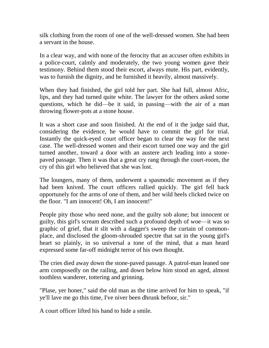silk clothing from the room of one of the well-dressed women. She had been a servant in the house.

In a clear way, and with none of the ferocity that an accuser often exhibits in a police-court, calmly and moderately, the two young women gave their testimony. Behind them stood their escort, always mute. His part, evidently, was to furnish the dignity, and he furnished it heavily, almost massively.

When they had finished, the girl told her part. She had full, almost Afric, lips, and they had turned quite white. The lawyer for the others asked some questions, which he did—be it said, in passing—with the air of a man throwing flower-pots at a stone house.

It was a short case and soon finished. At the end of it the judge said that, considering the evidence, he would have to commit the girl for trial. Instantly the quick-eyed court officer began to clear the way for the next case. The well-dressed women and their escort turned one way and the girl turned another, toward a door with an austere arch leading into a stonepaved passage. Then it was that a great cry rang through the court-room, the cry of this girl who believed that she was lost.

The loungers, many of them, underwent a spasmodic movement as if they had been knived. The court officers rallied quickly. The girl fell back opportunely for the arms of one of them, and her wild heels clicked twice on the floor. "I am innocent! Oh, I am innocent!"

People pity those who need none, and the guilty sob alone; but innocent or guilty, this girl's scream described such a profound depth of woe—it was so graphic of grief, that it slit with a dagger's sweep the curtain of commonplace, and disclosed the gloom-shrouded spectre that sat in the young girl's heart so plainly, in so universal a tone of the mind, that a man heard expressed some far-off midnight terror of his own thought.

The cries died away down the stone-paved passage. A patrol-man leaned one arm composedly on the railing, and down below him stood an aged, almost toothless wanderer, tottering and grinning.

"Plase, yer honer," said the old man as the time arrived for him to speak, "if ye'll lave me go this time, I've niver been dhrunk befoor, sir."

A court officer lifted his hand to hide a smile.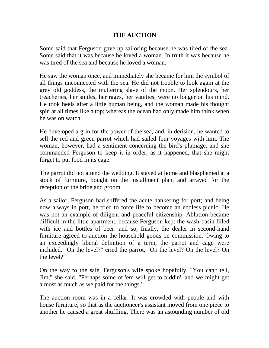## **THE AUCTION**

Some said that Ferguson gave up sailoring because he was tired of the sea. Some said that it was because he loved a woman. In truth it was because he was tired of the sea and because he loved a woman.

He saw the woman once, and immediately she became for him the symbol of all things unconnected with the sea. He did not trouble to look again at the grey old goddess, the muttering slave of the moon. Her splendours, her treacheries, her smiles, her rages, her vanities, were no longer on his mind. He took heels after a little human being, and the woman made his thought spin at all times like a top; whereas the ocean had only made him think when he was on watch.

He developed a grin for the power of the sea, and, in derision, he wanted to sell the red and green parrot which had sailed four voyages with him. The woman, however, had a sentiment concerning the bird's plumage, and she commanded Ferguson to keep it in order, as it happened, that she might forget to put food in its cage.

The parrot did not attend the wedding. It stayed at home and blasphemed at a stock of furniture, bought on the installment plan, and arrayed for the reception of the bride and groom.

As a sailor, Ferguson had suffered the acute hankering for port; and being now always in port, he tried to force life to become an endless picnic. He was not an example of diligent and peaceful citizenship. Ablution became difficult in the little apartment, because Ferguson kept the wash-basin filled with ice and bottles of beer: and so, finally, the dealer in second-hand furniture agreed to auction the household goods on commission. Owing to an exceedingly liberal definition of a term, the parrot and cage were included. "On the level?" cried the parrot, "On the level? On the level? On the level?"

On the way to the sale, Ferguson's wife spoke hopefully. "You can't tell, Jim," she said. "Perhaps some of 'em will get to biddin', and we might get almost as much as we paid for the things."

The auction room was in a cellar. It was crowded with people and with house furniture; so that as the auctioneer's assistant moved from one piece to another he caused a great shuffling. There was an astounding number of old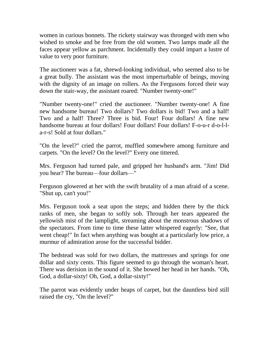women in curious bonnets. The rickety stairway was thronged with men who wished to smoke and be free from the old women. Two lamps made all the faces appear yellow as parchment. Incidentally they could impart a lustre of value to very poor furniture.

The auctioneer was a fat, shrewd-looking individual, who seemed also to be a great bully. The assistant was the most imperturbable of beings, moving with the dignity of an image on rollers. As the Fergusons forced their way down the stair-way, the assistant roared: "Number twenty-one!"

"Number twenty-one!" cried the auctioneer. "Number twenty-one! A fine new handsome bureau! Two dollars? Two dollars is bid! Two and a half! Two and a half! Three? Three is bid. Four! Four dollars! A fine new handsome bureau at four dollars! Four dollars! Four dollars! F-o-u-r d-o-l-la-r-s! Sold at four dollars."

"On the level?" cried the parrot, muffled somewhere among furniture and carpets. "On the level? On the level?" Every one tittered.

Mrs. Ferguson had turned pale, and gripped her husband's arm. "Jim! Did you hear? The bureau—four dollars—"

Ferguson glowered at her with the swift brutality of a man afraid of a scene. "Shut up, can't you!"

Mrs. Ferguson took a seat upon the steps; and hidden there by the thick ranks of men, she began to softly sob. Through her tears appeared the yellowish mist of the lamplight, streaming about the monstrous shadows of the spectators. From time to time these latter whispered eagerly: "See, that went cheap!" In fact when anything was bought at a particularly low price, a murmur of admiration arose for the successful bidder.

The bedstead was sold for two dollars, the mattresses and springs for one dollar and sixty cents. This figure seemed to go through the woman's heart. There was derision in the sound of it. She bowed her head in her hands. "Oh, God, a dollar-sixty! Oh, God, a dollar-sixty!"

The parrot was evidently under heaps of carpet, but the dauntless bird still raised the cry, "On the level?"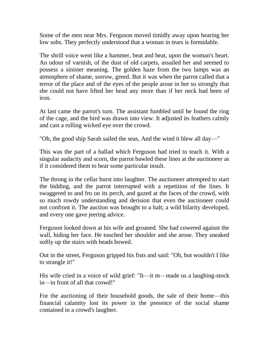Some of the men near Mrs. Ferguson moved timidly away upon hearing her low sobs. They perfectly understood that a woman in tears is formidable.

The shrill voice went like a hammer, beat and beat, upon the woman's heart. An odour of varnish, of the dust of old carpets, assailed her and seemed to possess a sinister meaning. The golden haze from the two lamps was an atmosphere of shame, sorrow, greed. But it was when the parrot called that a terror of the place and of the eyes of the people arose in her so strongly that she could not have lifted her head any more than if her neck had been of iron.

At last came the parrot's turn. The assistant fumbled until he found the ring of the cage, and the bird was drawn into view. It adjusted its feathers calmly and cast a rolling wicked eye over the crowd.

"Oh, the good ship Sarah sailed the seas, And the wind it blew all day—"

This was the part of a ballad which Ferguson had tried to teach it. With a singular audacity and scorn, the parrot bawled these lines at the auctioneer as if it considered them to bear some particular insult.

The throng in the cellar burst into laughter. The auctioneer attempted to start the bidding, and the parrot interrupted with a repetition of the lines. It swaggered to and fro on its perch, and gazed at the faces of the crowd, with so much rowdy understanding and derision that even the auctioneer could not confront it. The auction was brought to a halt; a wild hilarity developed, and every one gave jeering advice.

Ferguson looked down at his wife and groaned. She had cowered against the wall, hiding her face. He touched her shoulder and she arose. They sneaked softly up the stairs with heads bowed.

Out in the street, Ferguson gripped his fists and said: "Oh, but wouldn't I like to strangle it!"

His wife cried in a voice of wild grief: "It—it m—made us a laughing-stock in—in front of all that crowd!"

For the auctioning of their household goods, the sale of their home—this financial calamity lost its power in the presence of the social shame contained in a crowd's laughter.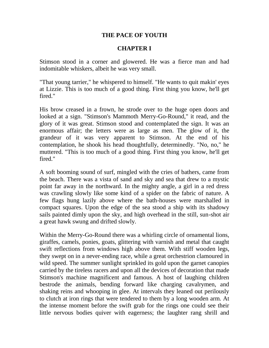### **THE PACE OF YOUTH**

### **CHAPTER I**

Stimson stood in a corner and glowered. He was a fierce man and had indomitable whiskers, albeit he was very small.

"That young tarrier," he whispered to himself. "He wants to quit makin' eyes at Lizzie. This is too much of a good thing. First thing you know, he'll get fired."

His brow creased in a frown, he strode over to the huge open doors and looked at a sign. "Stimson's Mammoth Merry-Go-Round," it read, and the glory of it was great. Stimson stood and contemplated the sign. It was an enormous affair; the letters were as large as men. The glow of it, the grandeur of it was very apparent to Stimson. At the end of his contemplation, he shook his head thoughtfully, determinedly. "No, no," he muttered. "This is too much of a good thing. First thing you know, he'll get fired."

A soft booming sound of surf, mingled with the cries of bathers, came from the beach. There was a vista of sand and sky and sea that drew to a mystic point far away in the northward. In the mighty angle, a girl in a red dress was crawling slowly like some kind of a spider on the fabric of nature. A few flags hung lazily above where the bath-houses were marshalled in compact squares. Upon the edge of the sea stood a ship with its shadowy sails painted dimly upon the sky, and high overhead in the still, sun-shot air a great hawk swung and drifted slowly.

Within the Merry-Go-Round there was a whirling circle of ornamental lions, giraffes, camels, ponies, goats, glittering with varnish and metal that caught swift reflections from windows high above them. With stiff wooden legs, they swept on in a never-ending race, while a great orchestrion clamoured in wild speed. The summer sunlight sprinkled its gold upon the garnet canopies carried by the tireless racers and upon all the devices of decoration that made Stimson's machine magnificent and famous. A host of laughing children bestrode the animals, bending forward like charging cavalrymen, and shaking reins and whooping in glee. At intervals they leaned out perilously to clutch at iron rings that were tendered to them by a long wooden arm. At the intense moment before the swift grab for the rings one could see their little nervous bodies quiver with eagerness; the laughter rang shrill and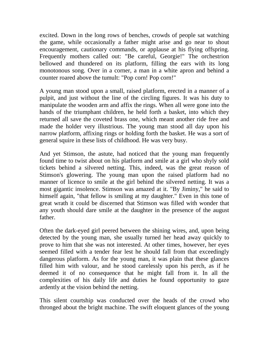excited. Down in the long rows of benches, crowds of people sat watching the game, while occasionally a father might arise and go near to shout encouragement, cautionary commands, or applause at his flying offspring. Frequently mothers called out: "Be careful, Georgie!" The orchestrion bellowed and thundered on its platform, filling the ears with its long monotonous song. Over in a corner, a man in a white apron and behind a counter roared above the tumult: "Pop corn! Pop corn!"

A young man stood upon a small, raised platform, erected in a manner of a pulpit, and just without the line of the circling figures. It was his duty to manipulate the wooden arm and affix the rings. When all were gone into the hands of the triumphant children, he held forth a basket, into which they returned all save the coveted brass one, which meant another ride free and made the holder very illustrious. The young man stood all day upon his narrow platform, affixing rings or holding forth the basket. He was a sort of general squire in these lists of childhood. He was very busy.

And yet Stimson, the astute, had noticed that the young man frequently found time to twist about on his platform and smile at a girl who shyly sold tickets behind a silvered netting. This, indeed, was the great reason of Stimson's glowering. The young man upon the raised platform had no manner of licence to smile at the girl behind the silvered netting. It was a most gigantic insolence. Stimson was amazed at it. "By Jiminy," he said to himself again, "that fellow is smiling at my daughter." Even in this tone of great wrath it could be discerned that Stimson was filled with wonder that any youth should dare smile at the daughter in the presence of the august father.

Often the dark-eyed girl peered between the shining wires, and, upon being detected by the young man, she usually turned her head away quickly to prove to him that she was not interested. At other times, however, her eyes seemed filled with a tender fear lest he should fall from that exceedingly dangerous platform. As for the young man, it was plain that these glances filled him with valour, and he stood carelessly upon his perch, as if he deemed it of no consequence that he might fall from it. In all the complexities of his daily life and duties he found opportunity to gaze ardently at the vision behind the netting.

This silent courtship was conducted over the heads of the crowd who thronged about the bright machine. The swift eloquent glances of the young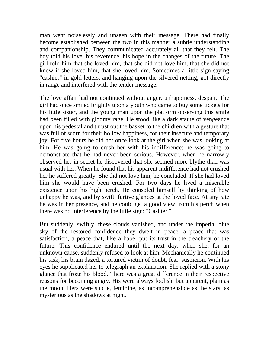man went noiselessly and unseen with their message. There had finally become established between the two in this manner a subtle understanding and companionship. They communicated accurately all that they felt. The boy told his love, his reverence, his hope in the changes of the future. The girl told him that she loved him, that she did not love him, that she did not know if she loved him, that she loved him. Sometimes a little sign saying "cashier" in gold letters, and hanging upon the silvered netting, got directly in range and interfered with the tender message.

The love affair had not continued without anger, unhappiness, despair. The girl had once smiled brightly upon a youth who came to buy some tickets for his little sister, and the young man upon the platform observing this smile had been filled with gloomy rage. He stood like a dark statue of vengeance upon his pedestal and thrust out the basket to the children with a gesture that was full of scorn for their hollow happiness, for their insecure and temporary joy. For five hours he did not once look at the girl when she was looking at him. He was going to crush her with his indifference; he was going to demonstrate that he had never been serious. However, when he narrowly observed her in secret he discovered that she seemed more blythe than was usual with her. When he found that his apparent indifference had not crushed her he suffered greatly. She did not love him, he concluded. If she had loved him she would have been crushed. For two days he lived a miserable existence upon his high perch. He consoled himself by thinking of how unhappy he was, and by swift, furtive glances at the loved face. At any rate he was in her presence, and he could get a good view from his perch when there was no interference by the little sign: "Cashier."

But suddenly, swiftly, these clouds vanished, and under the imperial blue sky of the restored confidence they dwelt in peace, a peace that was satisfaction, a peace that, like a babe, put its trust in the treachery of the future. This confidence endured until the next day, when she, for an unknown cause, suddenly refused to look at him. Mechanically he continued his task, his brain dazed, a tortured victim of doubt, fear, suspicion. With his eyes he supplicated her to telegraph an explanation. She replied with a stony glance that froze his blood. There was a great difference in their respective reasons for becoming angry. His were always foolish, but apparent, plain as the moon. Hers were subtle, feminine, as incomprehensible as the stars, as mysterious as the shadows at night.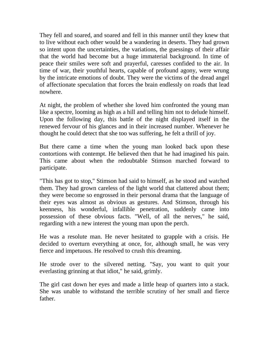They fell and soared, and soared and fell in this manner until they knew that to live without each other would be a wandering in deserts. They had grown so intent upon the uncertainties, the variations, the guessings of their affair that the world had become but a huge immaterial background. In time of peace their smiles were soft and prayerful, caresses confided to the air. In time of war, their youthful hearts, capable of profound agony, were wrung by the intricate emotions of doubt. They were the victims of the dread angel of affectionate speculation that forces the brain endlessly on roads that lead nowhere.

At night, the problem of whether she loved him confronted the young man like a spectre, looming as high as a hill and telling him not to delude himself. Upon the following day, this battle of the night displayed itself in the renewed fervour of his glances and in their increased number. Whenever he thought he could detect that she too was suffering, he felt a thrill of joy.

But there came a time when the young man looked back upon these contortions with contempt. He believed then that he had imagined his pain. This came about when the redoubtable Stimson marched forward to participate.

"This has got to stop," Stimson had said to himself, as he stood and watched them. They had grown careless of the light world that clattered about them; they were become so engrossed in their personal drama that the language of their eyes was almost as obvious as gestures. And Stimson, through his keenness, his wonderful, infallible penetration, suddenly came into possession of these obvious facts. "Well, of all the nerves," he said, regarding with a new interest the young man upon the perch.

He was a resolute man. He never hesitated to grapple with a crisis. He decided to overturn everything at once, for, although small, he was very fierce and impetuous. He resolved to crush this dreaming.

He strode over to the silvered netting. "Say, you want to quit your everlasting grinning at that idiot," he said, grimly.

The girl cast down her eyes and made a little heap of quarters into a stack. She was unable to withstand the terrible scrutiny of her small and fierce father.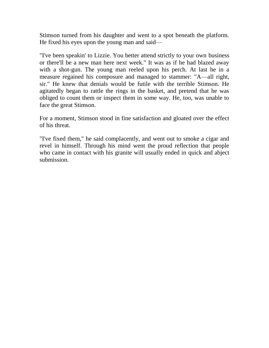Stimson turned from his daughter and went to a spot beneath the platform. He fixed his eyes upon the young man and said—

"I've been speakin' to Lizzie. You better attend strictly to your own business or there'll be a new man here next week." It was as if he had blazed away with a shot-gun. The young man reeled upon his perch. At last he in a measure regained his composure and managed to stammer: "A—all right, sir." He knew that denials would be futile with the terrible Stimson. He agitatedly began to rattle the rings in the basket, and pretend that he was obliged to count them or inspect them in some way. He, too, was unable to face the great Stimson.

For a moment, Stimson stood in fine satisfaction and gloated over the effect of his threat.

"I've fixed them," he said complacently, and went out to smoke a cigar and revel in himself. Through his mind went the proud reflection that people who came in contact with his granite will usually ended in quick and abject submission.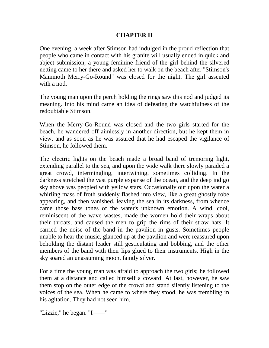## **CHAPTER II**

One evening, a week after Stimson had indulged in the proud reflection that people who came in contact with his granite will usually ended in quick and abject submission, a young feminine friend of the girl behind the silvered netting came to her there and asked her to walk on the beach after "Stimson's Mammoth Merry-Go-Round" was closed for the night. The girl assented with a nod.

The young man upon the perch holding the rings saw this nod and judged its meaning. Into his mind came an idea of defeating the watchfulness of the redoubtable Stimson.

When the Merry-Go-Round was closed and the two girls started for the beach, he wandered off aimlessly in another direction, but he kept them in view, and as soon as he was assured that he had escaped the vigilance of Stimson, he followed them.

The electric lights on the beach made a broad band of tremoring light, extending parallel to the sea, and upon the wide walk there slowly paraded a great crowd, intermingling, intertwining, sometimes colliding. In the darkness stretched the vast purple expanse of the ocean, and the deep indigo sky above was peopled with yellow stars. Occasionally out upon the water a whirling mass of froth suddenly flashed into view, like a great ghostly robe appearing, and then vanished, leaving the sea in its darkness, from whence came those bass tones of the water's unknown emotion. A wind, cool, reminiscent of the wave wastes, made the women hold their wraps about their throats, and caused the men to grip the rims of their straw hats. It carried the noise of the band in the pavilion in gusts. Sometimes people unable to hear the music, glanced up at the pavilion and were reassured upon beholding the distant leader still gesticulating and bobbing, and the other members of the band with their lips glued to their instruments. High in the sky soared an unassuming moon, faintly silver.

For a time the young man was afraid to approach the two girls; he followed them at a distance and called himself a coward. At last, however, he saw them stop on the outer edge of the crowd and stand silently listening to the voices of the sea. When he came to where they stood, he was trembling in his agitation. They had not seen him.

"Lizzie," he began. "I——"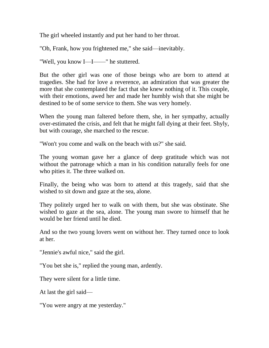The girl wheeled instantly and put her hand to her throat.

"Oh, Frank, how you frightened me," she said—inevitably.

"Well, you know I—I——" he stuttered.

But the other girl was one of those beings who are born to attend at tragedies. She had for love a reverence, an admiration that was greater the more that she contemplated the fact that she knew nothing of it. This couple, with their emotions, awed her and made her humbly wish that she might be destined to be of some service to them. She was very homely.

When the young man faltered before them, she, in her sympathy, actually over-estimated the crisis, and felt that he might fall dying at their feet. Shyly, but with courage, she marched to the rescue.

"Won't you come and walk on the beach with us?" she said.

The young woman gave her a glance of deep gratitude which was not without the patronage which a man in his condition naturally feels for one who pities it. The three walked on.

Finally, the being who was born to attend at this tragedy, said that she wished to sit down and gaze at the sea, alone.

They politely urged her to walk on with them, but she was obstinate. She wished to gaze at the sea, alone. The young man swore to himself that he would be her friend until he died.

And so the two young lovers went on without her. They turned once to look at her.

"Jennie's awful nice," said the girl.

"You bet she is," replied the young man, ardently.

They were silent for a little time.

At last the girl said—

"You were angry at me yesterday."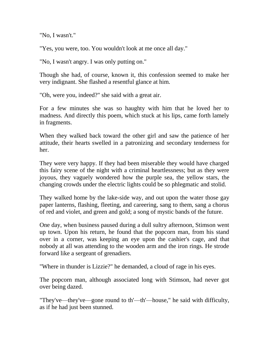"No, I wasn't."

"Yes, you were, too. You wouldn't look at me once all day."

"No, I wasn't angry. I was only putting on."

Though she had, of course, known it, this confession seemed to make her very indignant. She flashed a resentful glance at him.

"Oh, were you, indeed?" she said with a great air.

For a few minutes she was so haughty with him that he loved her to madness. And directly this poem, which stuck at his lips, came forth lamely in fragments.

When they walked back toward the other girl and saw the patience of her attitude, their hearts swelled in a patronizing and secondary tenderness for her.

They were very happy. If they had been miserable they would have charged this fairy scene of the night with a criminal heartlessness; but as they were joyous, they vaguely wondered how the purple sea, the yellow stars, the changing crowds under the electric lights could be so phlegmatic and stolid.

They walked home by the lake-side way, and out upon the water those gay paper lanterns, flashing, fleeting, and careering, sang to them, sang a chorus of red and violet, and green and gold; a song of mystic bands of the future.

One day, when business paused during a dull sultry afternoon, Stimson went up town. Upon his return, he found that the popcorn man, from his stand over in a corner, was keeping an eye upon the cashier's cage, and that nobody at all was attending to the wooden arm and the iron rings. He strode forward like a sergeant of grenadiers.

"Where in thunder is Lizzie?" he demanded, a cloud of rage in his eyes.

The popcorn man, although associated long with Stimson, had never got over being dazed.

"They've—they've—gone round to th'—th'—house," he said with difficulty, as if he had just been stunned.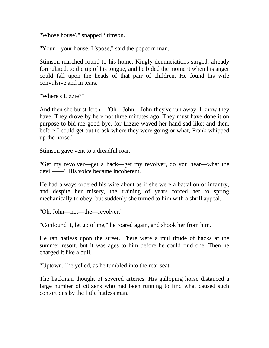"Whose house?" snapped Stimson.

"Your—your house, I 'spose," said the popcorn man.

Stimson marched round to his home. Kingly denunciations surged, already formulated, to the tip of his tongue, and he bided the moment when his anger could fall upon the heads of that pair of children. He found his wife convulsive and in tears.

"Where's Lizzie?"

And then she burst forth—"Oh—John—John-they've run away, I know they have. They drove by here not three minutes ago. They must have done it on purpose to bid me good-bye, for Lizzie waved her hand sad-like; and then, before I could get out to ask where they were going or what, Frank whipped up the horse."

Stimson gave vent to a dreadful roar.

"Get my revolver—get a hack—get my revolver, do you hear—what the devil——" His voice became incoherent.

He had always ordered his wife about as if she were a battalion of infantry, and despite her misery, the training of years forced her to spring mechanically to obey; but suddenly she turned to him with a shrill appeal.

"Oh, John—not—the—revolver."

"Confound it, let go of me," he roared again, and shook her from him.

He ran hatless upon the street. There were a mul titude of hacks at the summer resort, but it was ages to him before he could find one. Then he charged it like a bull.

"Uptown," he yelled, as he tumbled into the rear seat.

The hackman thought of severed arteries. His galloping horse distanced a large number of citizens who had been running to find what caused such contortions by the little hatless man.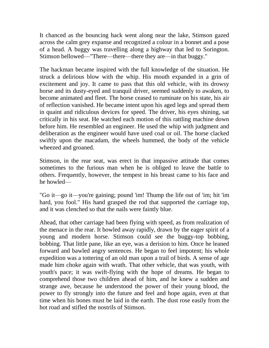It chanced as the bouncing hack went along near the lake, Stimson gazed across the calm grey expanse and recognized a colour in a bonnet and a pose of a head. A buggy was travelling along a highway that led to Sorington. Stimson bellowed—"There—there—there they are—in that buggy."

The hackman became inspired with the full knowledge of the situation. He struck a delirious blow with the whip. His mouth expanded in a grin of excitement and joy. It came to pass that this old vehicle, with its drowsy horse and its dusty-eyed and tranquil driver, seemed suddenly to awaken, to become animated and fleet. The horse ceased to ruminate on his state, his air of reflection vanished. He became intent upon his aged legs and spread them in quaint and ridiculous devices for speed. The driver, his eyes shining, sat critically in his seat. He watched each motion of this rattling machine down before him. He resembled an engineer. He used the whip with judgment and deliberation as the engineer would have used coal or oil. The horse clacked swiftly upon the macadam, the wheels hummed, the body of the vehicle wheezed and groaned.

Stimson, in the rear seat, was erect in that impassive attitude that comes sometimes to the furious man when he is obliged to leave the battle to others. Frequently, however, the tempest in his breast came to his face and he howled—

"Go it—go it—you're gaining; pound 'im! Thump the life out of 'im; hit 'im hard, you fool." His hand grasped the rod that supported the carriage top, and it was clenched so that the nails were faintly blue.

Ahead, that other carriage had been flying with speed, as from realization of the menace in the rear. It bowled away rapidly, drawn by the eager spirit of a young and modern horse. Stimson could see the buggy-top bobbing, bobbing. That little pane, like an eye, was a derision to him. Once he leaned forward and bawled angry sentences. He began to feel impotent; his whole expedition was a tottering of an old man upon a trail of birds. A sense of age made him choke again with wrath. That other vehicle, that was youth, with youth's pace; it was swift-flying with the hope of dreams. He began to comprehend those two children ahead of him, and he knew a sudden and strange awe, because he understood the power of their young blood, the power to fly strongly into the future and feel and hope again, even at that time when his bones must be laid in the earth. The dust rose easily from the hot road and stifled the nostrils of Stimson.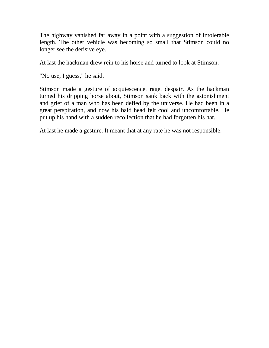The highway vanished far away in a point with a suggestion of intolerable length. The other vehicle was becoming so small that Stimson could no longer see the derisive eye.

At last the hackman drew rein to his horse and turned to look at Stimson.

"No use, I guess," he said.

Stimson made a gesture of acquiescence, rage, despair. As the hackman turned his dripping horse about, Stimson sank back with the astonishment and grief of a man who has been defied by the universe. He had been in a great perspiration, and now his bald head felt cool and uncomfortable. He put up his hand with a sudden recollection that he had forgotten his hat.

At last he made a gesture. It meant that at any rate he was not responsible.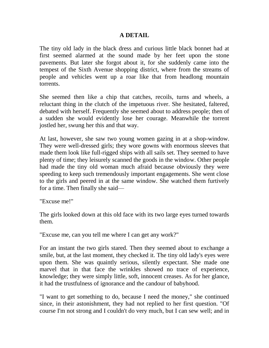## **A DETAIL**

The tiny old lady in the black dress and curious little black bonnet had at first seemed alarmed at the sound made by her feet upon the stone pavements. But later she forgot about it, for she suddenly came into the tempest of the Sixth Avenue shopping district, where from the streams of people and vehicles went up a roar like that from headlong mountain torrents.

She seemed then like a chip that catches, recoils, turns and wheels, a reluctant thing in the clutch of the impetuous river. She hesitated, faltered, debated with herself. Frequently she seemed about to address people; then of a sudden she would evidently lose her courage. Meanwhile the torrent jostled her, swung her this and that way.

At last, however, she saw two young women gazing in at a shop-window. They were well-dressed girls; they wore gowns with enormous sleeves that made them look like full-rigged ships with all sails set. They seemed to have plenty of time; they leisurely scanned the goods in the window. Other people had made the tiny old woman much afraid because obviously they were speeding to keep such tremendously important engagements. She went close to the girls and peered in at the same window. She watched them furtively for a time. Then finally she said—

"Excuse me!"

The girls looked down at this old face with its two large eyes turned towards them.

"Excuse me, can you tell me where I can get any work?"

For an instant the two girls stared. Then they seemed about to exchange a smile, but, at the last moment, they checked it. The tiny old lady's eyes were upon them. She was quaintly serious, silently expectant. She made one marvel that in that face the wrinkles showed no trace of experience, knowledge; they were simply little, soft, innocent creases. As for her glance, it had the trustfulness of ignorance and the candour of babyhood.

"I want to get something to do, because I need the money," she continued since, in their astonishment, they had not replied to her first question. "Of course I'm not strong and I couldn't do very much, but I can sew well; and in